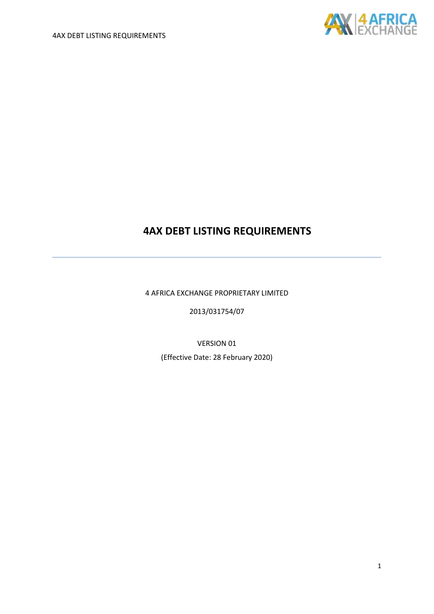

4 AFRICA EXCHANGE PROPRIETARY LIMITED

2013/031754/07

VERSION 01

(Effective Date: 28 February 2020)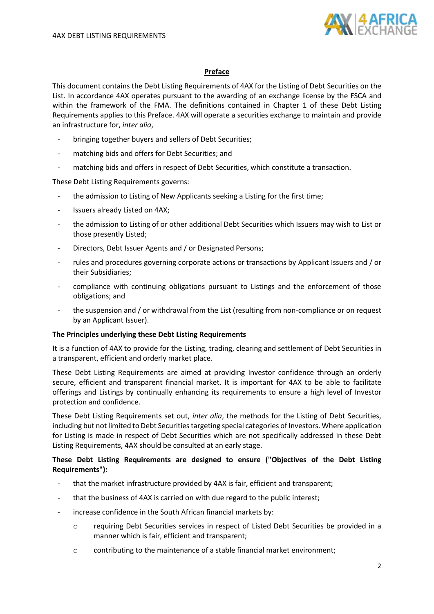

# **Preface**

This document contains the Debt Listing Requirements of 4AX for the Listing of Debt Securities on the List. In accordance 4AX operates pursuant to the awarding of an exchange license by the FSCA and within the framework of the FMA. The definitions contained in Chapter 1 of these Debt Listing Requirements applies to this Preface. 4AX will operate a securities exchange to maintain and provide an infrastructure for, *inter alia*,

- bringing together buyers and sellers of Debt Securities;
- matching bids and offers for Debt Securities; and
- matching bids and offers in respect of Debt Securities, which constitute a transaction.

These Debt Listing Requirements governs:

- the admission to Listing of New Applicants seeking a Listing for the first time;
- Issuers already Listed on 4AX;
- the admission to Listing of or other additional Debt Securities which Issuers may wish to List or those presently Listed;
- Directors, Debt Issuer Agents and / or Designated Persons;
- rules and procedures governing corporate actions or transactions by Applicant Issuers and / or their Subsidiaries;
- compliance with continuing obligations pursuant to Listings and the enforcement of those obligations; and
- the suspension and / or withdrawal from the List (resulting from non-compliance or on request by an Applicant Issuer).

#### **The Principles underlying these Debt Listing Requirements**

It is a function of 4AX to provide for the Listing, trading, clearing and settlement of Debt Securities in a transparent, efficient and orderly market place.

These Debt Listing Requirements are aimed at providing Investor confidence through an orderly secure, efficient and transparent financial market. It is important for 4AX to be able to facilitate offerings and Listings by continually enhancing its requirements to ensure a high level of Investor protection and confidence.

These Debt Listing Requirements set out, *inter alia*, the methods for the Listing of Debt Securities, including but not limited to Debt Securities targeting special categories of Investors. Where application for Listing is made in respect of Debt Securities which are not specifically addressed in these Debt Listing Requirements, 4AX should be consulted at an early stage.

# **These Debt Listing Requirements are designed to ensure ("Objectives of the Debt Listing Requirements"):**

- that the market infrastructure provided by 4AX is fair, efficient and transparent;
- that the business of 4AX is carried on with due regard to the public interest;
- increase confidence in the South African financial markets by:
	- o requiring Debt Securities services in respect of Listed Debt Securities be provided in a manner which is fair, efficient and transparent;
	- o contributing to the maintenance of a stable financial market environment;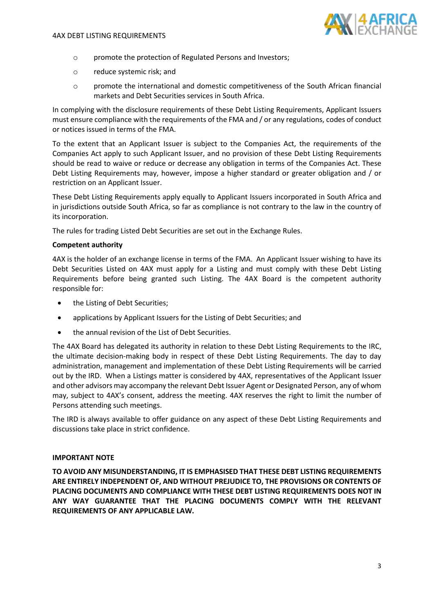

- o promote the protection of Regulated Persons and Investors;
- o reduce systemic risk; and
- o promote the international and domestic competitiveness of the South African financial markets and Debt Securities services in South Africa.

In complying with the disclosure requirements of these Debt Listing Requirements, Applicant Issuers must ensure compliance with the requirements of the FMA and / or any regulations, codes of conduct or notices issued in terms of the FMA.

To the extent that an Applicant Issuer is subject to the Companies Act, the requirements of the Companies Act apply to such Applicant Issuer, and no provision of these Debt Listing Requirements should be read to waive or reduce or decrease any obligation in terms of the Companies Act. These Debt Listing Requirements may, however, impose a higher standard or greater obligation and / or restriction on an Applicant Issuer.

These Debt Listing Requirements apply equally to Applicant Issuers incorporated in South Africa and in jurisdictions outside South Africa, so far as compliance is not contrary to the law in the country of its incorporation.

The rules for trading Listed Debt Securities are set out in the Exchange Rules.

# **Competent authority**

4AX is the holder of an exchange license in terms of the FMA. An Applicant Issuer wishing to have its Debt Securities Listed on 4AX must apply for a Listing and must comply with these Debt Listing Requirements before being granted such Listing. The 4AX Board is the competent authority responsible for:

- the Listing of Debt Securities;
- applications by Applicant Issuers for the Listing of Debt Securities; and
- the annual revision of the List of Debt Securities.

The 4AX Board has delegated its authority in relation to these Debt Listing Requirements to the IRC, the ultimate decision-making body in respect of these Debt Listing Requirements. The day to day administration, management and implementation of these Debt Listing Requirements will be carried out by the IRD. When a Listings matter is considered by 4AX, representatives of the Applicant Issuer and other advisors may accompany the relevant Debt Issuer Agent or Designated Person, any of whom may, subject to 4AX's consent, address the meeting. 4AX reserves the right to limit the number of Persons attending such meetings.

The IRD is always available to offer guidance on any aspect of these Debt Listing Requirements and discussions take place in strict confidence.

#### **IMPORTANT NOTE**

**TO AVOID ANY MISUNDERSTANDING, IT IS EMPHASISED THAT THESE DEBT LISTING REQUIREMENTS ARE ENTIRELY INDEPENDENT OF, AND WITHOUT PREJUDICE TO, THE PROVISIONS OR CONTENTS OF PLACING DOCUMENTS AND COMPLIANCE WITH THESE DEBT LISTING REQUIREMENTS DOES NOT IN ANY WAY GUARANTEE THAT THE PLACING DOCUMENTS COMPLY WITH THE RELEVANT REQUIREMENTS OF ANY APPLICABLE LAW.**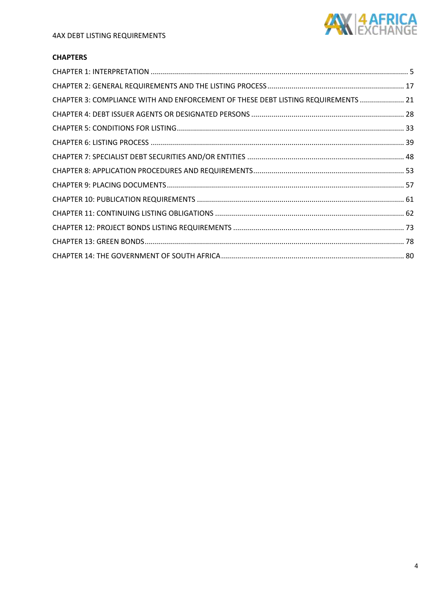

# **CHAPTERS**

| CHAPTER 3: COMPLIANCE WITH AND ENFORCEMENT OF THESE DEBT LISTING REQUIREMENTS  21 |  |
|-----------------------------------------------------------------------------------|--|
|                                                                                   |  |
|                                                                                   |  |
|                                                                                   |  |
|                                                                                   |  |
|                                                                                   |  |
|                                                                                   |  |
|                                                                                   |  |
|                                                                                   |  |
|                                                                                   |  |
|                                                                                   |  |
|                                                                                   |  |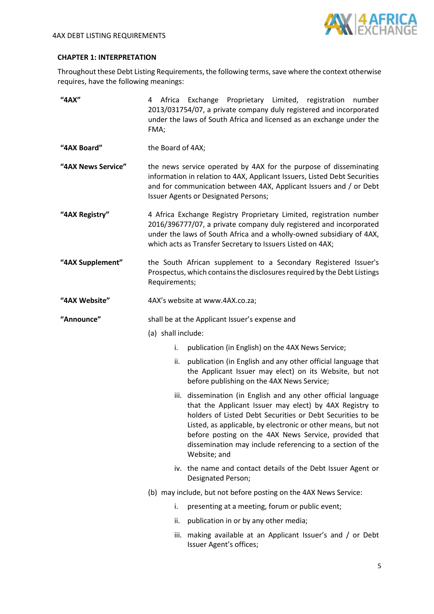

# <span id="page-4-0"></span>**CHAPTER 1: INTERPRETATION**

Throughout these Debt Listing Requirements, the following terms, save where the context otherwise requires, have the following meanings:

| "4AX"              | Exchange Proprietary Limited, registration<br>4 Africa<br>number<br>2013/031754/07, a private company duly registered and incorporated<br>under the laws of South Africa and licensed as an exchange under the<br>FMA;                                                                                                                                                                        |
|--------------------|-----------------------------------------------------------------------------------------------------------------------------------------------------------------------------------------------------------------------------------------------------------------------------------------------------------------------------------------------------------------------------------------------|
| "4AX Board"        | the Board of 4AX;                                                                                                                                                                                                                                                                                                                                                                             |
| "4AX News Service" | the news service operated by 4AX for the purpose of disseminating<br>information in relation to 4AX, Applicant Issuers, Listed Debt Securities<br>and for communication between 4AX, Applicant Issuers and / or Debt<br>Issuer Agents or Designated Persons;                                                                                                                                  |
| "4AX Registry"     | 4 Africa Exchange Registry Proprietary Limited, registration number<br>2016/396777/07, a private company duly registered and incorporated<br>under the laws of South Africa and a wholly-owned subsidiary of 4AX,<br>which acts as Transfer Secretary to Issuers Listed on 4AX;                                                                                                               |
| "4AX Supplement"   | the South African supplement to a Secondary Registered Issuer's<br>Prospectus, which contains the disclosures required by the Debt Listings<br>Requirements;                                                                                                                                                                                                                                  |
| "4AX Website"      | 4AX's website at www.4AX.co.za;                                                                                                                                                                                                                                                                                                                                                               |
| "Announce"         | shall be at the Applicant Issuer's expense and                                                                                                                                                                                                                                                                                                                                                |
|                    | (a) shall include:                                                                                                                                                                                                                                                                                                                                                                            |
|                    | publication (in English) on the 4AX News Service;<br>i.                                                                                                                                                                                                                                                                                                                                       |
|                    | publication (in English and any other official language that<br>ii.<br>the Applicant Issuer may elect) on its Website, but not<br>before publishing on the 4AX News Service;                                                                                                                                                                                                                  |
|                    | iii. dissemination (in English and any other official language<br>that the Applicant Issuer may elect) by 4AX Registry to<br>holders of Listed Debt Securities or Debt Securities to be<br>Listed, as applicable, by electronic or other means, but not<br>before posting on the 4AX News Service, provided that<br>dissemination may include referencing to a section of the<br>Website; and |
|                    | iv. the name and contact details of the Debt Issuer Agent or<br>Designated Person;                                                                                                                                                                                                                                                                                                            |
|                    | (b) may include, but not before posting on the 4AX News Service:                                                                                                                                                                                                                                                                                                                              |
|                    | presenting at a meeting, forum or public event;<br>i.                                                                                                                                                                                                                                                                                                                                         |
|                    | publication in or by any other media;<br>ii.                                                                                                                                                                                                                                                                                                                                                  |
|                    | iii. making available at an Applicant Issuer's and / or Debt<br>Issuer Agent's offices;                                                                                                                                                                                                                                                                                                       |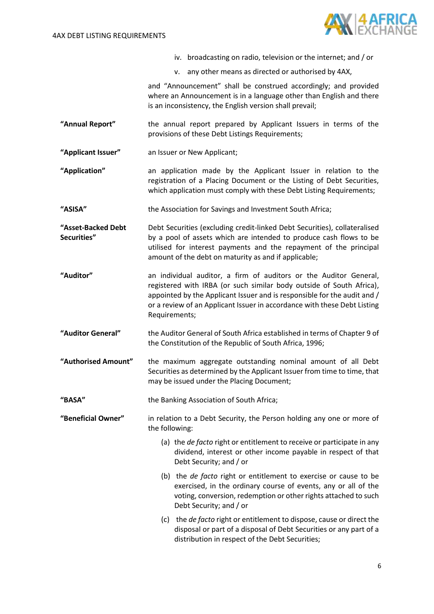

- iv. broadcasting on radio, television or the internet; and / or
- v. any other means as directed or authorised by 4AX,

and "Announcement" shall be construed accordingly; and provided where an Announcement is in a language other than English and there is an inconsistency, the English version shall prevail;

- **"Annual Report"** the annual report prepared by Applicant Issuers in terms of the provisions of these Debt Listings Requirements;
- **"Applicant Issuer"** an Issuer or New Applicant;
- **"Application"** an application made by the Applicant Issuer in relation to the registration of a Placing Document or the Listing of Debt Securities, which application must comply with these Debt Listing Requirements;
- **"ASISA"** the Association for Savings and Investment South Africa;
- **"Asset-Backed Debt Securities"** Debt Securities (excluding credit-linked Debt Securities), collateralised by a pool of assets which are intended to produce cash flows to be utilised for interest payments and the repayment of the principal amount of the debt on maturity as and if applicable;
- **"Auditor"** an individual auditor, a firm of auditors or the Auditor General, registered with IRBA (or such similar body outside of South Africa), appointed by the Applicant Issuer and is responsible for the audit and / or a review of an Applicant Issuer in accordance with these Debt Listing Requirements;
- **"Auditor General"** the Auditor General of South Africa established in terms of Chapter 9 of the Constitution of the Republic of South Africa, 1996;
- **"Authorised Amount"** the maximum aggregate outstanding nominal amount of all Debt Securities as determined by the Applicant Issuer from time to time, that may be issued under the Placing Document;

**"BASA"** the Banking Association of South Africa;

- **"Beneficial Owner"** in relation to a Debt Security, the Person holding any one or more of the following:
	- (a) the *de facto* right or entitlement to receive or participate in any dividend, interest or other income payable in respect of that Debt Security; and / or
	- (b) the *de facto* right or entitlement to exercise or cause to be exercised, in the ordinary course of events, any or all of the voting, conversion, redemption or other rights attached to such Debt Security; and / or
	- (c) the *de facto* right or entitlement to dispose, cause or direct the disposal or part of a disposal of Debt Securities or any part of a distribution in respect of the Debt Securities;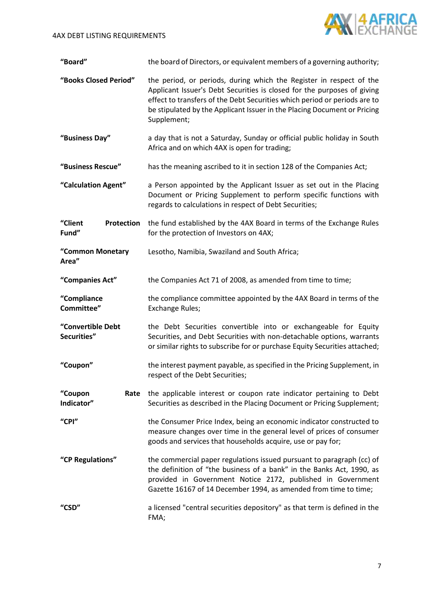

| "Board"                               | the board of Directors, or equivalent members of a governing authority;                                                                                                                                                                                                                                                |
|---------------------------------------|------------------------------------------------------------------------------------------------------------------------------------------------------------------------------------------------------------------------------------------------------------------------------------------------------------------------|
| "Books Closed Period"                 | the period, or periods, during which the Register in respect of the<br>Applicant Issuer's Debt Securities is closed for the purposes of giving<br>effect to transfers of the Debt Securities which period or periods are to<br>be stipulated by the Applicant Issuer in the Placing Document or Pricing<br>Supplement; |
| "Business Day"                        | a day that is not a Saturday, Sunday or official public holiday in South<br>Africa and on which 4AX is open for trading;                                                                                                                                                                                               |
| "Business Rescue"                     | has the meaning ascribed to it in section 128 of the Companies Act;                                                                                                                                                                                                                                                    |
| "Calculation Agent"                   | a Person appointed by the Applicant Issuer as set out in the Placing<br>Document or Pricing Supplement to perform specific functions with<br>regards to calculations in respect of Debt Securities;                                                                                                                    |
| "Client<br><b>Protection</b><br>Fund" | the fund established by the 4AX Board in terms of the Exchange Rules<br>for the protection of Investors on 4AX;                                                                                                                                                                                                        |
| "Common Monetary<br>Area"             | Lesotho, Namibia, Swaziland and South Africa;                                                                                                                                                                                                                                                                          |
| "Companies Act"                       | the Companies Act 71 of 2008, as amended from time to time;                                                                                                                                                                                                                                                            |
| "Compliance<br>Committee"             | the compliance committee appointed by the 4AX Board in terms of the<br>Exchange Rules;                                                                                                                                                                                                                                 |
| "Convertible Debt<br>Securities"      | the Debt Securities convertible into or exchangeable for Equity<br>Securities, and Debt Securities with non-detachable options, warrants<br>or similar rights to subscribe for or purchase Equity Securities attached;                                                                                                 |
| "Coupon"                              | the interest payment payable, as specified in the Pricing Supplement, in<br>respect of the Debt Securities;                                                                                                                                                                                                            |
| "Coupon<br>Rate<br>Indicator"         | the applicable interest or coupon rate indicator pertaining to Debt<br>Securities as described in the Placing Document or Pricing Supplement;                                                                                                                                                                          |
| "CPI"                                 | the Consumer Price Index, being an economic indicator constructed to<br>measure changes over time in the general level of prices of consumer<br>goods and services that households acquire, use or pay for;                                                                                                            |
| "CP Regulations"                      | the commercial paper regulations issued pursuant to paragraph (cc) of<br>the definition of "the business of a bank" in the Banks Act, 1990, as<br>provided in Government Notice 2172, published in Government<br>Gazette 16167 of 14 December 1994, as amended from time to time;                                      |
| "CSD"                                 | a licensed "central securities depository" as that term is defined in the<br>FMA;                                                                                                                                                                                                                                      |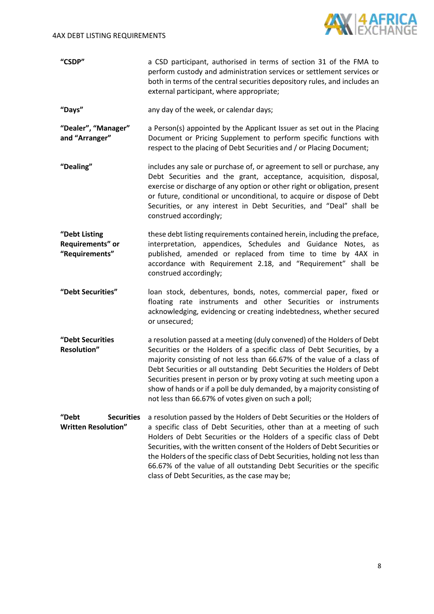

| "CSDP" | a CSD participant, authorised in terms of section 31 of the FMA to        |
|--------|---------------------------------------------------------------------------|
|        | perform custody and administration services or settlement services or     |
|        | both in terms of the central securities depository rules, and includes an |
|        | external participant, where appropriate;                                  |

**"Days"** any day of the week, or calendar days;

- **"Dealer", "Manager" and "Arranger"** a Person(s) appointed by the Applicant Issuer as set out in the Placing Document or Pricing Supplement to perform specific functions with respect to the placing of Debt Securities and / or Placing Document;
- **"Dealing"** includes any sale or purchase of, or agreement to sell or purchase, any Debt Securities and the grant, acceptance, acquisition, disposal, exercise or discharge of any option or other right or obligation, present or future, conditional or unconditional, to acquire or dispose of Debt Securities, or any interest in Debt Securities, and "Deal" shall be construed accordingly;
- **"Debt Listing Requirements" or "Requirements"** these debt listing requirements contained herein, including the preface, interpretation, appendices, Schedules and Guidance Notes, as published, amended or replaced from time to time by 4AX in accordance with Requirement [2.18,](#page-18-0) and "Requirement" shall be construed accordingly;
- **"Debt Securities"** loan stock, debentures, bonds, notes, commercial paper, fixed or floating rate instruments and other Securities or instruments acknowledging, evidencing or creating indebtedness, whether secured or unsecured;
- **"Debt Securities Resolution"** a resolution passed at a meeting (duly convened) of the Holders of Debt Securities or the Holders of a specific class of Debt Securities, by a majority consisting of not less than 66.67% of the value of a class of Debt Securities or all outstanding Debt Securities the Holders of Debt Securities present in person or by proxy voting at such meeting upon a show of hands or if a poll be duly demanded, by a majority consisting of not less than 66.67% of votes given on such a poll;

**"Debt Securities Written Resolution"** a resolution passed by the Holders of Debt Securities or the Holders of a specific class of Debt Securities, other than at a meeting of such Holders of Debt Securities or the Holders of a specific class of Debt Securities, with the written consent of the Holders of Debt Securities or the Holders of the specific class of Debt Securities, holding not less than 66.67% of the value of all outstanding Debt Securities or the specific class of Debt Securities, as the case may be;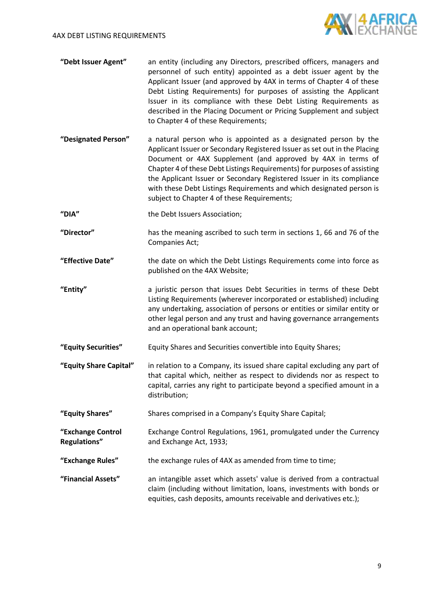

- **"Debt Issuer Agent"** an entity (including any Directors, prescribed officers, managers and personnel of such entity) appointed as a debt issuer agent by the Applicant Issuer (and approved by 4AX in terms of Chapter 4 of these Debt Listing Requirements) for purposes of assisting the Applicant Issuer in its compliance with these Debt Listing Requirements as described in the Placing Document or Pricing Supplement and subject to Chapter 4 of these Requirements;
- **"Designated Person"** a natural person who is appointed as a designated person by the Applicant Issuer or Secondary Registered Issuer as set out in the Placing Document or 4AX Supplement (and approved by 4AX in terms of Chapter 4 of these Debt Listings Requirements) for purposes of assisting the Applicant Issuer or Secondary Registered Issuer in its compliance with these Debt Listings Requirements and which designated person is subject to Chapter 4 of these Requirements;
- **"DIA"** the Debt Issuers Association;
- **"Director"** has the meaning ascribed to such term in sections 1, 66 and 76 of the Companies Act;
- **"Effective Date"** the date on which the Debt Listings Requirements come into force as published on the 4AX Website;
- **"Entity"** a juristic person that issues Debt Securities in terms of these Debt Listing Requirements (wherever incorporated or established) including any undertaking, association of persons or entities or similar entity or other legal person and any trust and having governance arrangements and an operational bank account;
- **"Equity Securities"** Equity Shares and Securities convertible into Equity Shares;
- **"Equity Share Capital"** in relation to a Company, its issued share capital excluding any part of that capital which, neither as respect to dividends nor as respect to capital, carries any right to participate beyond a specified amount in a distribution;
- **"Equity Shares"** Shares comprised in a Company's Equity Share Capital;
- **"Exchange Control Regulations"** Exchange Control Regulations, 1961, promulgated under the Currency and Exchange Act, 1933;
- **"Exchange Rules"** the exchange rules of 4AX as amended from time to time;
- **"Financial Assets"** an intangible asset which assets' value is derived from a contractual claim (including without limitation, loans, investments with bonds or equities, cash deposits, amounts receivable and derivatives etc.);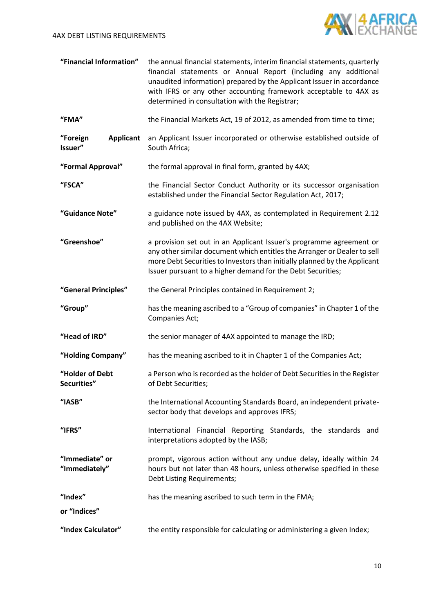

| "Financial Information" | the annual financial statements, interim financial statements, quarterly |
|-------------------------|--------------------------------------------------------------------------|
|                         | financial statements or Annual Report (including any additional          |
|                         | unaudited information) prepared by the Applicant Issuer in accordance    |
|                         | with IFRS or any other accounting framework acceptable to 4AX as         |
|                         | determined in consultation with the Registrar;                           |

- **"FMA"** the Financial Markets Act, 19 of 2012, as amended from time to time;
- "Foreign **Applicant** an Applicant Issuer incorporated or otherwise established outside of **Issuer"** South Africa;
- **"Formal Approval"** the formal approval in final form, granted by 4AX;
- **"FSCA"** the Financial Sector Conduct Authority or its successor organisation established under the Financial Sector Regulation Act, 2017;
- **"Guidance Note"** a guidance note issued by 4AX, as contemplated in Requirement [2.12](#page-18-1) and published on the 4AX Website;
- **"Greenshoe"** a provision set out in an Applicant Issuer's programme agreement or any other similar document which entitles the Arranger or Dealer to sell more Debt Securities to Investors than initially planned by the Applicant Issuer pursuant to a higher demand for the Debt Securities;
- **"General Principles"** the General Principles contained in Requirement [2;](#page-16-1)
- **"Group"** has the meaning ascribed to a "Group of companies" in Chapter 1 of the Companies Act;
- **"Head of IRD"** the senior manager of 4AX appointed to manage the IRD;
- **"Holding Company"** has the meaning ascribed to it in Chapter 1 of the Companies Act;
- **"Holder of Debt Securities"** a Person who is recorded as the holder of Debt Securities in the Register of Debt Securities;
- **"IASB"** the International Accounting Standards Board, an independent privatesector body that develops and approves IFRS;
- **"IFRS"** International Financial Reporting Standards, the standards and interpretations adopted by the IASB;
- **"Immediate" or "Immediately"** prompt, vigorous action without any undue delay, ideally within 24 hours but not later than 48 hours, unless otherwise specified in these Debt Listing Requirements;
- **"Index"** has the meaning ascribed to such term in the FMA;
- **or "Indices"**
- **"Index Calculator"** the entity responsible for calculating or administering a given Index;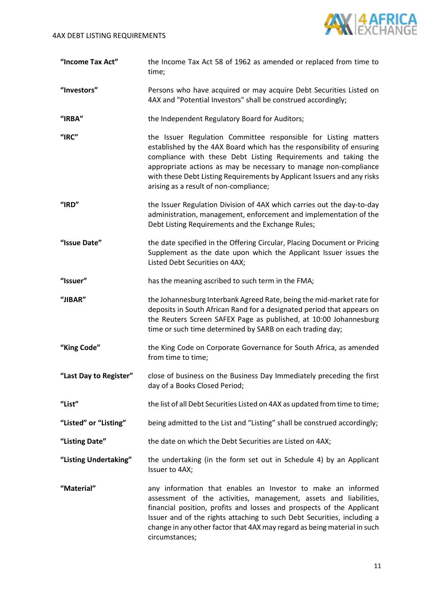

| "Income Tax Act" | the Income Tax Act 58 of 1962 as amended or replaced from time to |
|------------------|-------------------------------------------------------------------|
|                  | time:                                                             |

**"Investors"** Persons who have acquired or may acquire Debt Securities Listed on 4AX and "Potential Investors" shall be construed accordingly;

**"IRBA"** the Independent Regulatory Board for Auditors;

- **"IRC"** the Issuer Regulation Committee responsible for Listing matters established by the 4AX Board which has the responsibility of ensuring compliance with these Debt Listing Requirements and taking the appropriate actions as may be necessary to manage non-compliance with these Debt Listing Requirements by Applicant Issuers and any risks arising as a result of non-compliance;
- **"IRD"** the Issuer Regulation Division of 4AX which carries out the day-to-day administration, management, enforcement and implementation of the Debt Listing Requirements and the Exchange Rules;
- **"Issue Date"** the date specified in the Offering Circular, Placing Document or Pricing Supplement as the date upon which the Applicant Issuer issues the Listed Debt Securities on 4AX;

**"Issuer"** has the meaning ascribed to such term in the FMA;

- **"JIBAR"** the Johannesburg Interbank Agreed Rate, being the mid-market rate for deposits in South African Rand for a designated period that appears on the Reuters Screen SAFEX Page as published, at 10:00 Johannesburg time or such time determined by SARB on each trading day;
- **"King Code"** the King Code on Corporate Governance for South Africa, as amended from time to time;
- **"Last Day to Register"** close of business on the Business Day Immediately preceding the first day of a Books Closed Period;
- **"List"** the list of all Debt Securities Listed on 4AX as updated from time to time;
- **"Listed" or "Listing"** being admitted to the List and "Listing" shall be construed accordingly;
- **"Listing Date"** the date on which the Debt Securities are Listed on 4AX;
- **"Listing Undertaking"** the undertaking (in the form set out in Schedule 4) by an Applicant Issuer to 4AX;
- "**Material"** any information that enables an Investor to make an informed assessment of the activities, management, assets and liabilities, financial position, profits and losses and prospects of the Applicant Issuer and of the rights attaching to such Debt Securities, including a change in any other factor that 4AX may regard as being material in such circumstances;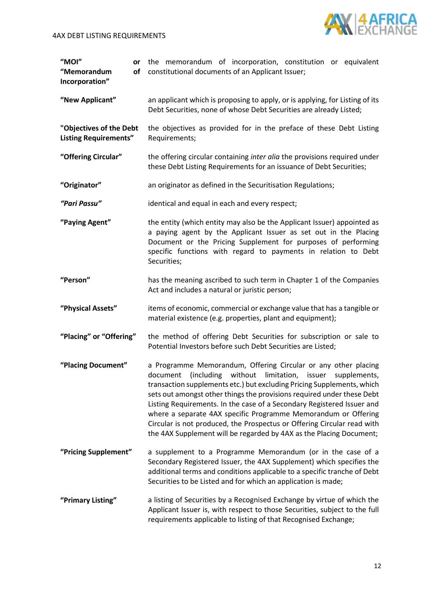

| "MOI"<br>or<br>of<br>"Memorandum<br>Incorporation"      | the memorandum of incorporation, constitution or equivalent<br>constitutional documents of an Applicant Issuer;                                                                                                                                                                                                                                                                                                                                                                                                                                                                                |
|---------------------------------------------------------|------------------------------------------------------------------------------------------------------------------------------------------------------------------------------------------------------------------------------------------------------------------------------------------------------------------------------------------------------------------------------------------------------------------------------------------------------------------------------------------------------------------------------------------------------------------------------------------------|
| "New Applicant"                                         | an applicant which is proposing to apply, or is applying, for Listing of its<br>Debt Securities, none of whose Debt Securities are already Listed;                                                                                                                                                                                                                                                                                                                                                                                                                                             |
| "Objectives of the Debt<br><b>Listing Requirements"</b> | the objectives as provided for in the preface of these Debt Listing<br>Requirements;                                                                                                                                                                                                                                                                                                                                                                                                                                                                                                           |
| "Offering Circular"                                     | the offering circular containing inter alia the provisions required under<br>these Debt Listing Requirements for an issuance of Debt Securities;                                                                                                                                                                                                                                                                                                                                                                                                                                               |
| "Originator"                                            | an originator as defined in the Securitisation Regulations;                                                                                                                                                                                                                                                                                                                                                                                                                                                                                                                                    |
| "Pari Passu"                                            | identical and equal in each and every respect;                                                                                                                                                                                                                                                                                                                                                                                                                                                                                                                                                 |
| "Paying Agent"                                          | the entity (which entity may also be the Applicant Issuer) appointed as<br>a paying agent by the Applicant Issuer as set out in the Placing<br>Document or the Pricing Supplement for purposes of performing<br>specific functions with regard to payments in relation to Debt<br>Securities;                                                                                                                                                                                                                                                                                                  |
| "Person"                                                | has the meaning ascribed to such term in Chapter 1 of the Companies<br>Act and includes a natural or juristic person;                                                                                                                                                                                                                                                                                                                                                                                                                                                                          |
| "Physical Assets"                                       | items of economic, commercial or exchange value that has a tangible or<br>material existence (e.g. properties, plant and equipment);                                                                                                                                                                                                                                                                                                                                                                                                                                                           |
| "Placing" or "Offering"                                 | the method of offering Debt Securities for subscription or sale to<br>Potential Investors before such Debt Securities are Listed;                                                                                                                                                                                                                                                                                                                                                                                                                                                              |
| "Placing Document"                                      | a Programme Memorandum, Offering Circular or any other placing<br>document<br>(including<br>without<br>limitation,<br>issuer<br>supplements,<br>transaction supplements etc.) but excluding Pricing Supplements, which<br>sets out amongst other things the provisions required under these Debt<br>Listing Requirements. In the case of a Secondary Registered Issuer and<br>where a separate 4AX specific Programme Memorandum or Offering<br>Circular is not produced, the Prospectus or Offering Circular read with<br>the 4AX Supplement will be regarded by 4AX as the Placing Document; |
| "Pricing Supplement"                                    | a supplement to a Programme Memorandum (or in the case of a<br>Secondary Registered Issuer, the 4AX Supplement) which specifies the<br>additional terms and conditions applicable to a specific tranche of Debt<br>Securities to be Listed and for which an application is made;                                                                                                                                                                                                                                                                                                               |
| "Primary Listing"                                       | a listing of Securities by a Recognised Exchange by virtue of which the<br>Applicant Issuer is, with respect to those Securities, subject to the full<br>requirements applicable to listing of that Recognised Exchange;                                                                                                                                                                                                                                                                                                                                                                       |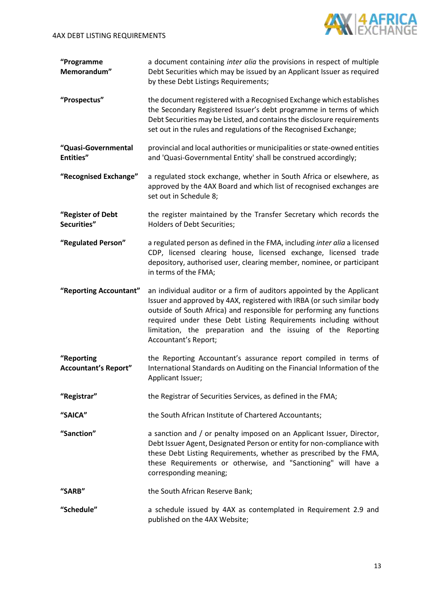

**"Programme Memorandum"** a document containing *inter alia* the provisions in respect of multiple Debt Securities which may be issued by an Applicant Issuer as required by these Debt Listings Requirements;

- **"Prospectus"** the document registered with a Recognised Exchange which establishes the Secondary Registered Issuer's debt programme in terms of which Debt Securities may be Listed, and contains the disclosure requirements set out in the rules and regulations of the Recognised Exchange;
- **"Quasi-Governmental Entities"** provincial and local authorities or municipalities or state-owned entities and 'Quasi-Governmental Entity' shall be construed accordingly;
- **"Recognised Exchange"** a regulated stock exchange, whether in South Africa or elsewhere, as approved by the 4AX Board and which list of recognised exchanges are set out in Schedule 8;
- **"Register of Debt Securities"** the register maintained by the Transfer Secretary which records the Holders of Debt Securities;
- **"Regulated Person"** a regulated person as defined in the FMA, including *inter alia* a licensed CDP, licensed clearing house, licensed exchange, licensed trade depository, authorised user, clearing member, nominee, or participant in terms of the FMA;
- **"Reporting Accountant"** an individual auditor or a firm of auditors appointed by the Applicant Issuer and approved by 4AX, registered with IRBA (or such similar body outside of South Africa) and responsible for performing any functions required under these Debt Listing Requirements including without limitation, the preparation and the issuing of the Reporting Accountant's Report;
- **"Reporting Accountant's Report"** the Reporting Accountant's assurance report compiled in terms of International Standards on Auditing on the Financial Information of the Applicant Issuer;
- **"Registrar"** the Registrar of Securities Services, as defined in the FMA;
- **"SAICA"** the South African Institute of Chartered Accountants;
- **"Sanction"** a sanction and / or penalty imposed on an Applicant Issuer, Director, Debt Issuer Agent, Designated Person or entity for non-compliance with these Debt Listing Requirements, whether as prescribed by the FMA, these Requirements or otherwise, and "Sanctioning" will have a corresponding meaning;
- **"SARB"** the South African Reserve Bank;
- **"Schedule"** a schedule issued by 4AX as contemplated in Requirement [2.9](#page-17-0) and published on the 4AX Website;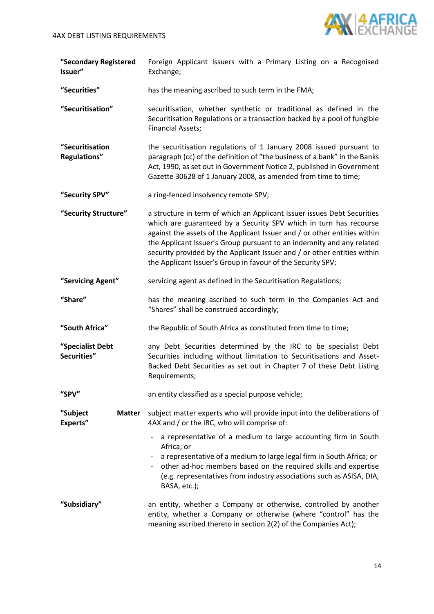

**"Secondary Registered Issuer"** Foreign Applicant Issuers with a Primary Listing on a Recognised Exchange;

**"Securities"** has the meaning ascribed to such term in the FMA;

- **"Securitisation"** securitisation, whether synthetic or traditional as defined in the Securitisation Regulations or a transaction backed by a pool of fungible Financial Assets;
- **"Securitisation Regulations"** the securitisation regulations of 1 January 2008 issued pursuant to paragraph (cc) of the definition of "the business of a bank" in the Banks Act, 1990, as set out in Government Notice 2, published in Government Gazette 30628 of 1 January 2008, as amended from time to time;
- **"Security SPV"** a ring-fenced insolvency remote SPV;
- **"Security Structure"** a structure in term of which an Applicant Issuer issues Debt Securities which are guaranteed by a Security SPV which in turn has recourse against the assets of the Applicant Issuer and / or other entities within the Applicant Issuer's Group pursuant to an indemnity and any related security provided by the Applicant Issuer and / or other entities within the Applicant Issuer's Group in favour of the Security SPV;
- **"Servicing Agent"** servicing agent as defined in the Securitisation Regulations;
- **"Share"** has the meaning ascribed to such term in the Companies Act and "Shares" shall be construed accordingly;
- **"South Africa"** the Republic of South Africa as constituted from time to time;

**"Specialist Debt Securities"** any Debt Securities determined by the IRC to be specialist Debt Securities including without limitation to Securitisations and Asset-Backed Debt Securities as set out in Chapter 7 of these Debt Listing Requirements;

- **"SPV"** an entity classified as a special purpose vehicle;
- **"Subject Matter Experts"** subject matter experts who will provide input into the deliberations of 4AX and / or the IRC, who will comprise of:
	- a representative of a medium to large accounting firm in South Africa; or
	- a representative of a medium to large legal firm in South Africa; or
		- other ad-hoc members based on the required skills and expertise (e.g. representatives from industry associations such as ASISA, DIA, BASA, etc.);
- **"Subsidiary"** an entity, whether a Company or otherwise, controlled by another entity, whether a Company or otherwise (where "control" has the meaning ascribed thereto in section 2(2) of the Companies Act);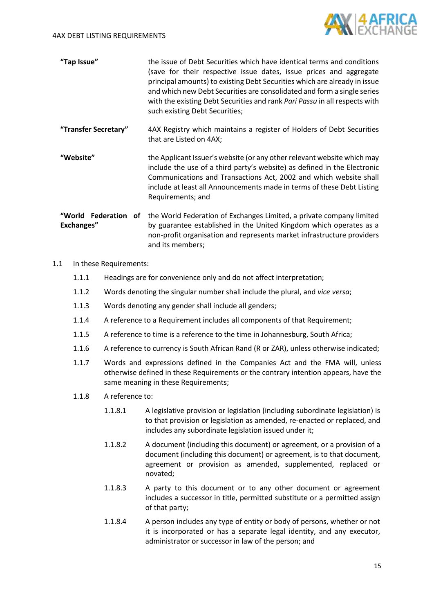

| "Tap Issue" | the issue of Debt Securities which have identical terms and conditions<br>(save for their respective issue dates, issue prices and aggregate<br>principal amounts) to existing Debt Securities which are already in issue<br>and which new Debt Securities are consolidated and form a single series<br>with the existing Debt Securities and rank Pari Passu in all respects with |
|-------------|------------------------------------------------------------------------------------------------------------------------------------------------------------------------------------------------------------------------------------------------------------------------------------------------------------------------------------------------------------------------------------|
|             | such existing Debt Securities;                                                                                                                                                                                                                                                                                                                                                     |

**"Transfer Secretary"** 4AX Registry which maintains a register of Holders of Debt Securities that are Listed on 4AX;

**"Website"** the Applicant Issuer's website (or any other relevant website which may include the use of a third party's website) as defined in the Electronic Communications and Transactions Act, 2002 and which website shall include at least all Announcements made in terms of these Debt Listing Requirements; and

**"World Federation of**  the World Federation of Exchanges Limited, a private company limited **Exchanges"** by guarantee established in the United Kingdom which operates as a non-profit organisation and represents market infrastructure providers and its members;

- 1.1 In these Requirements:
	- 1.1.1 Headings are for convenience only and do not affect interpretation;
	- 1.1.2 Words denoting the singular number shall include the plural, and *vice versa*;
	- 1.1.3 Words denoting any gender shall include all genders;
	- 1.1.4 A reference to a Requirement includes all components of that Requirement;
	- 1.1.5 A reference to time is a reference to the time in Johannesburg, South Africa;
	- 1.1.6 A reference to currency is South African Rand (R or ZAR), unless otherwise indicated;
	- 1.1.7 Words and expressions defined in the Companies Act and the FMA will, unless otherwise defined in these Requirements or the contrary intention appears, have the same meaning in these Requirements;
	- 1.1.8 A reference to:
		- 1.1.8.1 A legislative provision or legislation (including subordinate legislation) is to that provision or legislation as amended, re-enacted or replaced, and includes any subordinate legislation issued under it;
		- 1.1.8.2 A document (including this document) or agreement, or a provision of a document (including this document) or agreement, is to that document, agreement or provision as amended, supplemented, replaced or novated;
		- 1.1.8.3 A party to this document or to any other document or agreement includes a successor in title, permitted substitute or a permitted assign of that party;
		- 1.1.8.4 A person includes any type of entity or body of persons, whether or not it is incorporated or has a separate legal identity, and any executor, administrator or successor in law of the person; and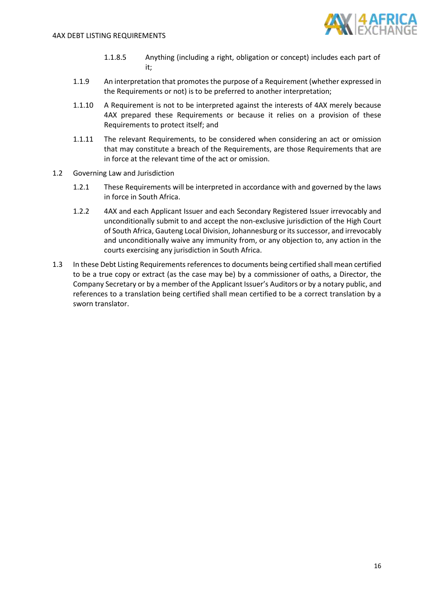

- 1.1.8.5 Anything (including a right, obligation or concept) includes each part of it;
- 1.1.9 An interpretation that promotes the purpose of a Requirement (whether expressed in the Requirements or not) is to be preferred to another interpretation;
- 1.1.10 A Requirement is not to be interpreted against the interests of 4AX merely because 4AX prepared these Requirements or because it relies on a provision of these Requirements to protect itself; and
- 1.1.11 The relevant Requirements, to be considered when considering an act or omission that may constitute a breach of the Requirements, are those Requirements that are in force at the relevant time of the act or omission.
- 1.2 Governing Law and Jurisdiction
	- 1.2.1 These Requirements will be interpreted in accordance with and governed by the laws in force in South Africa.
	- 1.2.2 4AX and each Applicant Issuer and each Secondary Registered Issuer irrevocably and unconditionally submit to and accept the non-exclusive jurisdiction of the High Court of South Africa, Gauteng Local Division, Johannesburg or its successor, and irrevocably and unconditionally waive any immunity from, or any objection to, any action in the courts exercising any jurisdiction in South Africa.
- 1.3 In these Debt Listing Requirements references to documents being certified shall mean certified to be a true copy or extract (as the case may be) by a commissioner of oaths, a Director, the Company Secretary or by a member of the Applicant Issuer's Auditors or by a notary public, and references to a translation being certified shall mean certified to be a correct translation by a sworn translator.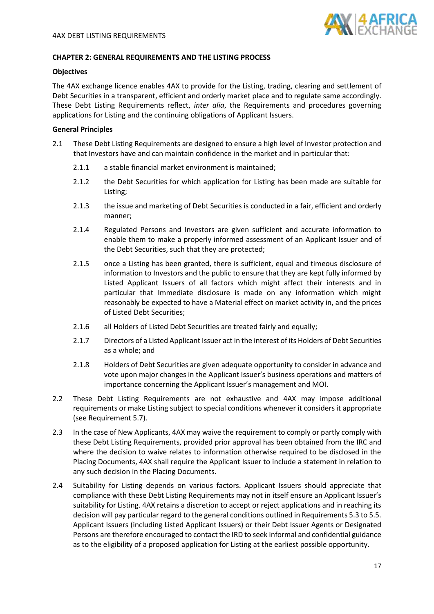

#### <span id="page-16-0"></span>**CHAPTER 2: GENERAL REQUIREMENTS AND THE LISTING PROCESS**

## **Objectives**

The 4AX exchange licence enables 4AX to provide for the Listing, trading, clearing and settlement of Debt Securities in a transparent, efficient and orderly market place and to regulate same accordingly. These Debt Listing Requirements reflect, *inter alia*, the Requirements and procedures governing applications for Listing and the continuing obligations of Applicant Issuers.

#### **General Principles**

- <span id="page-16-1"></span>2.1 These Debt Listing Requirements are designed to ensure a high level of Investor protection and that Investors have and can maintain confidence in the market and in particular that:
	- 2.1.1 a stable financial market environment is maintained;
	- 2.1.2 the Debt Securities for which application for Listing has been made are suitable for Listing;
	- 2.1.3 the issue and marketing of Debt Securities is conducted in a fair, efficient and orderly manner;
	- 2.1.4 Regulated Persons and Investors are given sufficient and accurate information to enable them to make a properly informed assessment of an Applicant Issuer and of the Debt Securities, such that they are protected;
	- 2.1.5 once a Listing has been granted, there is sufficient, equal and timeous disclosure of information to Investors and the public to ensure that they are kept fully informed by Listed Applicant Issuers of all factors which might affect their interests and in particular that Immediate disclosure is made on any information which might reasonably be expected to have a Material effect on market activity in, and the prices of Listed Debt Securities;
	- 2.1.6 all Holders of Listed Debt Securities are treated fairly and equally;
	- 2.1.7 Directors of a Listed Applicant Issuer act in the interest of its Holders of Debt Securities as a whole; and
	- 2.1.8 Holders of Debt Securities are given adequate opportunity to consider in advance and vote upon major changes in the Applicant Issuer's business operations and matters of importance concerning the Applicant Issuer's management and MOI.
- 2.2 These Debt Listing Requirements are not exhaustive and 4AX may impose additional requirements or make Listing subject to special conditions whenever it considers it appropriate (see Requirement [5.7\)](#page-32-1).
- 2.3 In the case of New Applicants, 4AX may waive the requirement to comply or partly comply with these Debt Listing Requirements, provided prior approval has been obtained from the IRC and where the decision to waive relates to information otherwise required to be disclosed in the Placing Documents, 4AX shall require the Applicant Issuer to include a statement in relation to any such decision in the Placing Documents.
- <span id="page-16-2"></span>2.4 Suitability for Listing depends on various factors. Applicant Issuers should appreciate that compliance with these Debt Listing Requirements may not in itself ensure an Applicant Issuer's suitability for Listing. 4AX retains a discretion to accept or reject applications and in reaching its decision will pay particular regard to the general conditions outlined in Requirement[s 5.3](#page-32-2) t[o 5.5.](#page-32-3) Applicant Issuers (including Listed Applicant Issuers) or their Debt Issuer Agents or Designated Persons are therefore encouraged to contact the IRD to seek informal and confidential guidance as to the eligibility of a proposed application for Listing at the earliest possible opportunity.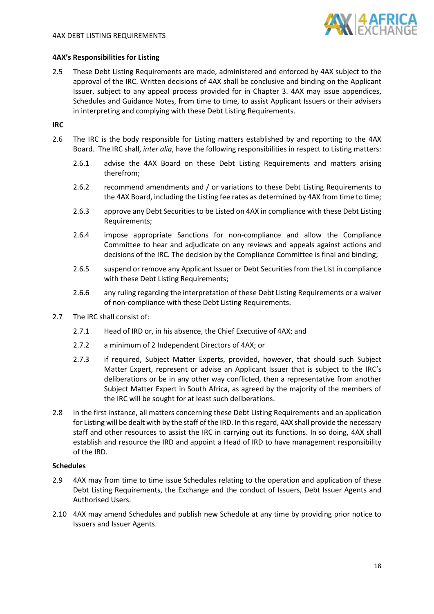

## **4AX's Responsibilities for Listing**

2.5 These Debt Listing Requirements are made, administered and enforced by 4AX subject to the approval of the IRC. Written decisions of 4AX shall be conclusive and binding on the Applicant Issuer, subject to any appeal process provided for in Chapter 3. 4AX may issue appendices, Schedules and Guidance Notes, from time to time, to assist Applicant Issuers or their advisers in interpreting and complying with these Debt Listing Requirements.

# **IRC**

- 2.6 The IRC is the body responsible for Listing matters established by and reporting to the 4AX Board. The IRC shall, *inter alia*, have the following responsibilities in respect to Listing matters:
	- 2.6.1 advise the 4AX Board on these Debt Listing Requirements and matters arising therefrom;
	- 2.6.2 recommend amendments and / or variations to these Debt Listing Requirements to the 4AX Board, including the Listing fee rates as determined by 4AX from time to time;
	- 2.6.3 approve any Debt Securities to be Listed on 4AX in compliance with these Debt Listing Requirements;
	- 2.6.4 impose appropriate Sanctions for non-compliance and allow the Compliance Committee to hear and adjudicate on any reviews and appeals against actions and decisions of the IRC. The decision by the Compliance Committee is final and binding;
	- 2.6.5 suspend or remove any Applicant Issuer or Debt Securities from the List in compliance with these Debt Listing Requirements;
	- 2.6.6 any ruling regarding the interpretation of these Debt Listing Requirements or a waiver of non-compliance with these Debt Listing Requirements.
- 2.7 The IRC shall consist of:
	- 2.7.1 Head of IRD or, in his absence, the Chief Executive of 4AX; and
	- 2.7.2 a minimum of 2 Independent Directors of 4AX; or
	- 2.7.3 if required, Subject Matter Experts, provided, however, that should such Subject Matter Expert, represent or advise an Applicant Issuer that is subject to the IRC's deliberations or be in any other way conflicted, then a representative from another Subject Matter Expert in South Africa, as agreed by the majority of the members of the IRC will be sought for at least such deliberations.
- 2.8 In the first instance, all matters concerning these Debt Listing Requirements and an application for Listing will be dealt with by the staff of the IRD. In this regard, 4AX shall provide the necessary staff and other resources to assist the IRC in carrying out its functions. In so doing, 4AX shall establish and resource the IRD and appoint a Head of IRD to have management responsibility of the IRD.

#### **Schedules**

- <span id="page-17-0"></span>2.9 4AX may from time to time issue Schedules relating to the operation and application of these Debt Listing Requirements, the Exchange and the conduct of Issuers, Debt Issuer Agents and Authorised Users.
- 2.10 4AX may amend Schedules and publish new Schedule at any time by providing prior notice to Issuers and Issuer Agents.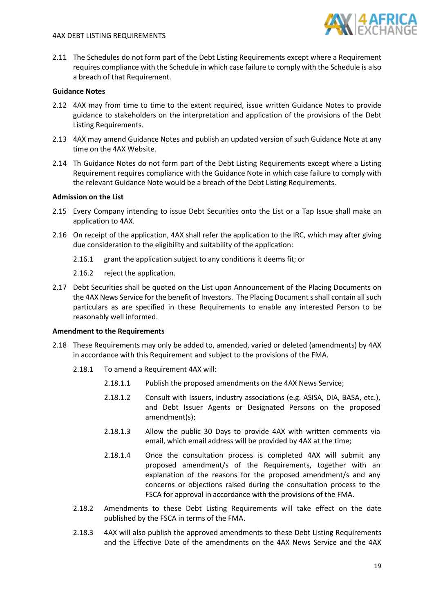

2.11 The Schedules do not form part of the Debt Listing Requirements except where a Requirement requires compliance with the Schedule in which case failure to comply with the Schedule is also a breach of that Requirement.

# **Guidance Notes**

- <span id="page-18-1"></span>2.12 4AX may from time to time to the extent required, issue written Guidance Notes to provide guidance to stakeholders on the interpretation and application of the provisions of the Debt Listing Requirements.
- 2.13 4AX may amend Guidance Notes and publish an updated version of such Guidance Note at any time on the 4AX Website.
- 2.14 Th Guidance Notes do not form part of the Debt Listing Requirements except where a Listing Requirement requires compliance with the Guidance Note in which case failure to comply with the relevant Guidance Note would be a breach of the Debt Listing Requirements.

# **Admission on the List**

- 2.15 Every Company intending to issue Debt Securities onto the List or a Tap Issue shall make an application to 4AX.
- 2.16 On receipt of the application, 4AX shall refer the application to the IRC, which may after giving due consideration to the eligibility and suitability of the application:
	- 2.16.1 grant the application subject to any conditions it deems fit; or
	- 2.16.2 reject the application.
- 2.17 Debt Securities shall be quoted on the List upon Announcement of the Placing Documents on the 4AX News Service for the benefit of Investors. The Placing Document s shall contain all such particulars as are specified in these Requirements to enable any interested Person to be reasonably well informed.

#### **Amendment to the Requirements**

- <span id="page-18-0"></span>2.18 These Requirements may only be added to, amended, varied or deleted (amendments) by 4AX in accordance with this Requirement and subject to the provisions of the FMA.
	- 2.18.1 To amend a Requirement 4AX will:
		- 2.18.1.1 Publish the proposed amendments on the 4AX News Service;
		- 2.18.1.2 Consult with Issuers, industry associations (e.g. ASISA, DIA, BASA, etc.), and Debt Issuer Agents or Designated Persons on the proposed amendment(s);
		- 2.18.1.3 Allow the public 30 Days to provide 4AX with written comments via email, which email address will be provided by 4AX at the time;
		- 2.18.1.4 Once the consultation process is completed 4AX will submit any proposed amendment/s of the Requirements, together with an explanation of the reasons for the proposed amendment/s and any concerns or objections raised during the consultation process to the FSCA for approval in accordance with the provisions of the FMA.
	- 2.18.2 Amendments to these Debt Listing Requirements will take effect on the date published by the FSCA in terms of the FMA.
	- 2.18.3 4AX will also publish the approved amendments to these Debt Listing Requirements and the Effective Date of the amendments on the 4AX News Service and the 4AX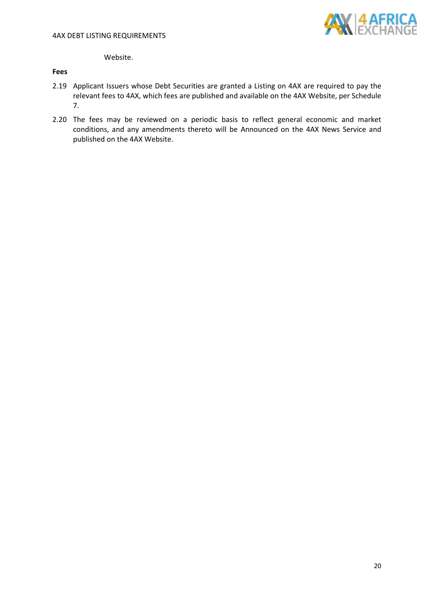

Website.

# **Fees**

- 2.19 Applicant Issuers whose Debt Securities are granted a Listing on 4AX are required to pay the relevant fees to 4AX, which fees are published and available on the 4AX Website, per Schedule 7.
- 2.20 The fees may be reviewed on a periodic basis to reflect general economic and market conditions, and any amendments thereto will be Announced on the 4AX News Service and published on the 4AX Website.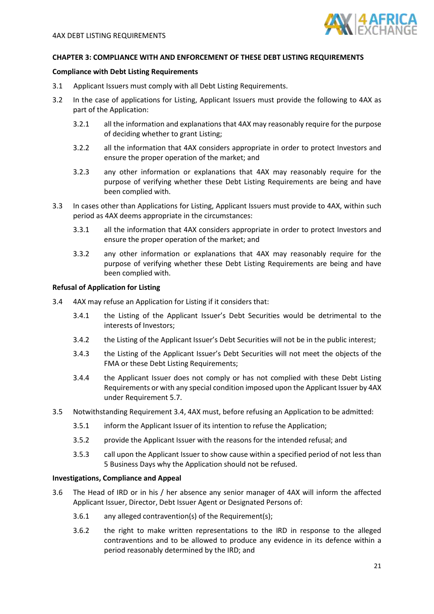

#### <span id="page-20-0"></span>**CHAPTER 3: COMPLIANCE WITH AND ENFORCEMENT OF THESE DEBT LISTING REQUIREMENTS**

#### **Compliance with Debt Listing Requirements**

- 3.1 Applicant Issuers must comply with all Debt Listing Requirements.
- 3.2 In the case of applications for Listing, Applicant Issuers must provide the following to 4AX as part of the Application:
	- 3.2.1 all the information and explanations that 4AX may reasonably require for the purpose of deciding whether to grant Listing;
	- 3.2.2 all the information that 4AX considers appropriate in order to protect Investors and ensure the proper operation of the market; and
	- 3.2.3 any other information or explanations that 4AX may reasonably require for the purpose of verifying whether these Debt Listing Requirements are being and have been complied with.
- 3.3 In cases other than Applications for Listing, Applicant Issuers must provide to 4AX, within such period as 4AX deems appropriate in the circumstances:
	- 3.3.1 all the information that 4AX considers appropriate in order to protect Investors and ensure the proper operation of the market; and
	- 3.3.2 any other information or explanations that 4AX may reasonably require for the purpose of verifying whether these Debt Listing Requirements are being and have been complied with.

#### **Refusal of Application for Listing**

- <span id="page-20-1"></span>3.4 4AX may refuse an Application for Listing if it considers that:
	- 3.4.1 the Listing of the Applicant Issuer's Debt Securities would be detrimental to the interests of Investors;
	- 3.4.2 the Listing of the Applicant Issuer's Debt Securities will not be in the public interest;
	- 3.4.3 the Listing of the Applicant Issuer's Debt Securities will not meet the objects of the FMA or these Debt Listing Requirements;
	- 3.4.4 the Applicant Issuer does not comply or has not complied with these Debt Listing Requirements or with any special condition imposed upon the Applicant Issuer by 4AX under Requirement [5.7.](#page-32-1)
- 3.5 Notwithstanding Requirement [3.4,](#page-20-1) 4AX must, before refusing an Application to be admitted:
	- 3.5.1 inform the Applicant Issuer of its intention to refuse the Application;
	- 3.5.2 provide the Applicant Issuer with the reasons for the intended refusal; and
	- 3.5.3 call upon the Applicant Issuer to show cause within a specified period of not less than 5 Business Days why the Application should not be refused.

#### **Investigations, Compliance and Appeal**

- <span id="page-20-2"></span>3.6 The Head of IRD or in his / her absence any senior manager of 4AX will inform the affected Applicant Issuer, Director, Debt Issuer Agent or Designated Persons of:
	- 3.6.1 any alleged contravention(s) of the Requirement(s);
	- 3.6.2 the right to make written representations to the IRD in response to the alleged contraventions and to be allowed to produce any evidence in its defence within a period reasonably determined by the IRD; and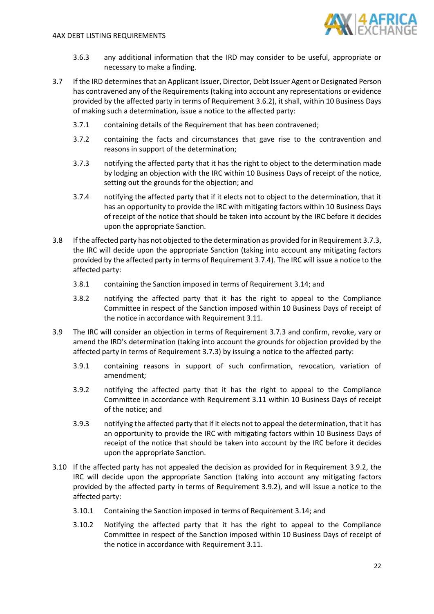

- 3.6.3 any additional information that the IRD may consider to be useful, appropriate or necessary to make a finding.
- 3.7 If the IRD determines that an Applicant Issuer, Director, Debt Issuer Agent or Designated Person has contravened any of the Requirements (taking into account any representations or evidence provided by the affected party in terms of Requirement [3.6.2\)](#page-20-2), it shall, within 10 Business Days of making such a determination, issue a notice to the affected party:
	- 3.7.1 containing details of the Requirement that has been contravened;
	- 3.7.2 containing the facts and circumstances that gave rise to the contravention and reasons in support of the determination;
	- 3.7.3 notifying the affected party that it has the right to object to the determination made by lodging an objection with the IRC within 10 Business Days of receipt of the notice, setting out the grounds for the objection; and
	- 3.7.4 notifying the affected party that if it elects not to object to the determination, that it has an opportunity to provide the IRC with mitigating factors within 10 Business Days of receipt of the notice that should be taken into account by the IRC before it decides upon the appropriate Sanction.
- <span id="page-21-5"></span><span id="page-21-1"></span><span id="page-21-0"></span>3.8 If the affected party has not objected to the determination as provided for in Requirement [3.7.3,](#page-21-0) the IRC will decide upon the appropriate Sanction (taking into account any mitigating factors provided by the affected party in terms of Requirement [3.7.4\)](#page-21-1). The IRC will issue a notice to the affected party:
	- 3.8.1 containing the Sanction imposed in terms of Requirement [3.14;](#page-23-0) and
	- 3.8.2 notifying the affected party that it has the right to appeal to the Compliance Committee in respect of the Sanction imposed within 10 Business Days of receipt of the notice in accordance with Requirement [3.11.](#page-22-0)
- <span id="page-21-3"></span><span id="page-21-2"></span>3.9 The IRC will consider an objection in terms of Requirement [3.7.3](#page-21-0) and confirm, revoke, vary or amend the IRD's determination (taking into account the grounds for objection provided by the affected party in terms of Requirement [3.7.3\)](#page-21-0) by issuing a notice to the affected party:
	- 3.9.1 containing reasons in support of such confirmation, revocation, variation of amendment;
	- 3.9.2 notifying the affected party that it has the right to appeal to the Compliance Committee in accordance with Requirement [3.11](#page-22-0) within 10 Business Days of receipt of the notice; and
	- 3.9.3 notifying the affected party that if it elects not to appeal the determination, that it has an opportunity to provide the IRC with mitigating factors within 10 Business Days of receipt of the notice that should be taken into account by the IRC before it decides upon the appropriate Sanction.
- <span id="page-21-4"></span>3.10 If the affected party has not appealed the decision as provided for in Requirement [3.9.2,](#page-21-2) the IRC will decide upon the appropriate Sanction (taking into account any mitigating factors provided by the affected party in terms of Requirement [3.9.2\)](#page-21-2), and will issue a notice to the affected party:
	- 3.10.1 Containing the Sanction imposed in terms of Requirement [3.14;](#page-23-0) and
	- 3.10.2 Notifying the affected party that it has the right to appeal to the Compliance Committee in respect of the Sanction imposed within 10 Business Days of receipt of the notice in accordance with Requiremen[t 3.11.](#page-22-0)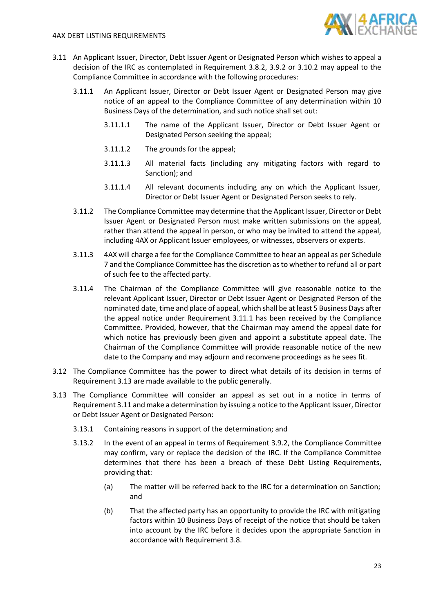

- <span id="page-22-1"></span><span id="page-22-0"></span>3.11 An Applicant Issuer, Director, Debt Issuer Agent or Designated Person which wishes to appeal a decision of the IRC as contemplated in Requirement [3.8.2,](#page-21-3) [3.9.2](#page-21-2) or [3.10.2](#page-21-4) may appeal to the Compliance Committee in accordance with the following procedures:
	- 3.11.1 An Applicant Issuer, Director or Debt Issuer Agent or Designated Person may give notice of an appeal to the Compliance Committee of any determination within 10 Business Days of the determination, and such notice shall set out:
		- 3.11.1.1 The name of the Applicant Issuer, Director or Debt Issuer Agent or Designated Person seeking the appeal;
		- 3.11.1.2 The grounds for the appeal;
		- 3.11.1.3 All material facts (including any mitigating factors with regard to Sanction); and
		- 3.11.1.4 All relevant documents including any on which the Applicant Issuer, Director or Debt Issuer Agent or Designated Person seeks to rely.
	- 3.11.2 The Compliance Committee may determine that the Applicant Issuer, Director or Debt Issuer Agent or Designated Person must make written submissions on the appeal, rather than attend the appeal in person, or who may be invited to attend the appeal, including 4AX or Applicant Issuer employees, or witnesses, observers or experts.
	- 3.11.3 4AX will charge a fee for the Compliance Committee to hear an appeal as per Schedule 7 and the Compliance Committee has the discretion as to whether to refund all or part of such fee to the affected party.
	- 3.11.4 The Chairman of the Compliance Committee will give reasonable notice to the relevant Applicant Issuer, Director or Debt Issuer Agent or Designated Person of the nominated date, time and place of appeal, which shall be at least 5 Business Days after the appeal notice under Requirement [3.11.1](#page-22-1) has been received by the Compliance Committee. Provided, however, that the Chairman may amend the appeal date for which notice has previously been given and appoint a substitute appeal date. The Chairman of the Compliance Committee will provide reasonable notice of the new date to the Company and may adjourn and reconvene proceedings as he sees fit.
- 3.12 The Compliance Committee has the power to direct what details of its decision in terms of Requiremen[t 3.13](#page-22-2) are made available to the public generally.
- <span id="page-22-2"></span>3.13 The Compliance Committee will consider an appeal as set out in a notice in terms of Requiremen[t 3.11](#page-22-0) and make a determination by issuing a notice to the Applicant Issuer, Director or Debt Issuer Agent or Designated Person:
	- 3.13.1 Containing reasons in support of the determination; and
	- 3.13.2 In the event of an appeal in terms of Requirement [3.9.2,](#page-21-2) the Compliance Committee may confirm, vary or replace the decision of the IRC. If the Compliance Committee determines that there has been a breach of these Debt Listing Requirements, providing that:
		- (a) The matter will be referred back to the IRC for a determination on Sanction; and
		- (b) That the affected party has an opportunity to provide the IRC with mitigating factors within 10 Business Days of receipt of the notice that should be taken into account by the IRC before it decides upon the appropriate Sanction in accordance with Requirement [3.8.](#page-21-5)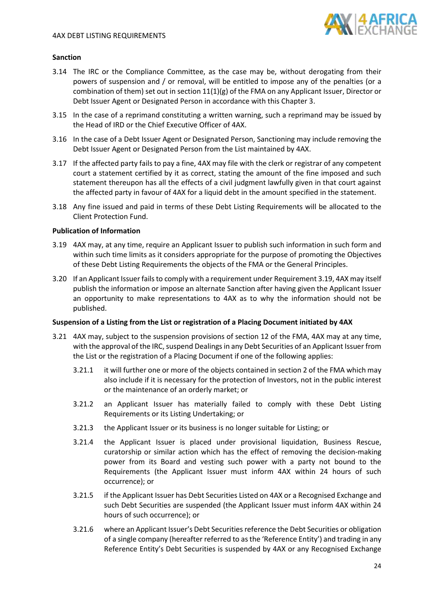

# **Sanction**

- <span id="page-23-0"></span>3.14 The IRC or the Compliance Committee, as the case may be, without derogating from their powers of suspension and / or removal, will be entitled to impose any of the penalties (or a combination of them) set out in section 11(1)(g) of the FMA on any Applicant Issuer, Director or Debt Issuer Agent or Designated Person in accordance with this Chapter 3.
- 3.15 In the case of a reprimand constituting a written warning, such a reprimand may be issued by the Head of IRD or the Chief Executive Officer of 4AX.
- 3.16 In the case of a Debt Issuer Agent or Designated Person, Sanctioning may include removing the Debt Issuer Agent or Designated Person from the List maintained by 4AX.
- 3.17 If the affected party fails to pay a fine, 4AX may file with the clerk or registrar of any competent court a statement certified by it as correct, stating the amount of the fine imposed and such statement thereupon has all the effects of a civil judgment lawfully given in that court against the affected party in favour of 4AX for a liquid debt in the amount specified in the statement.
- 3.18 Any fine issued and paid in terms of these Debt Listing Requirements will be allocated to the Client Protection Fund.

#### **Publication of Information**

- <span id="page-23-1"></span>3.19 4AX may, at any time, require an Applicant Issuer to publish such information in such form and within such time limits as it considers appropriate for the purpose of promoting the Objectives of these Debt Listing Requirements the objects of the FMA or the General Principles.
- 3.20 If an Applicant Issuer fails to comply with a requirement under Requirement [3.19,](#page-23-1) 4AX may itself publish the information or impose an alternate Sanction after having given the Applicant Issuer an opportunity to make representations to 4AX as to why the information should not be published.

#### **Suspension of a Listing from the List or registration of a Placing Document initiated by 4AX**

- 3.21 4AX may, subject to the suspension provisions of section 12 of the FMA, 4AX may at any time, with the approval of the IRC, suspend Dealings in any Debt Securities of an Applicant Issuer from the List or the registration of a Placing Document if one of the following applies:
	- 3.21.1 it will further one or more of the objects contained in section 2 of the FMA which may also include if it is necessary for the protection of Investors, not in the public interest or the maintenance of an orderly market; or
	- 3.21.2 an Applicant Issuer has materially failed to comply with these Debt Listing Requirements or its Listing Undertaking; or
	- 3.21.3 the Applicant Issuer or its business is no longer suitable for Listing; or
	- 3.21.4 the Applicant Issuer is placed under provisional liquidation, Business Rescue, curatorship or similar action which has the effect of removing the decision-making power from its Board and vesting such power with a party not bound to the Requirements (the Applicant Issuer must inform 4AX within 24 hours of such occurrence); or
	- 3.21.5 if the Applicant Issuer has Debt Securities Listed on 4AX or a Recognised Exchange and such Debt Securities are suspended (the Applicant Issuer must inform 4AX within 24 hours of such occurrence); or
	- 3.21.6 where an Applicant Issuer's Debt Securities reference the Debt Securities or obligation of a single company (hereafter referred to asthe 'Reference Entity') and trading in any Reference Entity's Debt Securities is suspended by 4AX or any Recognised Exchange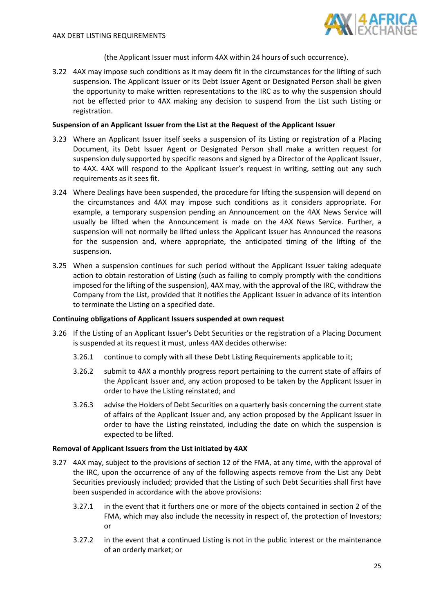

# (the Applicant Issuer must inform 4AX within 24 hours of such occurrence).

3.22 4AX may impose such conditions as it may deem fit in the circumstances for the lifting of such suspension. The Applicant Issuer or its Debt Issuer Agent or Designated Person shall be given the opportunity to make written representations to the IRC as to why the suspension should not be effected prior to 4AX making any decision to suspend from the List such Listing or registration.

# **Suspension of an Applicant Issuer from the List at the Request of the Applicant Issuer**

- 3.23 Where an Applicant Issuer itself seeks a suspension of its Listing or registration of a Placing Document, its Debt Issuer Agent or Designated Person shall make a written request for suspension duly supported by specific reasons and signed by a Director of the Applicant Issuer, to 4AX. 4AX will respond to the Applicant Issuer's request in writing, setting out any such requirements as it sees fit.
- 3.24 Where Dealings have been suspended, the procedure for lifting the suspension will depend on the circumstances and 4AX may impose such conditions as it considers appropriate. For example, a temporary suspension pending an Announcement on the 4AX News Service will usually be lifted when the Announcement is made on the 4AX News Service. Further, a suspension will not normally be lifted unless the Applicant Issuer has Announced the reasons for the suspension and, where appropriate, the anticipated timing of the lifting of the suspension.
- 3.25 When a suspension continues for such period without the Applicant Issuer taking adequate action to obtain restoration of Listing (such as failing to comply promptly with the conditions imposed for the lifting of the suspension), 4AX may, with the approval of the IRC, withdraw the Company from the List, provided that it notifies the Applicant Issuer in advance of its intention to terminate the Listing on a specified date.

#### **Continuing obligations of Applicant Issuers suspended at own request**

- 3.26 If the Listing of an Applicant Issuer's Debt Securities or the registration of a Placing Document is suspended at its request it must, unless 4AX decides otherwise:
	- 3.26.1 continue to comply with all these Debt Listing Requirements applicable to it;
	- 3.26.2 submit to 4AX a monthly progress report pertaining to the current state of affairs of the Applicant Issuer and, any action proposed to be taken by the Applicant Issuer in order to have the Listing reinstated; and
	- 3.26.3 advise the Holders of Debt Securities on a quarterly basis concerning the current state of affairs of the Applicant Issuer and, any action proposed by the Applicant Issuer in order to have the Listing reinstated, including the date on which the suspension is expected to be lifted.

#### **Removal of Applicant Issuers from the List initiated by 4AX**

- 3.27 4AX may, subject to the provisions of section 12 of the FMA, at any time, with the approval of the IRC, upon the occurrence of any of the following aspects remove from the List any Debt Securities previously included; provided that the Listing of such Debt Securities shall first have been suspended in accordance with the above provisions:
	- 3.27.1 in the event that it furthers one or more of the objects contained in section 2 of the FMA, which may also include the necessity in respect of, the protection of Investors; or
	- 3.27.2 in the event that a continued Listing is not in the public interest or the maintenance of an orderly market; or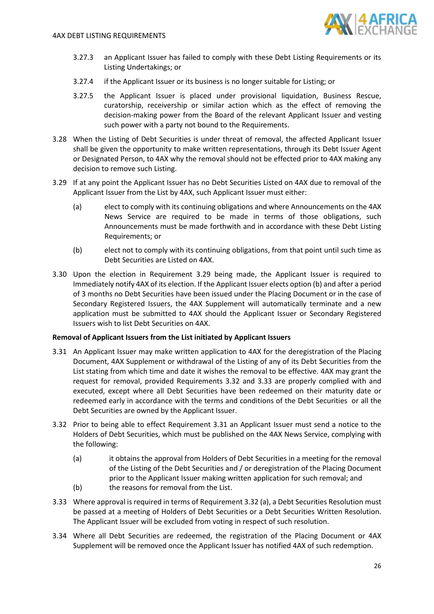

- 3.27.3 an Applicant Issuer has failed to comply with these Debt Listing Requirements or its Listing Undertakings; or
- 3.27.4 if the Applicant Issuer or its business is no longer suitable for Listing; or
- 3.27.5 the Applicant Issuer is placed under provisional liquidation, Business Rescue, curatorship, receivership or similar action which as the effect of removing the decision-making power from the Board of the relevant Applicant Issuer and vesting such power with a party not bound to the Requirements.
- 3.28 When the Listing of Debt Securities is under threat of removal, the affected Applicant Issuer shall be given the opportunity to make written representations, through its Debt Issuer Agent or Designated Person, to 4AX why the removal should not be effected prior to 4AX making any decision to remove such Listing.
- 3.29 If at any point the Applicant Issuer has no Debt Securities Listed on 4AX due to removal of the Applicant Issuer from the List by 4AX, such Applicant Issuer must either:
	- (a) elect to comply with its continuing obligations and where Announcements on the 4AX News Service are required to be made in terms of those obligations, such Announcements must be made forthwith and in accordance with these Debt Listing Requirements; or
	- (b) elect not to comply with its continuing obligations, from that point until such time as Debt Securities are Listed on 4AX.
- 3.30 Upon the election in Requirement 3.29 being made, the Applicant Issuer is required to Immediately notify 4AX of its election. If the Applicant Issuer elects option (b) and after a period of 3 months no Debt Securities have been issued under the Placing Document or in the case of Secondary Registered Issuers, the 4AX Supplement will automatically terminate and a new application must be submitted to 4AX should the Applicant Issuer or Secondary Registered Issuers wish to list Debt Securities on 4AX.

#### **Removal of Applicant Issuers from the List initiated by Applicant Issuers**

- <span id="page-25-2"></span>3.31 An Applicant Issuer may make written application to 4AX for the deregistration of the Placing Document, 4AX Supplement or withdrawal of the Listing of any of its Debt Securities from the List stating from which time and date it wishes the removal to be effective. 4AX may grant the request for removal, provided Requirements [3.32](#page-25-0) and [3.33](#page-25-1) are properly complied with and executed, except where all Debt Securities have been redeemed on their maturity date or redeemed early in accordance with the terms and conditions of the Debt Securities or all the Debt Securities are owned by the Applicant Issuer.
- <span id="page-25-0"></span>3.32 Prior to being able to effect Requirement [3.31](#page-25-2) an Applicant Issuer must send a notice to the Holders of Debt Securities, which must be published on the 4AX News Service, complying with the following:
	- (a) it obtains the approval from Holders of Debt Securities in a meeting for the removal of the Listing of the Debt Securities and / or deregistration of the Placing Document prior to the Applicant Issuer making written application for such removal; and
	- (b) the reasons for removal from the List.
- <span id="page-25-1"></span>3.33 Where approval is required in terms of Requiremen[t 3.32](#page-25-0) (a), a Debt Securities Resolution must be passed at a meeting of Holders of Debt Securities or a Debt Securities Written Resolution. The Applicant Issuer will be excluded from voting in respect of such resolution.
- 3.34 Where all Debt Securities are redeemed, the registration of the Placing Document or 4AX Supplement will be removed once the Applicant Issuer has notified 4AX of such redemption.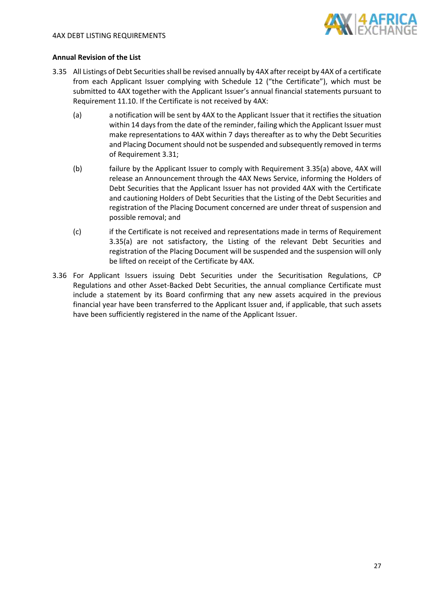

# **Annual Revision of the List**

- <span id="page-26-0"></span>3.35 All Listings of Debt Securities shall be revised annually by 4AX after receipt by 4AX of a certificate from each Applicant Issuer complying with Schedule 12 ("the Certificate"), which must be submitted to 4AX together with the Applicant Issuer's annual financial statements pursuant to Requirement [11.10.](#page-62-0) If the Certificate is not received by 4AX:
	- (a) a notification will be sent by 4AX to the Applicant Issuer that it rectifies the situation within 14 days from the date of the reminder, failing which the Applicant Issuer must make representations to 4AX within 7 days thereafter as to why the Debt Securities and Placing Document should not be suspended and subsequently removed in terms of Requirement [3.31;](#page-25-2)
	- (b) failure by the Applicant Issuer to comply with Requirement [3.35\(](#page-26-0)a) above, 4AX will release an Announcement through the 4AX News Service, informing the Holders of Debt Securities that the Applicant Issuer has not provided 4AX with the Certificate and cautioning Holders of Debt Securities that the Listing of the Debt Securities and registration of the Placing Document concerned are under threat of suspension and possible removal; and
	- (c) if the Certificate is not received and representations made in terms of Requirement [3.35\(](#page-26-0)a) are not satisfactory, the Listing of the relevant Debt Securities and registration of the Placing Document will be suspended and the suspension will only be lifted on receipt of the Certificate by 4AX.
- 3.36 For Applicant Issuers issuing Debt Securities under the Securitisation Regulations, CP Regulations and other Asset-Backed Debt Securities, the annual compliance Certificate must include a statement by its Board confirming that any new assets acquired in the previous financial year have been transferred to the Applicant Issuer and, if applicable, that such assets have been sufficiently registered in the name of the Applicant Issuer.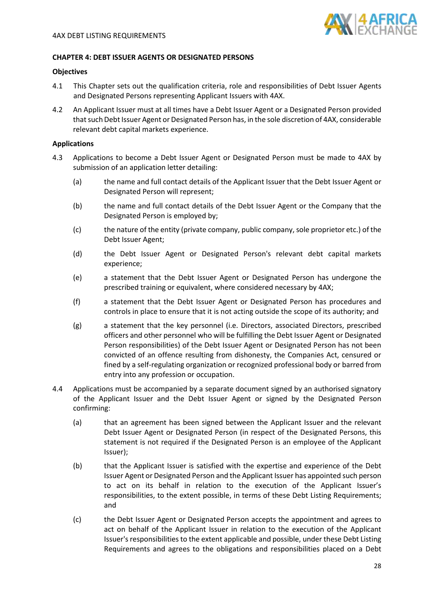<span id="page-27-1"></span>

#### <span id="page-27-0"></span>**CHAPTER 4: DEBT ISSUER AGENTS OR DESIGNATED PERSONS**

#### **Objectives**

- 4.1 This Chapter sets out the qualification criteria, role and responsibilities of Debt Issuer Agents and Designated Persons representing Applicant Issuers with 4AX.
- 4.2 An Applicant Issuer must at all times have a Debt Issuer Agent or a Designated Person provided that such Debt Issuer Agent or Designated Person has, in the sole discretion of 4AX, considerable relevant debt capital markets experience.

#### **Applications**

- 4.3 Applications to become a Debt Issuer Agent or Designated Person must be made to 4AX by submission of an application letter detailing:
	- (a) the name and full contact details of the Applicant Issuer that the Debt Issuer Agent or Designated Person will represent;
	- (b) the name and full contact details of the Debt Issuer Agent or the Company that the Designated Person is employed by;
	- (c) the nature of the entity (private company, public company, sole proprietor etc.) of the Debt Issuer Agent;
	- (d) the Debt Issuer Agent or Designated Person's relevant debt capital markets experience;
	- (e) a statement that the Debt Issuer Agent or Designated Person has undergone the prescribed training or equivalent, where considered necessary by 4AX;
	- (f) a statement that the Debt Issuer Agent or Designated Person has procedures and controls in place to ensure that it is not acting outside the scope of its authority; and
	- (g) a statement that the key personnel (i.e. Directors, associated Directors, prescribed officers and other personnel who will be fulfilling the Debt Issuer Agent or Designated Person responsibilities) of the Debt Issuer Agent or Designated Person has not been convicted of an offence resulting from dishonesty, the Companies Act, censured or fined by a self-regulating organization or recognized professional body or barred from entry into any profession or occupation.
- 4.4 Applications must be accompanied by a separate document signed by an authorised signatory of the Applicant Issuer and the Debt Issuer Agent or signed by the Designated Person confirming:
	- (a) that an agreement has been signed between the Applicant Issuer and the relevant Debt Issuer Agent or Designated Person (in respect of the Designated Persons, this statement is not required if the Designated Person is an employee of the Applicant Issuer);
	- (b) that the Applicant Issuer is satisfied with the expertise and experience of the Debt Issuer Agent or Designated Person and the Applicant Issuer has appointed such person to act on its behalf in relation to the execution of the Applicant Issuer's responsibilities, to the extent possible, in terms of these Debt Listing Requirements; and
	- (c) the Debt Issuer Agent or Designated Person accepts the appointment and agrees to act on behalf of the Applicant Issuer in relation to the execution of the Applicant Issuer's responsibilities to the extent applicable and possible, under these Debt Listing Requirements and agrees to the obligations and responsibilities placed on a Debt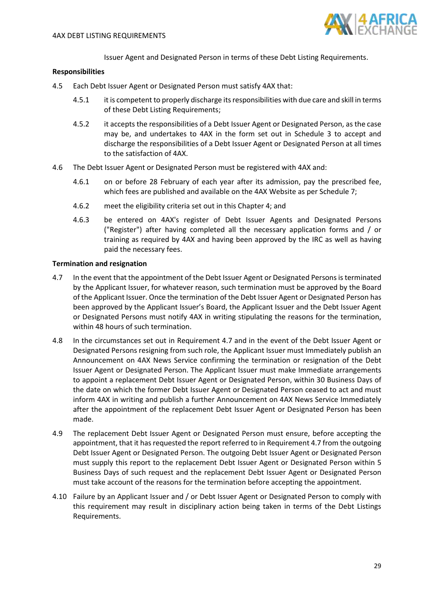

Issuer Agent and Designated Person in terms of these Debt Listing Requirements.

#### **Responsibilities**

- 4.5 Each Debt Issuer Agent or Designated Person must satisfy 4AX that:
	- 4.5.1 it is competent to properly discharge its responsibilities with due care and skill in terms of these Debt Listing Requirements;
	- 4.5.2 it accepts the responsibilities of a Debt Issuer Agent or Designated Person, as the case may be, and undertakes to 4AX in the form set out in Schedule 3 to accept and discharge the responsibilities of a Debt Issuer Agent or Designated Person at all times to the satisfaction of 4AX.
- 4.6 The Debt Issuer Agent or Designated Person must be registered with 4AX and:
	- 4.6.1 on or before 28 February of each year after its admission, pay the prescribed fee, which fees are published and available on the 4AX Website as per Schedule 7;
	- 4.6.2 meet the eligibility criteria set out in this Chapter 4; and
	- 4.6.3 be entered on 4AX's register of Debt Issuer Agents and Designated Persons ("Register") after having completed all the necessary application forms and / or training as required by 4AX and having been approved by the IRC as well as having paid the necessary fees.

#### **Termination and resignation**

- <span id="page-28-0"></span>4.7 In the event that the appointment of the Debt Issuer Agent or Designated Personsis terminated by the Applicant Issuer, for whatever reason, such termination must be approved by the Board of the Applicant Issuer. Once the termination of the Debt Issuer Agent or Designated Person has been approved by the Applicant Issuer's Board, the Applicant Issuer and the Debt Issuer Agent or Designated Persons must notify 4AX in writing stipulating the reasons for the termination, within 48 hours of such termination.
- 4.8 In the circumstances set out in Requirement [4.7](#page-28-0) and in the event of the Debt Issuer Agent or Designated Persons resigning from such role, the Applicant Issuer must Immediately publish an Announcement on 4AX News Service confirming the termination or resignation of the Debt Issuer Agent or Designated Person. The Applicant Issuer must make Immediate arrangements to appoint a replacement Debt Issuer Agent or Designated Person, within 30 Business Days of the date on which the former Debt Issuer Agent or Designated Person ceased to act and must inform 4AX in writing and publish a further Announcement on 4AX News Service Immediately after the appointment of the replacement Debt Issuer Agent or Designated Person has been made.
- 4.9 The replacement Debt Issuer Agent or Designated Person must ensure, before accepting the appointment, that it has requested the report referred to in Requirement [4.7](#page-28-0) from the outgoing Debt Issuer Agent or Designated Person. The outgoing Debt Issuer Agent or Designated Person must supply this report to the replacement Debt Issuer Agent or Designated Person within 5 Business Days of such request and the replacement Debt Issuer Agent or Designated Person must take account of the reasons for the termination before accepting the appointment.
- 4.10 Failure by an Applicant Issuer and / or Debt Issuer Agent or Designated Person to comply with this requirement may result in disciplinary action being taken in terms of the Debt Listings Requirements.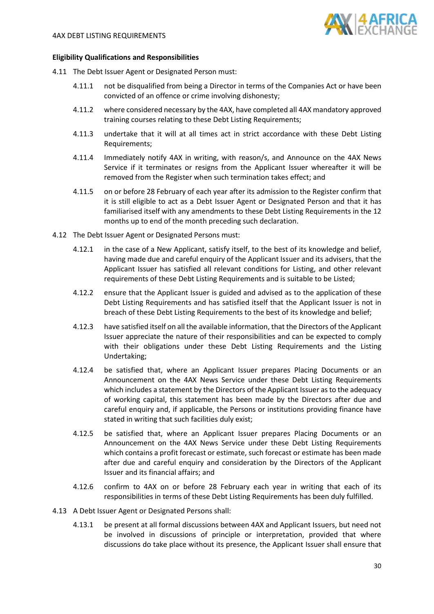

#### **Eligibility Qualifications and Responsibilities**

- 4.11 The Debt Issuer Agent or Designated Person must:
	- 4.11.1 not be disqualified from being a Director in terms of the Companies Act or have been convicted of an offence or crime involving dishonesty;
	- 4.11.2 where considered necessary by the 4AX, have completed all 4AX mandatory approved training courses relating to these Debt Listing Requirements;
	- 4.11.3 undertake that it will at all times act in strict accordance with these Debt Listing Requirements;
	- 4.11.4 Immediately notify 4AX in writing, with reason/s, and Announce on the 4AX News Service if it terminates or resigns from the Applicant Issuer whereafter it will be removed from the Register when such termination takes effect; and
	- 4.11.5 on or before 28 February of each year after its admission to the Register confirm that it is still eligible to act as a Debt Issuer Agent or Designated Person and that it has familiarised itself with any amendments to these Debt Listing Requirements in the 12 months up to end of the month preceding such declaration.
- 4.12 The Debt Issuer Agent or Designated Persons must:
	- 4.12.1 in the case of a New Applicant, satisfy itself, to the best of its knowledge and belief, having made due and careful enquiry of the Applicant Issuer and its advisers, that the Applicant Issuer has satisfied all relevant conditions for Listing, and other relevant requirements of these Debt Listing Requirements and is suitable to be Listed;
	- 4.12.2 ensure that the Applicant Issuer is guided and advised as to the application of these Debt Listing Requirements and has satisfied itself that the Applicant Issuer is not in breach of these Debt Listing Requirements to the best of its knowledge and belief;
	- 4.12.3 have satisfied itself on all the available information, that the Directors of the Applicant Issuer appreciate the nature of their responsibilities and can be expected to comply with their obligations under these Debt Listing Requirements and the Listing Undertaking;
	- 4.12.4 be satisfied that, where an Applicant Issuer prepares Placing Documents or an Announcement on the 4AX News Service under these Debt Listing Requirements which includes a statement by the Directors of the Applicant Issuer as to the adequacy of working capital, this statement has been made by the Directors after due and careful enquiry and, if applicable, the Persons or institutions providing finance have stated in writing that such facilities duly exist;
	- 4.12.5 be satisfied that, where an Applicant Issuer prepares Placing Documents or an Announcement on the 4AX News Service under these Debt Listing Requirements which contains a profit forecast or estimate, such forecast or estimate has been made after due and careful enquiry and consideration by the Directors of the Applicant Issuer and its financial affairs; and
	- 4.12.6 confirm to 4AX on or before 28 February each year in writing that each of its responsibilities in terms of these Debt Listing Requirements has been duly fulfilled.
- 4.13 A Debt Issuer Agent or Designated Persons shall:
	- 4.13.1 be present at all formal discussions between 4AX and Applicant Issuers, but need not be involved in discussions of principle or interpretation, provided that where discussions do take place without its presence, the Applicant Issuer shall ensure that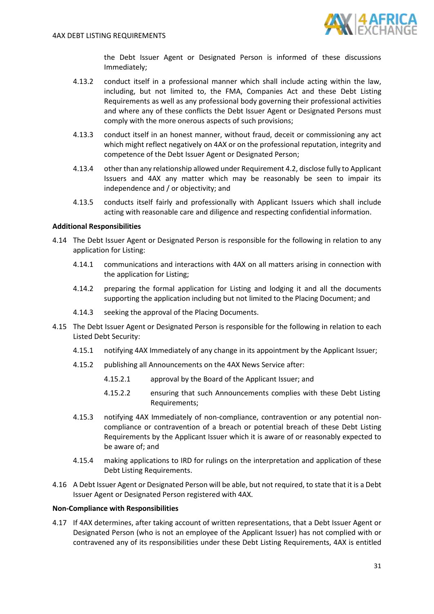

the Debt Issuer Agent or Designated Person is informed of these discussions Immediately;

- 4.13.2 conduct itself in a professional manner which shall include acting within the law, including, but not limited to, the FMA, Companies Act and these Debt Listing Requirements as well as any professional body governing their professional activities and where any of these conflicts the Debt Issuer Agent or Designated Persons must comply with the more onerous aspects of such provisions;
- 4.13.3 conduct itself in an honest manner, without fraud, deceit or commissioning any act which might reflect negatively on 4AX or on the professional reputation, integrity and competence of the Debt Issuer Agent or Designated Person;
- 4.13.4 other than any relationship allowed under Requirement [4.2,](#page-27-1) disclose fully to Applicant Issuers and 4AX any matter which may be reasonably be seen to impair its independence and / or objectivity; and
- 4.13.5 conducts itself fairly and professionally with Applicant Issuers which shall include acting with reasonable care and diligence and respecting confidential information.

# **Additional Responsibilities**

- 4.14 The Debt Issuer Agent or Designated Person is responsible for the following in relation to any application for Listing:
	- 4.14.1 communications and interactions with 4AX on all matters arising in connection with the application for Listing;
	- 4.14.2 preparing the formal application for Listing and lodging it and all the documents supporting the application including but not limited to the Placing Document; and
	- 4.14.3 seeking the approval of the Placing Documents.
- 4.15 The Debt Issuer Agent or Designated Person is responsible for the following in relation to each Listed Debt Security:
	- 4.15.1 notifying 4AX Immediately of any change in its appointment by the Applicant Issuer;
	- 4.15.2 publishing all Announcements on the 4AX News Service after:
		- 4.15.2.1 approval by the Board of the Applicant Issuer; and
		- 4.15.2.2 ensuring that such Announcements complies with these Debt Listing Requirements;
	- 4.15.3 notifying 4AX Immediately of non-compliance, contravention or any potential noncompliance or contravention of a breach or potential breach of these Debt Listing Requirements by the Applicant Issuer which it is aware of or reasonably expected to be aware of; and
	- 4.15.4 making applications to IRD for rulings on the interpretation and application of these Debt Listing Requirements.
- 4.16 A Debt Issuer Agent or Designated Person will be able, but not required, to state that it is a Debt Issuer Agent or Designated Person registered with 4AX.

#### **Non-Compliance with Responsibilities**

<span id="page-30-0"></span>4.17 If 4AX determines, after taking account of written representations, that a Debt Issuer Agent or Designated Person (who is not an employee of the Applicant Issuer) has not complied with or contravened any of its responsibilities under these Debt Listing Requirements, 4AX is entitled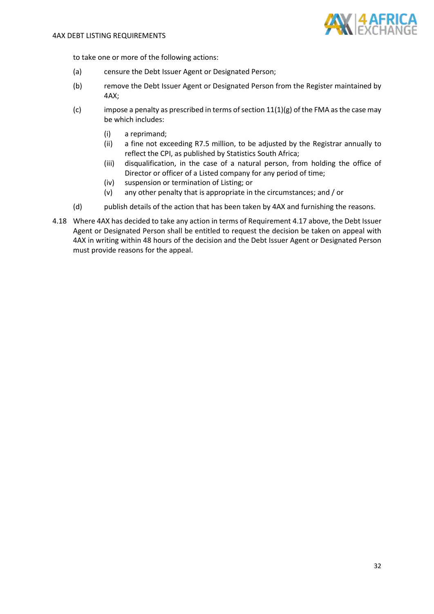

to take one or more of the following actions:

- (a) censure the Debt Issuer Agent or Designated Person;
- (b) remove the Debt Issuer Agent or Designated Person from the Register maintained by 4AX;
- (c) impose a penalty as prescribed in terms of section  $11(1)(g)$  of the FMA as the case may be which includes:
	- (i) a reprimand;
	- (ii) a fine not exceeding R7.5 million, to be adjusted by the Registrar annually to reflect the CPI, as published by Statistics South Africa;
	- (iii) disqualification, in the case of a natural person, from holding the office of Director or officer of a Listed company for any period of time;
	- (iv) suspension or termination of Listing; or
	- (v) any other penalty that is appropriate in the circumstances; and / or
- (d) publish details of the action that has been taken by 4AX and furnishing the reasons.
- 4.18 Where 4AX has decided to take any action in terms of Requiremen[t 4.17](#page-30-0) above, the Debt Issuer Agent or Designated Person shall be entitled to request the decision be taken on appeal with 4AX in writing within 48 hours of the decision and the Debt Issuer Agent or Designated Person must provide reasons for the appeal.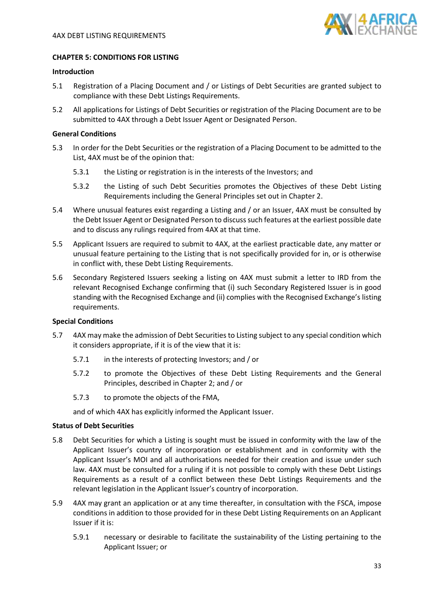

# <span id="page-32-0"></span>**CHAPTER 5: CONDITIONS FOR LISTING**

# **Introduction**

- 5.1 Registration of a Placing Document and / or Listings of Debt Securities are granted subject to compliance with these Debt Listings Requirements.
- 5.2 All applications for Listings of Debt Securities or registration of the Placing Document are to be submitted to 4AX through a Debt Issuer Agent or Designated Person.

#### **General Conditions**

- <span id="page-32-2"></span>5.3 In order for the Debt Securities or the registration of a Placing Document to be admitted to the List, 4AX must be of the opinion that:
	- 5.3.1 the Listing or registration is in the interests of the Investors; and
	- 5.3.2 the Listing of such Debt Securities promotes the Objectives of these Debt Listing Requirements including the General Principles set out in Chapter 2.
- 5.4 Where unusual features exist regarding a Listing and / or an Issuer, 4AX must be consulted by the Debt Issuer Agent or Designated Person to discuss such features at the earliest possible date and to discuss any rulings required from 4AX at that time.
- <span id="page-32-3"></span>5.5 Applicant Issuers are required to submit to 4AX, at the earliest practicable date, any matter or unusual feature pertaining to the Listing that is not specifically provided for in, or is otherwise in conflict with, these Debt Listing Requirements.
- 5.6 Secondary Registered Issuers seeking a listing on 4AX must submit a letter to IRD from the relevant Recognised Exchange confirming that (i) such Secondary Registered Issuer is in good standing with the Recognised Exchange and (ii) complies with the Recognised Exchange's listing requirements.

#### **Special Conditions**

- <span id="page-32-1"></span>5.7 4AX may make the admission of Debt Securities to Listing subject to any special condition which it considers appropriate, if it is of the view that it is:
	- 5.7.1 in the interests of protecting Investors; and / or
	- 5.7.2 to promote the Objectives of these Debt Listing Requirements and the General Principles, described in Chapter 2; and / or
	- 5.7.3 to promote the objects of the FMA,

and of which 4AX has explicitly informed the Applicant Issuer.

# **Status of Debt Securities**

- 5.8 Debt Securities for which a Listing is sought must be issued in conformity with the law of the Applicant Issuer's country of incorporation or establishment and in conformity with the Applicant Issuer's MOI and all authorisations needed for their creation and issue under such law. 4AX must be consulted for a ruling if it is not possible to comply with these Debt Listings Requirements as a result of a conflict between these Debt Listings Requirements and the relevant legislation in the Applicant Issuer's country of incorporation.
- 5.9 4AX may grant an application or at any time thereafter, in consultation with the FSCA, impose conditions in addition to those provided for in these Debt Listing Requirements on an Applicant Issuer if it is:
	- 5.9.1 necessary or desirable to facilitate the sustainability of the Listing pertaining to the Applicant Issuer; or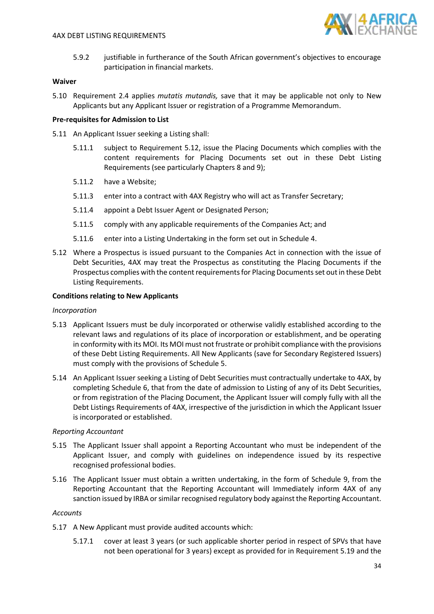

5.9.2 justifiable in furtherance of the South African government's objectives to encourage participation in financial markets.

# **Waiver**

5.10 Requirement [2.4](#page-16-2) applies *mutatis mutandis,* save that it may be applicable not only to New Applicants but any Applicant Issuer or registration of a Programme Memorandum.

# **Pre-requisites for Admission to List**

- 5.11 An Applicant Issuer seeking a Listing shall:
	- 5.11.1 subject to Requirement [5.12,](#page-33-0) issue the Placing Documents which complies with the content requirements for Placing Documents set out in these Debt Listing Requirements (see particularly Chapters 8 and 9);
	- 5.11.2 have a Website;
	- 5.11.3 enter into a contract with 4AX Registry who will act as Transfer Secretary;
	- 5.11.4 appoint a Debt Issuer Agent or Designated Person;
	- 5.11.5 comply with any applicable requirements of the Companies Act; and
	- 5.11.6 enter into a Listing Undertaking in the form set out in Schedule 4.
- <span id="page-33-0"></span>5.12 Where a Prospectus is issued pursuant to the Companies Act in connection with the issue of Debt Securities, 4AX may treat the Prospectus as constituting the Placing Documents if the Prospectus complies with the content requirements for Placing Documentsset out in these Debt Listing Requirements.

# **Conditions relating to New Applicants**

#### *Incorporation*

- 5.13 Applicant Issuers must be duly incorporated or otherwise validly established according to the relevant laws and regulations of its place of incorporation or establishment, and be operating in conformity with its MOI. Its MOI must not frustrate or prohibit compliance with the provisions of these Debt Listing Requirements. All New Applicants (save for Secondary Registered Issuers) must comply with the provisions of Schedule 5.
- 5.14 An Applicant Issuer seeking a Listing of Debt Securities must contractually undertake to 4AX, by completing Schedule 6, that from the date of admission to Listing of any of its Debt Securities, or from registration of the Placing Document, the Applicant Issuer will comply fully with all the Debt Listings Requirements of 4AX, irrespective of the jurisdiction in which the Applicant Issuer is incorporated or established.

#### *Reporting Accountant*

- 5.15 The Applicant Issuer shall appoint a Reporting Accountant who must be independent of the Applicant Issuer, and comply with guidelines on independence issued by its respective recognised professional bodies.
- 5.16 The Applicant Issuer must obtain a written undertaking, in the form of Schedule 9, from the Reporting Accountant that the Reporting Accountant will Immediately inform 4AX of any sanction issued by IRBA or similar recognised regulatory body against the Reporting Accountant.

#### *Accounts*

- <span id="page-33-1"></span>5.17 A New Applicant must provide audited accounts which:
	- 5.17.1 cover at least 3 years (or such applicable shorter period in respect of SPVs that have not been operational for 3 years) except as provided for in Requirement [5.19](#page-34-0) and the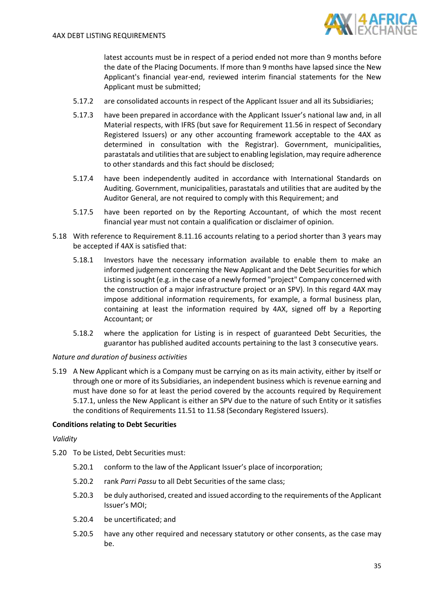

latest accounts must be in respect of a period ended not more than 9 months before the date of the Placing Documents. If more than 9 months have lapsed since the New Applicant's financial year-end, reviewed interim financial statements for the New Applicant must be submitted;

- 5.17.2 are consolidated accounts in respect of the Applicant Issuer and all its Subsidiaries;
- 5.17.3 have been prepared in accordance with the Applicant Issuer's national law and, in all Material respects, with IFRS (but save for Requiremen[t 11.56](#page-71-0) in respect of Secondary Registered Issuers) or any other accounting framework acceptable to the 4AX as determined in consultation with the Registrar). Government, municipalities, parastatals and utilities that are subject to enabling legislation, may require adherence to other standards and this fact should be disclosed;
- 5.17.4 have been independently audited in accordance with International Standards on Auditing. Government, municipalities, parastatals and utilities that are audited by the Auditor General, are not required to comply with this Requirement; and
- 5.17.5 have been reported on by the Reporting Accountant, of which the most recent financial year must not contain a qualification or disclaimer of opinion.
- 5.18 With reference to Requirement [8.11.16](#page-54-0) accounts relating to a period shorter than 3 years may be accepted if 4AX is satisfied that:
	- 5.18.1 Investors have the necessary information available to enable them to make an informed judgement concerning the New Applicant and the Debt Securities for which Listing is sought (e.g. in the case of a newly formed "project" Company concerned with the construction of a major infrastructure project or an SPV). In this regard 4AX may impose additional information requirements, for example, a formal business plan, containing at least the information required by 4AX, signed off by a Reporting Accountant; or
	- 5.18.2 where the application for Listing is in respect of guaranteed Debt Securities, the guarantor has published audited accounts pertaining to the last 3 consecutive years.

#### *Nature and duration of business activities*

<span id="page-34-0"></span>5.19 A New Applicant which is a Company must be carrying on as its main activity, either by itself or through one or more of its Subsidiaries, an independent business which is revenue earning and must have done so for at least the period covered by the accounts required by Requirement [5.17.1,](#page-33-1) unless the New Applicant is either an SPV due to the nature of such Entity or it satisfies the conditions of Requirements [11.51](#page-71-1) t[o 11.58](#page-71-2) (Secondary Registered Issuers).

#### **Conditions relating to Debt Securities**

#### *Validity*

- 5.20 To be Listed, Debt Securities must:
	- 5.20.1 conform to the law of the Applicant Issuer's place of incorporation;
	- 5.20.2 rank *Parri Passu* to all Debt Securities of the same class;
	- 5.20.3 be duly authorised, created and issued according to the requirements of the Applicant Issuer's MOI;
	- 5.20.4 be uncertificated; and
	- 5.20.5 have any other required and necessary statutory or other consents, as the case may be.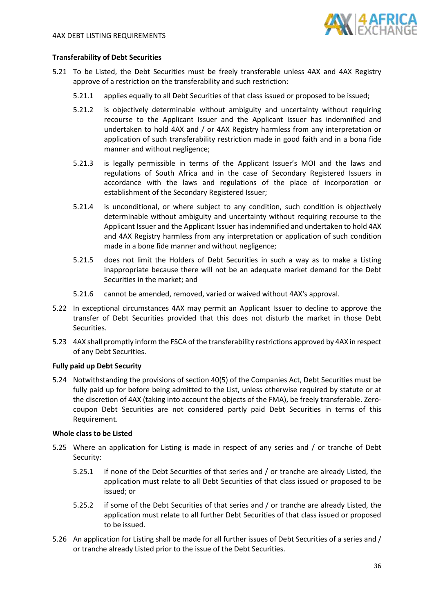

#### **Transferability of Debt Securities**

- 5.21 To be Listed, the Debt Securities must be freely transferable unless 4AX and 4AX Registry approve of a restriction on the transferability and such restriction:
	- 5.21.1 applies equally to all Debt Securities of that class issued or proposed to be issued;
	- 5.21.2 is objectively determinable without ambiguity and uncertainty without requiring recourse to the Applicant Issuer and the Applicant Issuer has indemnified and undertaken to hold 4AX and / or 4AX Registry harmless from any interpretation or application of such transferability restriction made in good faith and in a bona fide manner and without negligence;
	- 5.21.3 is legally permissible in terms of the Applicant Issuer's MOI and the laws and regulations of South Africa and in the case of Secondary Registered Issuers in accordance with the laws and regulations of the place of incorporation or establishment of the Secondary Registered Issuer;
	- 5.21.4 is unconditional, or where subject to any condition, such condition is objectively determinable without ambiguity and uncertainty without requiring recourse to the Applicant Issuer and the Applicant Issuer has indemnified and undertaken to hold 4AX and 4AX Registry harmless from any interpretation or application of such condition made in a bone fide manner and without negligence;
	- 5.21.5 does not limit the Holders of Debt Securities in such a way as to make a Listing inappropriate because there will not be an adequate market demand for the Debt Securities in the market; and
	- 5.21.6 cannot be amended, removed, varied or waived without 4AX's approval.
- 5.22 In exceptional circumstances 4AX may permit an Applicant Issuer to decline to approve the transfer of Debt Securities provided that this does not disturb the market in those Debt Securities.
- 5.23 4AX shall promptly inform the FSCA of the transferability restrictions approved by 4AX in respect of any Debt Securities.

#### **Fully paid up Debt Security**

5.24 Notwithstanding the provisions of section 40(5) of the Companies Act, Debt Securities must be fully paid up for before being admitted to the List, unless otherwise required by statute or at the discretion of 4AX (taking into account the objects of the FMA), be freely transferable. Zerocoupon Debt Securities are not considered partly paid Debt Securities in terms of this Requirement.

#### **Whole class to be Listed**

- 5.25 Where an application for Listing is made in respect of any series and / or tranche of Debt Security:
	- 5.25.1 if none of the Debt Securities of that series and / or tranche are already Listed, the application must relate to all Debt Securities of that class issued or proposed to be issued; or
	- 5.25.2 if some of the Debt Securities of that series and / or tranche are already Listed, the application must relate to all further Debt Securities of that class issued or proposed to be issued.
- 5.26 An application for Listing shall be made for all further issues of Debt Securities of a series and / or tranche already Listed prior to the issue of the Debt Securities.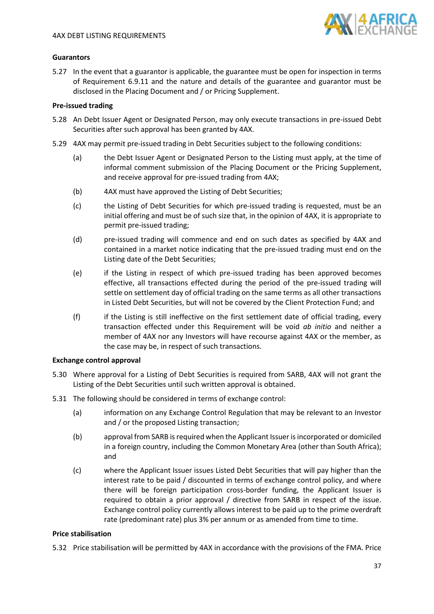

# **Guarantors**

5.27 In the event that a guarantor is applicable, the guarantee must be open for inspection in terms of Requirement [6.9.11](#page-41-0) and the nature and details of the guarantee and guarantor must be disclosed in the Placing Document and / or Pricing Supplement.

# **Pre-issued trading**

- 5.28 An Debt Issuer Agent or Designated Person, may only execute transactions in pre-issued Debt Securities after such approval has been granted by 4AX.
- 5.29 4AX may permit pre-issued trading in Debt Securities subject to the following conditions:
	- (a) the Debt Issuer Agent or Designated Person to the Listing must apply, at the time of informal comment submission of the Placing Document or the Pricing Supplement, and receive approval for pre-issued trading from 4AX;
	- (b) 4AX must have approved the Listing of Debt Securities;
	- (c) the Listing of Debt Securities for which pre-issued trading is requested, must be an initial offering and must be of such size that, in the opinion of 4AX, it is appropriate to permit pre-issued trading;
	- (d) pre-issued trading will commence and end on such dates as specified by 4AX and contained in a market notice indicating that the pre-issued trading must end on the Listing date of the Debt Securities;
	- (e) if the Listing in respect of which pre-issued trading has been approved becomes effective, all transactions effected during the period of the pre-issued trading will settle on settlement day of official trading on the same terms as all other transactions in Listed Debt Securities, but will not be covered by the Client Protection Fund; and
	- (f) if the Listing is still ineffective on the first settlement date of official trading, every transaction effected under this Requirement will be void *ab initio* and neither a member of 4AX nor any Investors will have recourse against 4AX or the member, as the case may be, in respect of such transactions.

### **Exchange control approval**

- 5.30 Where approval for a Listing of Debt Securities is required from SARB, 4AX will not grant the Listing of the Debt Securities until such written approval is obtained.
- 5.31 The following should be considered in terms of exchange control:
	- (a) information on any Exchange Control Regulation that may be relevant to an Investor and / or the proposed Listing transaction;
	- (b) approval from SARB is required when the Applicant Issuer is incorporated or domiciled in a foreign country, including the Common Monetary Area (other than South Africa); and
	- (c) where the Applicant Issuer issues Listed Debt Securities that will pay higher than the interest rate to be paid / discounted in terms of exchange control policy, and where there will be foreign participation cross-border funding, the Applicant Issuer is required to obtain a prior approval / directive from SARB in respect of the issue. Exchange control policy currently allows interest to be paid up to the prime overdraft rate (predominant rate) plus 3% per annum or as amended from time to time.

# **Price stabilisation**

5.32 Price stabilisation will be permitted by 4AX in accordance with the provisions of the FMA. Price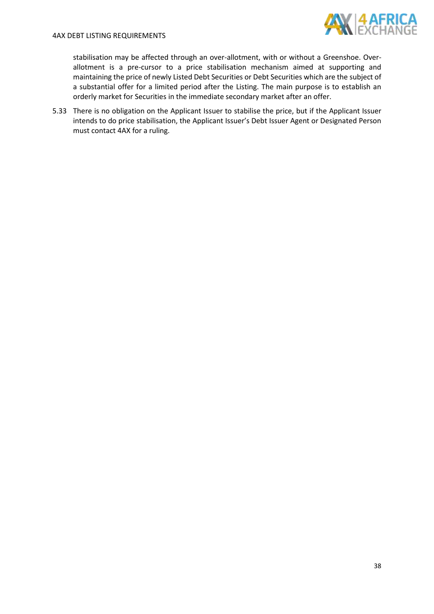

stabilisation may be affected through an over-allotment, with or without a Greenshoe. Overallotment is a pre-cursor to a price stabilisation mechanism aimed at supporting and maintaining the price of newly Listed Debt Securities or Debt Securities which are the subject of a substantial offer for a limited period after the Listing. The main purpose is to establish an orderly market for Securities in the immediate secondary market after an offer.

5.33 There is no obligation on the Applicant Issuer to stabilise the price, but if the Applicant Issuer intends to do price stabilisation, the Applicant Issuer's Debt Issuer Agent or Designated Person must contact 4AX for a ruling.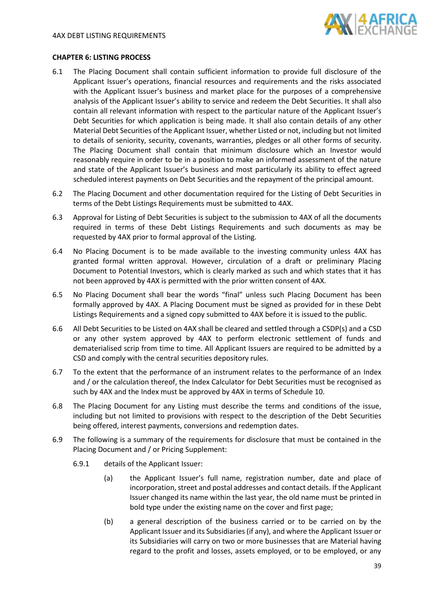

## **CHAPTER 6: LISTING PROCESS**

- 6.1 The Placing Document shall contain sufficient information to provide full disclosure of the Applicant Issuer's operations, financial resources and requirements and the risks associated with the Applicant Issuer's business and market place for the purposes of a comprehensive analysis of the Applicant Issuer's ability to service and redeem the Debt Securities. It shall also contain all relevant information with respect to the particular nature of the Applicant Issuer's Debt Securities for which application is being made. It shall also contain details of any other Material Debt Securities of the Applicant Issuer, whether Listed or not, including but not limited to details of seniority, security, covenants, warranties, pledges or all other forms of security. The Placing Document shall contain that minimum disclosure which an Investor would reasonably require in order to be in a position to make an informed assessment of the nature and state of the Applicant Issuer's business and most particularly its ability to effect agreed scheduled interest payments on Debt Securities and the repayment of the principal amount.
- 6.2 The Placing Document and other documentation required for the Listing of Debt Securities in terms of the Debt Listings Requirements must be submitted to 4AX.
- 6.3 Approval for Listing of Debt Securities is subject to the submission to 4AX of all the documents required in terms of these Debt Listings Requirements and such documents as may be requested by 4AX prior to formal approval of the Listing.
- 6.4 No Placing Document is to be made available to the investing community unless 4AX has granted formal written approval. However, circulation of a draft or preliminary Placing Document to Potential Investors, which is clearly marked as such and which states that it has not been approved by 4AX is permitted with the prior written consent of 4AX.
- 6.5 No Placing Document shall bear the words "final" unless such Placing Document has been formally approved by 4AX. A Placing Document must be signed as provided for in these Debt Listings Requirements and a signed copy submitted to 4AX before it is issued to the public.
- 6.6 All Debt Securities to be Listed on 4AX shall be cleared and settled through a CSDP(s) and a CSD or any other system approved by 4AX to perform electronic settlement of funds and dematerialised scrip from time to time. All Applicant Issuers are required to be admitted by a CSD and comply with the central securities depository rules.
- 6.7 To the extent that the performance of an instrument relates to the performance of an Index and / or the calculation thereof, the Index Calculator for Debt Securities must be recognised as such by 4AX and the Index must be approved by 4AX in terms of Schedule 10.
- 6.8 The Placing Document for any Listing must describe the terms and conditions of the issue, including but not limited to provisions with respect to the description of the Debt Securities being offered, interest payments, conversions and redemption dates.
- 6.9 The following is a summary of the requirements for disclosure that must be contained in the Placing Document and / or Pricing Supplement:
	- 6.9.1 details of the Applicant Issuer:
		- (a) the Applicant Issuer's full name, registration number, date and place of incorporation, street and postal addresses and contact details. If the Applicant Issuer changed its name within the last year, the old name must be printed in bold type under the existing name on the cover and first page;
		- (b) a general description of the business carried or to be carried on by the Applicant Issuer and its Subsidiaries (if any), and where the Applicant Issuer or its Subsidiaries will carry on two or more businesses that are Material having regard to the profit and losses, assets employed, or to be employed, or any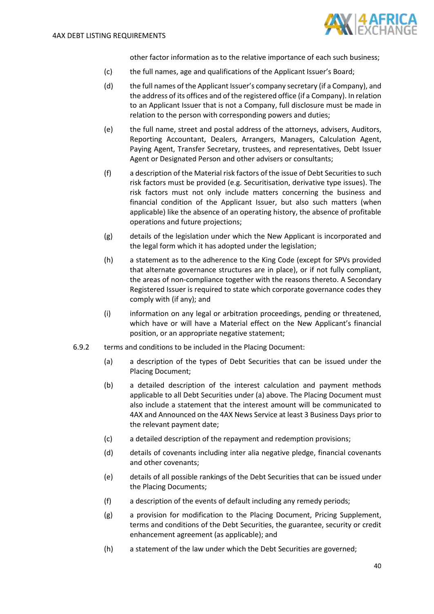

other factor information as to the relative importance of each such business;

- (c) the full names, age and qualifications of the Applicant Issuer's Board;
- (d) the full names of the Applicant Issuer's company secretary (if a Company), and the address of its offices and of the registered office (if a Company). In relation to an Applicant Issuer that is not a Company, full disclosure must be made in relation to the person with corresponding powers and duties;
- (e) the full name, street and postal address of the attorneys, advisers, Auditors, Reporting Accountant, Dealers, Arrangers, Managers, Calculation Agent, Paying Agent, Transfer Secretary, trustees, and representatives, Debt Issuer Agent or Designated Person and other advisers or consultants;
- (f) a description of the Material risk factors of the issue of Debt Securities to such risk factors must be provided (e.g. Securitisation, derivative type issues). The risk factors must not only include matters concerning the business and financial condition of the Applicant Issuer, but also such matters (when applicable) like the absence of an operating history, the absence of profitable operations and future projections;
- (g) details of the legislation under which the New Applicant is incorporated and the legal form which it has adopted under the legislation;
- (h) a statement as to the adherence to the King Code (except for SPVs provided that alternate governance structures are in place), or if not fully compliant, the areas of non-compliance together with the reasons thereto. A Secondary Registered Issuer is required to state which corporate governance codes they comply with (if any); and
- (i) information on any legal or arbitration proceedings, pending or threatened, which have or will have a Material effect on the New Applicant's financial position, or an appropriate negative statement;
- 6.9.2 terms and conditions to be included in the Placing Document:
	- (a) a description of the types of Debt Securities that can be issued under the Placing Document;
	- (b) a detailed description of the interest calculation and payment methods applicable to all Debt Securities under (a) above. The Placing Document must also include a statement that the interest amount will be communicated to 4AX and Announced on the 4AX News Service at least 3 Business Days prior to the relevant payment date;
	- (c) a detailed description of the repayment and redemption provisions;
	- (d) details of covenants including inter alia negative pledge, financial covenants and other covenants;
	- (e) details of all possible rankings of the Debt Securities that can be issued under the Placing Documents;
	- (f) a description of the events of default including any remedy periods;
	- (g) a provision for modification to the Placing Document, Pricing Supplement, terms and conditions of the Debt Securities, the guarantee, security or credit enhancement agreement (as applicable); and
	- (h) a statement of the law under which the Debt Securities are governed;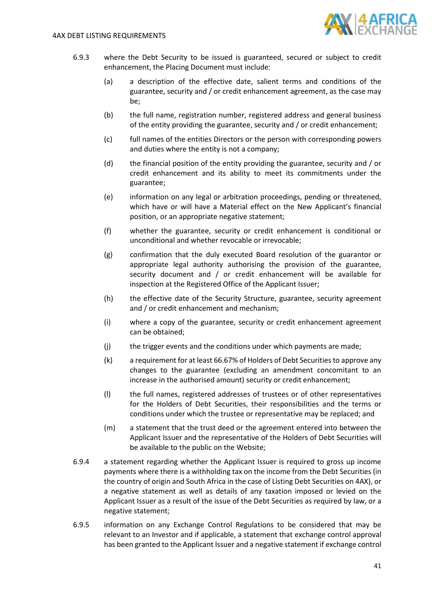

- 6.9.3 where the Debt Security to be issued is guaranteed, secured or subject to credit enhancement, the Placing Document must include:
	- (a) a description of the effective date, salient terms and conditions of the guarantee, security and / or credit enhancement agreement, as the case may be;
	- (b) the full name, registration number, registered address and general business of the entity providing the guarantee, security and / or credit enhancement;
	- (c) full names of the entities Directors or the person with corresponding powers and duties where the entity is not a company;
	- (d) the financial position of the entity providing the guarantee, security and / or credit enhancement and its ability to meet its commitments under the guarantee;
	- (e) information on any legal or arbitration proceedings, pending or threatened, which have or will have a Material effect on the New Applicant's financial position, or an appropriate negative statement;
	- (f) whether the guarantee, security or credit enhancement is conditional or unconditional and whether revocable or irrevocable;
	- (g) confirmation that the duly executed Board resolution of the guarantor or appropriate legal authority authorising the provision of the guarantee, security document and / or credit enhancement will be available for inspection at the Registered Office of the Applicant Issuer;
	- (h) the effective date of the Security Structure, guarantee, security agreement and / or credit enhancement and mechanism;
	- (i) where a copy of the guarantee, security or credit enhancement agreement can be obtained;
	- (j) the trigger events and the conditions under which payments are made;
	- (k) a requirement for at least 66.67% of Holders of Debt Securitiesto approve any changes to the guarantee (excluding an amendment concomitant to an increase in the authorised amount) security or credit enhancement;
	- (l) the full names, registered addresses of trustees or of other representatives for the Holders of Debt Securities, their responsibilities and the terms or conditions under which the trustee or representative may be replaced; and
	- (m) a statement that the trust deed or the agreement entered into between the Applicant Issuer and the representative of the Holders of Debt Securities will be available to the public on the Website;
- <span id="page-40-0"></span>6.9.4 a statement regarding whether the Applicant Issuer is required to gross up income payments where there is a withholding tax on the income from the Debt Securities (in the country of origin and South Africa in the case of Listing Debt Securities on 4AX), or a negative statement as well as details of any taxation imposed or levied on the Applicant Issuer as a result of the issue of the Debt Securities as required by law, or a negative statement;
- 6.9.5 information on any Exchange Control Regulations to be considered that may be relevant to an Investor and if applicable, a statement that exchange control approval has been granted to the Applicant Issuer and a negative statement if exchange control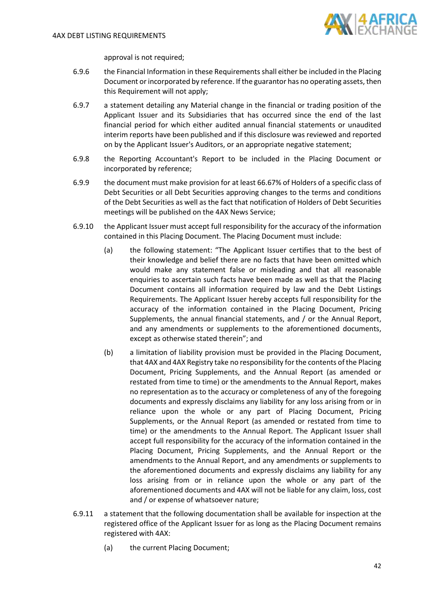

approval is not required;

- <span id="page-41-2"></span>6.9.6 the Financial Information in these Requirements shall either be included in the Placing Document or incorporated by reference. If the guarantor has no operating assets, then this Requirement will not apply;
- 6.9.7 a statement detailing any Material change in the financial or trading position of the Applicant Issuer and its Subsidiaries that has occurred since the end of the last financial period for which either audited annual financial statements or unaudited interim reports have been published and if this disclosure was reviewed and reported on by the Applicant Issuer's Auditors, or an appropriate negative statement;
- 6.9.8 the Reporting Accountant's Report to be included in the Placing Document or incorporated by reference;
- 6.9.9 the document must make provision for at least 66.67% of Holders of a specific class of Debt Securities or all Debt Securities approving changes to the terms and conditions of the Debt Securities as well as the fact that notification of Holders of Debt Securities meetings will be published on the 4AX News Service;
- <span id="page-41-1"></span>6.9.10 the Applicant Issuer must accept full responsibility for the accuracy of the information contained in this Placing Document. The Placing Document must include:
	- (a) the following statement: "The Applicant Issuer certifies that to the best of their knowledge and belief there are no facts that have been omitted which would make any statement false or misleading and that all reasonable enquiries to ascertain such facts have been made as well as that the Placing Document contains all information required by law and the Debt Listings Requirements. The Applicant Issuer hereby accepts full responsibility for the accuracy of the information contained in the Placing Document, Pricing Supplements, the annual financial statements, and / or the Annual Report, and any amendments or supplements to the aforementioned documents, except as otherwise stated therein"; and
	- (b) a limitation of liability provision must be provided in the Placing Document, that 4AX and 4AX Registry take no responsibility for the contents of the Placing Document, Pricing Supplements, and the Annual Report (as amended or restated from time to time) or the amendments to the Annual Report, makes no representation as to the accuracy or completeness of any of the foregoing documents and expressly disclaims any liability for any loss arising from or in reliance upon the whole or any part of Placing Document, Pricing Supplements, or the Annual Report (as amended or restated from time to time) or the amendments to the Annual Report. The Applicant Issuer shall accept full responsibility for the accuracy of the information contained in the Placing Document, Pricing Supplements, and the Annual Report or the amendments to the Annual Report, and any amendments or supplements to the aforementioned documents and expressly disclaims any liability for any loss arising from or in reliance upon the whole or any part of the aforementioned documents and 4AX will not be liable for any claim, loss, cost and / or expense of whatsoever nature;
- <span id="page-41-0"></span>6.9.11 a statement that the following documentation shall be available for inspection at the registered office of the Applicant Issuer for as long as the Placing Document remains registered with 4AX:
	- (a) the current Placing Document;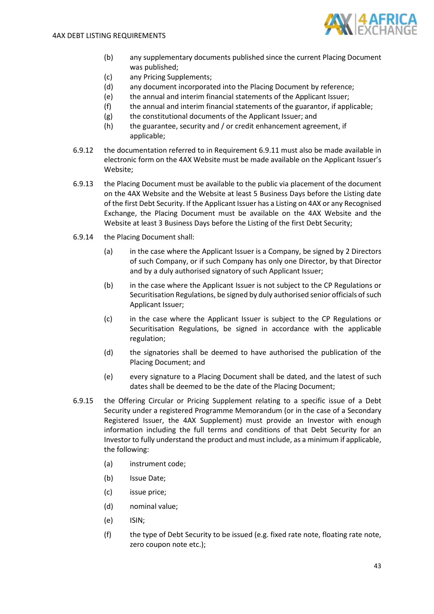

- (b) any supplementary documents published since the current Placing Document was published;
- (c) any Pricing Supplements;
- (d) any document incorporated into the Placing Document by reference;
- (e) the annual and interim financial statements of the Applicant Issuer;
- (f) the annual and interim financial statements of the guarantor, if applicable;
- (g) the constitutional documents of the Applicant Issuer; and
- (h) the guarantee, security and / or credit enhancement agreement, if applicable;
- 6.9.12 the documentation referred to in Requirement [6.9.11](#page-41-0) must also be made available in electronic form on the 4AX Website must be made available on the Applicant Issuer's Website;
- 6.9.13 the Placing Document must be available to the public via placement of the document on the 4AX Website and the Website at least 5 Business Days before the Listing date of the first Debt Security. If the Applicant Issuer has a Listing on 4AX or any Recognised Exchange, the Placing Document must be available on the 4AX Website and the Website at least 3 Business Days before the Listing of the first Debt Security;
- 6.9.14 the Placing Document shall:
	- (a) in the case where the Applicant Issuer is a Company, be signed by 2 Directors of such Company, or if such Company has only one Director, by that Director and by a duly authorised signatory of such Applicant Issuer;
	- (b) in the case where the Applicant Issuer is not subject to the CP Regulations or Securitisation Regulations, be signed by duly authorised senior officials of such Applicant Issuer;
	- (c) in the case where the Applicant Issuer is subject to the CP Regulations or Securitisation Regulations, be signed in accordance with the applicable regulation;
	- (d) the signatories shall be deemed to have authorised the publication of the Placing Document; and
	- (e) every signature to a Placing Document shall be dated, and the latest of such dates shall be deemed to be the date of the Placing Document;
- <span id="page-42-0"></span>6.9.15 the Offering Circular or Pricing Supplement relating to a specific issue of a Debt Security under a registered Programme Memorandum (or in the case of a Secondary Registered Issuer, the 4AX Supplement) must provide an Investor with enough information including the full terms and conditions of that Debt Security for an Investor to fully understand the product and must include, as a minimum if applicable, the following:
	- (a) instrument code;
	- (b) Issue Date;
	- (c) issue price;
	- (d) nominal value;
	- (e) ISIN;
	- (f) the type of Debt Security to be issued (e.g. fixed rate note, floating rate note, zero coupon note etc.);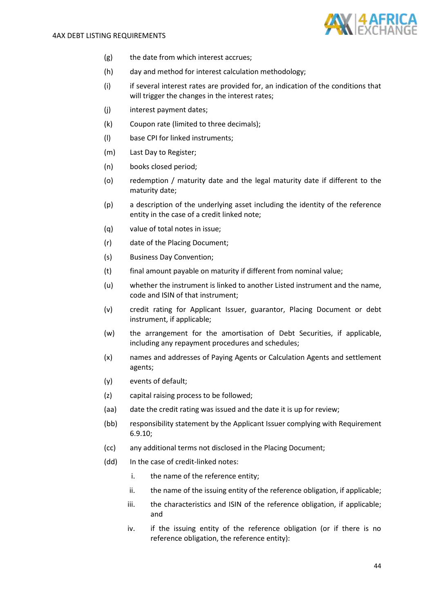

- (g) the date from which interest accrues;
- (h) day and method for interest calculation methodology;
- (i) if several interest rates are provided for, an indication of the conditions that will trigger the changes in the interest rates;
- (j) interest payment dates;
- (k) Coupon rate (limited to three decimals);
- (l) base CPI for linked instruments;
- (m) Last Day to Register;
- (n) books closed period;
- (o) redemption / maturity date and the legal maturity date if different to the maturity date;
- (p) a description of the underlying asset including the identity of the reference entity in the case of a credit linked note;
- (q) value of total notes in issue;
- (r) date of the Placing Document;
- (s) Business Day Convention;
- (t) final amount payable on maturity if different from nominal value;
- (u) whether the instrument is linked to another Listed instrument and the name, code and ISIN of that instrument;
- (v) credit rating for Applicant Issuer, guarantor, Placing Document or debt instrument, if applicable;
- (w) the arrangement for the amortisation of Debt Securities, if applicable, including any repayment procedures and schedules;
- (x) names and addresses of Paying Agents or Calculation Agents and settlement agents;
- (y) events of default;
- (z) capital raising process to be followed;
- (aa) date the credit rating was issued and the date it is up for review;
- (bb) responsibility statement by the Applicant Issuer complying with Requirement [6.9.10;](#page-41-1)
- (cc) any additional terms not disclosed in the Placing Document;
- (dd) In the case of credit-linked notes:
	- i. the name of the reference entity;
	- ii. the name of the issuing entity of the reference obligation, if applicable;
	- iii. the characteristics and ISIN of the reference obligation, if applicable; and
	- iv. if the issuing entity of the reference obligation (or if there is no reference obligation, the reference entity):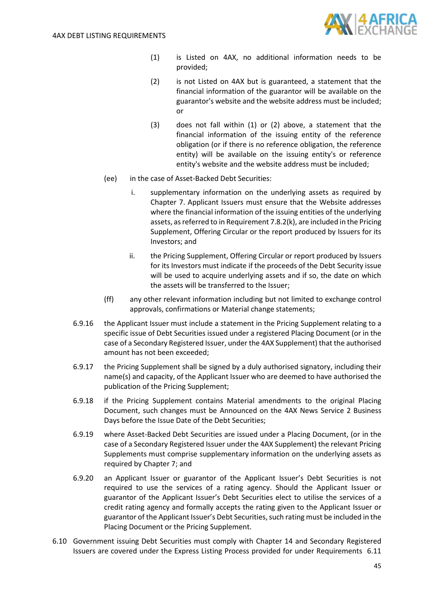

- (1) is Listed on 4AX, no additional information needs to be provided;
- (2) is not Listed on 4AX but is guaranteed, a statement that the financial information of the guarantor will be available on the guarantor's website and the website address must be included; or
- (3) does not fall within (1) or (2) above, a statement that the financial information of the issuing entity of the reference obligation (or if there is no reference obligation, the reference entity) will be available on the issuing entity's or reference entity's website and the website address must be included;
- (ee) in the case of Asset-Backed Debt Securities:
	- i. supplementary information on the underlying assets as required by Chapter 7. Applicant Issuers must ensure that the Website addresses where the financial information of the issuing entities of the underlying assets, as referred to in Requiremen[t 7.8.2](#page-48-0)[\(k\),](#page-49-0) are included in the Pricing Supplement, Offering Circular or the report produced by Issuers for its Investors; and
	- ii. the Pricing Supplement, Offering Circular or report produced by Issuers for its Investors must indicate if the proceeds of the Debt Security issue will be used to acquire underlying assets and if so, the date on which the assets will be transferred to the Issuer;
- (ff) any other relevant information including but not limited to exchange control approvals, confirmations or Material change statements;
- <span id="page-44-0"></span>6.9.16 the Applicant Issuer must include a statement in the Pricing Supplement relating to a specific issue of Debt Securities issued under a registered Placing Document (or in the case of a Secondary Registered Issuer, under the 4AX Supplement) that the authorised amount has not been exceeded;
- <span id="page-44-1"></span>6.9.17 the Pricing Supplement shall be signed by a duly authorised signatory, including their name(s) and capacity, of the Applicant Issuer who are deemed to have authorised the publication of the Pricing Supplement;
- 6.9.18 if the Pricing Supplement contains Material amendments to the original Placing Document, such changes must be Announced on the 4AX News Service 2 Business Days before the Issue Date of the Debt Securities;
- 6.9.19 where Asset-Backed Debt Securities are issued under a Placing Document, (or in the case of a Secondary Registered Issuer under the 4AX Supplement) the relevant Pricing Supplements must comprise supplementary information on the underlying assets as required by Chapter 7; and
- <span id="page-44-2"></span>6.9.20 an Applicant Issuer or guarantor of the Applicant Issuer's Debt Securities is not required to use the services of a rating agency. Should the Applicant Issuer or guarantor of the Applicant Issuer's Debt Securities elect to utilise the services of a credit rating agency and formally accepts the rating given to the Applicant Issuer or guarantor of the Applicant Issuer's Debt Securities, such rating must be included in the Placing Document or the Pricing Supplement.
- 6.10 Government issuing Debt Securities must comply with Chapter 14 and Secondary Registered Issuers are covered under the Express Listing Process provided for under Requirements [6.11](#page-45-0)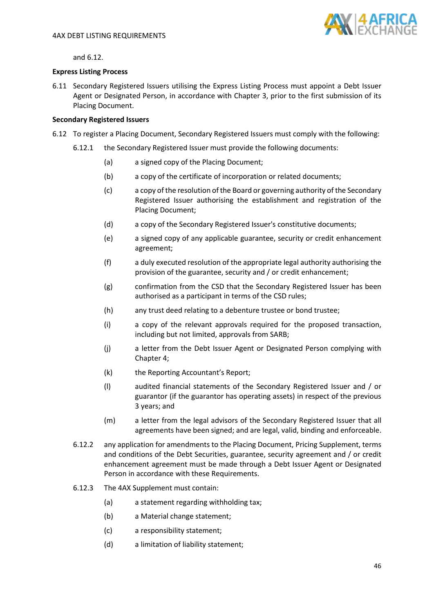

<span id="page-45-0"></span>an[d 6.12.](#page-45-1)

## **Express Listing Process**

6.11 Secondary Registered Issuers utilising the Express Listing Process must appoint a Debt Issuer Agent or Designated Person, in accordance with Chapter 3, prior to the first submission of its Placing Document.

## **Secondary Registered Issuers**

- <span id="page-45-1"></span>6.12 To register a Placing Document, Secondary Registered Issuers must comply with the following:
	- 6.12.1 the Secondary Registered Issuer must provide the following documents:
		- (a) a signed copy of the Placing Document;
		- (b) a copy of the certificate of incorporation or related documents;
		- (c) a copy of the resolution of the Board or governing authority of the Secondary Registered Issuer authorising the establishment and registration of the Placing Document;
		- (d) a copy of the Secondary Registered Issuer's constitutive documents;
		- (e) a signed copy of any applicable guarantee, security or credit enhancement agreement;
		- (f) a duly executed resolution of the appropriate legal authority authorising the provision of the guarantee, security and / or credit enhancement;
		- (g) confirmation from the CSD that the Secondary Registered Issuer has been authorised as a participant in terms of the CSD rules;
		- (h) any trust deed relating to a debenture trustee or bond trustee;
		- (i) a copy of the relevant approvals required for the proposed transaction, including but not limited, approvals from SARB;
		- (j) a letter from the Debt Issuer Agent or Designated Person complying with Chapter 4;
		- (k) the Reporting Accountant's Report;
		- (l) audited financial statements of the Secondary Registered Issuer and / or guarantor (if the guarantor has operating assets) in respect of the previous 3 years; and
		- (m) a letter from the legal advisors of the Secondary Registered Issuer that all agreements have been signed; and are legal, valid, binding and enforceable.
		- 6.12.2 any application for amendments to the Placing Document, Pricing Supplement, terms and conditions of the Debt Securities, guarantee, security agreement and / or credit enhancement agreement must be made through a Debt Issuer Agent or Designated Person in accordance with these Requirements.
		- 6.12.3 The 4AX Supplement must contain:
			- (a) a statement regarding withholding tax;
			- (b) a Material change statement;
			- (c) a responsibility statement;
			- (d) a limitation of liability statement;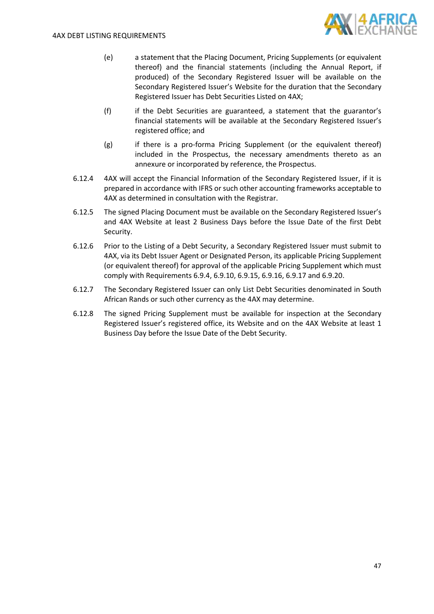

- (e) a statement that the Placing Document, Pricing Supplements (or equivalent thereof) and the financial statements (including the Annual Report, if produced) of the Secondary Registered Issuer will be available on the Secondary Registered Issuer's Website for the duration that the Secondary Registered Issuer has Debt Securities Listed on 4AX;
- (f) if the Debt Securities are guaranteed, a statement that the guarantor's financial statements will be available at the Secondary Registered Issuer's registered office; and
- (g) if there is a pro-forma Pricing Supplement (or the equivalent thereof) included in the Prospectus, the necessary amendments thereto as an annexure or incorporated by reference, the Prospectus.
- <span id="page-46-0"></span>6.12.4 4AX will accept the Financial Information of the Secondary Registered Issuer, if it is prepared in accordance with IFRS or such other accounting frameworks acceptable to 4AX as determined in consultation with the Registrar.
- 6.12.5 The signed Placing Document must be available on the Secondary Registered Issuer's and 4AX Website at least 2 Business Days before the Issue Date of the first Debt Security.
- 6.12.6 Prior to the Listing of a Debt Security, a Secondary Registered Issuer must submit to 4AX, via its Debt Issuer Agent or Designated Person, its applicable Pricing Supplement (or equivalent thereof) for approval of the applicable Pricing Supplement which must comply with Requirements [6.9.4,](#page-40-0) [6.9.10,](#page-41-1) [6.9.15,](#page-42-0) [6.9.16,](#page-44-0) [6.9.17](#page-44-1) and [6.9.20.](#page-44-2)
- 6.12.7 The Secondary Registered Issuer can only List Debt Securities denominated in South African Rands or such other currency as the 4AX may determine.
- 6.12.8 The signed Pricing Supplement must be available for inspection at the Secondary Registered Issuer's registered office, its Website and on the 4AX Website at least 1 Business Day before the Issue Date of the Debt Security.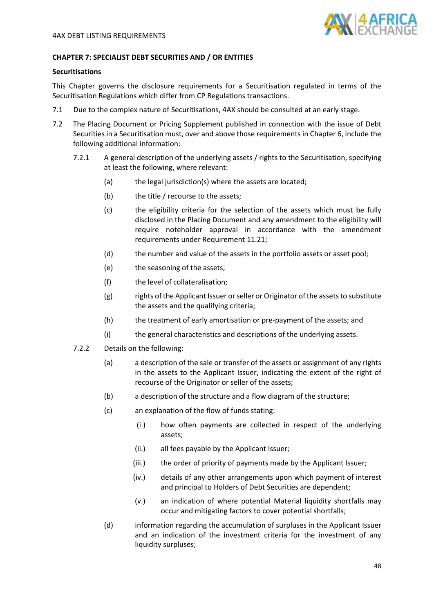

## **CHAPTER 7: SPECIALIST DEBT SECURITIES AND / OR ENTITIES**

## **Securitisations**

This Chapter governs the disclosure requirements for a Securitisation regulated in terms of the Securitisation Regulations which differ from CP Regulations transactions.

- 7.1 Due to the complex nature of Securitisations, 4AX should be consulted at an early stage.
- <span id="page-47-10"></span><span id="page-47-9"></span><span id="page-47-8"></span><span id="page-47-7"></span><span id="page-47-6"></span><span id="page-47-5"></span><span id="page-47-4"></span><span id="page-47-3"></span><span id="page-47-2"></span><span id="page-47-1"></span><span id="page-47-0"></span>7.2 The Placing Document or Pricing Supplement published in connection with the issue of Debt Securities in a Securitisation must, over and above those requirements in Chapter 6, include the following additional information:
	- 7.2.1 A general description of the underlying assets / rights to the Securitisation, specifying at least the following, where relevant:
		- (a) the legal jurisdiction(s) where the assets are located;
		- (b) the title / recourse to the assets;
		- (c) the eligibility criteria for the selection of the assets which must be fully disclosed in the Placing Document and any amendment to the eligibility will require noteholder approval in accordance with the amendment requirements under Requirement [11.21;](#page-64-0)
		- (d) the number and value of the assets in the portfolio assets or asset pool;
		- (e) the seasoning of the assets;
		- (f) the level of collateralisation;
		- (g) rights of the Applicant Issuer or seller or Originator of the assets to substitute the assets and the qualifying criteria;
		- (h) the treatment of early amortisation or pre-payment of the assets; and
		- (i) the general characteristics and descriptions of the underlying assets.
	- 7.2.2 Details on the following:
		- (a) a description of the sale or transfer of the assets or assignment of any rights in the assets to the Applicant Issuer, indicating the extent of the right of recourse of the Originator or seller of the assets;
		- (b) a description of the structure and a flow diagram of the structure;
		- (c) an explanation of the flow of funds stating:
			- (i.) how often payments are collected in respect of the underlying assets;
			- (ii.) all fees payable by the Applicant Issuer;
			- (iii.) the order of priority of payments made by the Applicant Issuer;
			- (iv.) details of any other arrangements upon which payment of interest and principal to Holders of Debt Securities are dependent;
			- (v.) an indication of where potential Material liquidity shortfalls may occur and mitigating factors to cover potential shortfalls;
		- (d) information regarding the accumulation of surpluses in the Applicant Issuer and an indication of the investment criteria for the investment of any liquidity surpluses;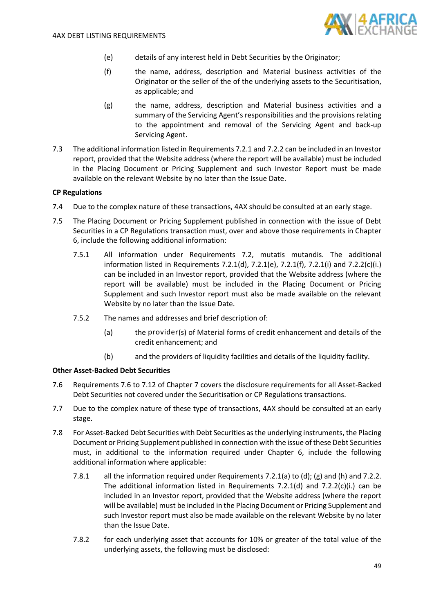

- (e) details of any interest held in Debt Securities by the Originator;
- <span id="page-48-2"></span>(f) the name, address, description and Material business activities of the Originator or the seller of the of the underlying assets to the Securitisation, as applicable; and
- (g) the name, address, description and Material business activities and a summary of the Servicing Agent's responsibilities and the provisions relating to the appointment and removal of the Servicing Agent and back-up Servicing Agent.
- <span id="page-48-3"></span>7.3 The additional information listed in Requirement[s 7.2.1](#page-47-0) and [7.2.2](#page-47-1) can be included in an Investor report, provided that the Website address (where the report will be available) must be included in the Placing Document or Pricing Supplement and such Investor Report must be made available on the relevant Website by no later than the Issue Date.

### **CP Regulations**

- 7.4 Due to the complex nature of these transactions, 4AX should be consulted at an early stage.
- 7.5 The Placing Document or Pricing Supplement published in connection with the issue of Debt Securities in a CP Regulations transaction must, over and above those requirements in Chapter 6, include the following additional information:
	- 7.5.1 All information under Requirements [7.2,](#page-47-2) mutatis mutandis. The additional information listed in Requirements [7.2.1](#page-47-0)[\(d\),](#page-47-3) [7.2.1](#page-47-0)[\(e\),](#page-47-4) [7.2.1](#page-47-0)[\(f\),](#page-47-5) [7.2.1](#page-47-0)[\(i\)](#page-47-6) and [7.2.2](#page-47-1)[\(c\)](#page-47-7)[\(i.\)](#page-47-8) can be included in an Investor report, provided that the Website address (where the report will be available) must be included in the Placing Document or Pricing Supplement and such Investor report must also be made available on the relevant Website by no later than the Issue Date.
	- 7.5.2 The names and addresses and brief description of:
		- (a) the provider(s) of Material forms of credit enhancement and details of the credit enhancement; and
		- (b) and the providers of liquidity facilities and details of the liquidity facility.

### **Other Asset-Backed Debt Securities**

- <span id="page-48-1"></span>7.6 Requirements [7.6](#page-48-1) to [7.12](#page-51-0) of Chapter 7 covers the disclosure requirements for all Asset-Backed Debt Securities not covered under the Securitisation or CP Regulations transactions.
- 7.7 Due to the complex nature of these type of transactions, 4AX should be consulted at an early stage.
- <span id="page-48-0"></span>7.8 For Asset-Backed Debt Securities with Debt Securities as the underlying instruments, the Placing Document or Pricing Supplement published in connection with the issue of these Debt Securities must, in additional to the information required under Chapter 6, include the following additional information where applicable:
	- 7.8.1 all the information required under Requirements [7.2.1\(](#page-47-0)a) to (d); (g) and (h) and [7.2.2.](#page-47-1) The additional information listed in Requirements [7.2.1](#page-47-0)[\(d\)](#page-47-3) and [7.2.2](#page-47-1)[\(c\)](#page-47-7)[\(i.\)](#page-47-8) can be included in an Investor report, provided that the Website address (where the report will be available) must be included in the Placing Document or Pricing Supplement and such Investor report must also be made available on the relevant Website by no later than the Issue Date.
	- 7.8.2 for each underlying asset that accounts for 10% or greater of the total value of the underlying assets, the following must be disclosed: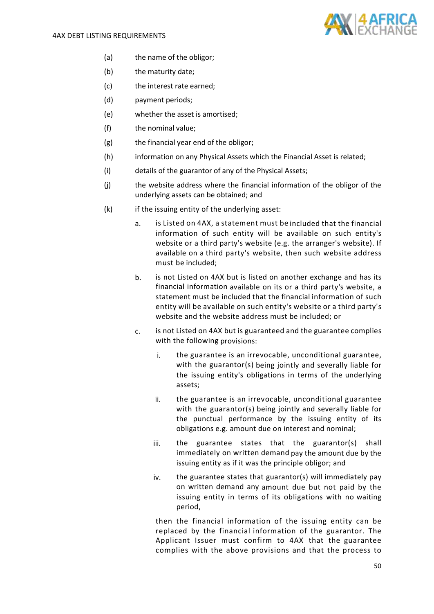

- (a) the name of the obligor;
- (b) the maturity date;
- (c) the interest rate earned;
- (d) payment periods;
- (e) whether the asset is amortised;
- (f) the nominal value;
- (g) the financial year end of the obligor;
- (h) information on any Physical Assets which the Financial Asset is related;
- (i) details of the guarantor of any of the Physical Assets;
- (j) the website address where the financial information of the obligor of the underlying assets can be obtained; and
- <span id="page-49-0"></span>(k) if the issuing entity of the underlying asset:
	- a. is Listed on 4AX, a statement must be included that the financial information of such entity will be available on such entity's website or a third party's website (e.g. the arranger's website). If available on a third party's website, then such website address must be included;
	- b. is not Listed on 4AX but is listed on another exchange and has its financial information available on its or a third party's website, a statement must be included that the financial information of such entity will be available on such entity's website or a third party's website and the website address must be included; or
	- c. is not Listed on 4AX but is guaranteed and the guarantee complies with the following provisions:
		- i. the guarantee is an irrevocable, unconditional guarantee, with the guarantor(s) being jointly and severally liable for the issuing entity's obligations in terms of the underlying assets;
		- ii. the guarantee is an irrevocable, unconditional guarantee with the guarantor(s) being jointly and severally liable for the punctual performance by the issuing entity of its obligations e.g. amount due on interest and nominal;
		- iii. the guarantee states that the guarantor(s) shall immediately on written demand pay the amount due by the issuing entity as if it was the principle obligor; and
		- iv. the guarantee states that guarantor(s) will immediately pay on written demand any amount due but not paid by the issuing entity in terms of its obligations with no waiting period,

then the financial information of the issuing entity can be replaced by the financial information of the guarantor. The Applicant Issuer must confirm to 4AX that the guarantee complies with the above provisions and that the process to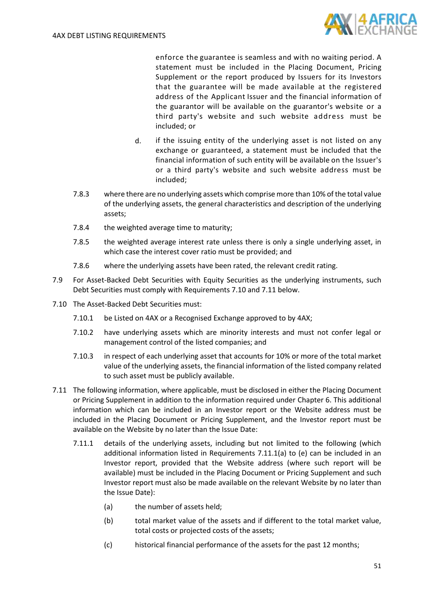

enforce the guarantee is seamless and with no waiting period. A statement must be included in the Placing Document, Pricing Supplement or the report produced by Issuers for its Investors that the guarantee will be made available at the registered address of the Applicant Issuer and the financial information of the guarantor will be available on the guarantor's website or a third party's website and such website address must be included; or

- d. if the issuing entity of the underlying asset is not listed on any exchange or guaranteed, a statement must be included that the financial information of such entity will be available on the Issuer's or a third party's website and such website address must be included;
- 7.8.3 where there are no underlying assets which comprise more than 10% of the total value of the underlying assets, the general characteristics and description of the underlying assets;
- 7.8.4 the weighted average time to maturity;
- 7.8.5 the weighted average interest rate unless there is only a single underlying asset, in which case the interest cover ratio must be provided; and
- 7.8.6 where the underlying assets have been rated, the relevant credit rating.
- 7.9 For Asset-Backed Debt Securities with Equity Securities as the underlying instruments, such Debt Securities must comply with Requirements [7.10](#page-50-0) and [7.11](#page-50-1) below.
- <span id="page-50-0"></span>7.10 The Asset-Backed Debt Securities must:
	- 7.10.1 be Listed on 4AX or a Recognised Exchange approved to by 4AX;
	- 7.10.2 have underlying assets which are minority interests and must not confer legal or management control of the listed companies; and
	- 7.10.3 in respect of each underlying asset that accounts for 10% or more of the total market value of the underlying assets, the financial information of the listed company related to such asset must be publicly available.
- <span id="page-50-3"></span><span id="page-50-2"></span><span id="page-50-1"></span>7.11 The following information, where applicable, must be disclosed in either the Placing Document or Pricing Supplement in addition to the information required under Chapter 6. This additional information which can be included in an Investor report or the Website address must be included in the Placing Document or Pricing Supplement, and the Investor report must be available on the Website by no later than the Issue Date:
	- 7.11.1 details of the underlying assets, including but not limited to the following (which additional information listed in Requirements  $7.11.1(a)$  $7.11.1(a)$  to [\(e\)](#page-51-1) can be included in an Investor report, provided that the Website address (where such report will be available) must be included in the Placing Document or Pricing Supplement and such Investor report must also be made available on the relevant Website by no later than the Issue Date):
		- (a) the number of assets held;
		- (b) total market value of the assets and if different to the total market value, total costs or projected costs of the assets;
		- (c) historical financial performance of the assets for the past 12 months;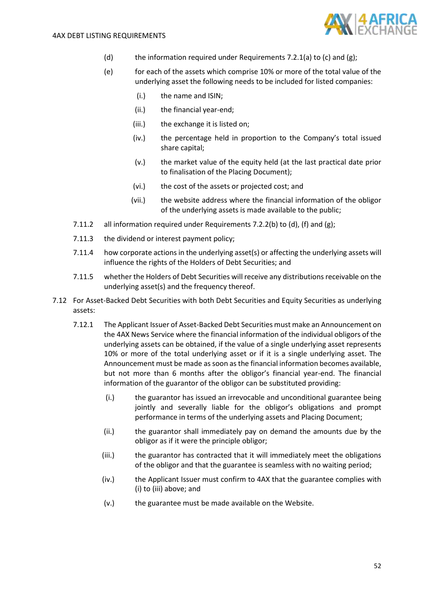

- (d) the information required under Requirements [7.2.1\(](#page-47-0)a) to (c) and (g);
- <span id="page-51-1"></span>(e) for each of the assets which comprise 10% or more of the total value of the underlying asset the following needs to be included for listed companies:
	- (i.) the name and ISIN;
	- (ii.) the financial year-end;
	- (iii.) the exchange it is listed on;
	- (iv.) the percentage held in proportion to the Company's total issued share capital;
	- (v.) the market value of the equity held (at the last practical date prior to finalisation of the Placing Document);
	- (vi.) the cost of the assets or projected cost; and
	- (vii.) the website address where the financial information of the obligor of the underlying assets is made available to the public;
- 7.11.2 all information required under Requirements [7.2.2](#page-47-1)[\(b\)](#page-47-9) to [\(d\),](#page-47-10) [\(f\)](#page-48-2) and [\(g\);](#page-48-3)
- 7.11.3 the dividend or interest payment policy;
- 7.11.4 how corporate actions in the underlying asset(s) or affecting the underlying assets will influence the rights of the Holders of Debt Securities; and
- 7.11.5 whether the Holders of Debt Securities will receive any distributions receivable on the underlying asset(s) and the frequency thereof.
- <span id="page-51-2"></span><span id="page-51-0"></span>7.12 For Asset-Backed Debt Securities with both Debt Securities and Equity Securities as underlying assets:
	- 7.12.1 The Applicant Issuer of Asset-Backed Debt Securities must make an Announcement on the 4AX News Service where the financial information of the individual obligors of the underlying assets can be obtained, if the value of a single underlying asset represents 10% or more of the total underlying asset or if it is a single underlying asset. The Announcement must be made assoon as the financial information becomes available, but not more than 6 months after the obligor's financial year-end. The financial information of the guarantor of the obligor can be substituted providing:
		- (i.) the guarantor has issued an irrevocable and unconditional guarantee being jointly and severally liable for the obligor's obligations and prompt performance in terms of the underlying assets and Placing Document;
		- (ii.) the guarantor shall immediately pay on demand the amounts due by the obligor as if it were the principle obligor;
		- (iii.) the guarantor has contracted that it will immediately meet the obligations of the obligor and that the guarantee is seamless with no waiting period;
		- (iv.) the Applicant Issuer must confirm to 4AX that the guarantee complies with (i) to (iii) above; and
		- (v.) the guarantee must be made available on the Website.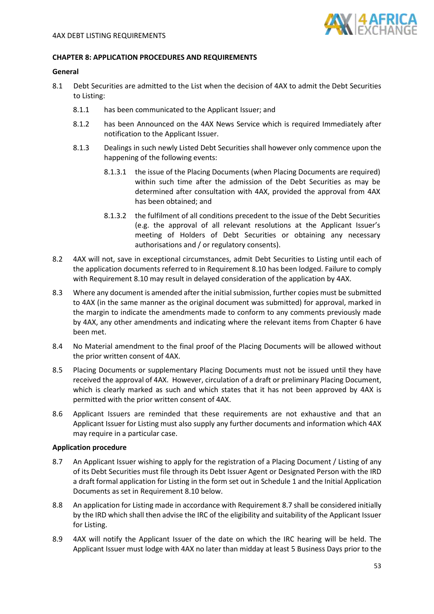

### **CHAPTER 8: APPLICATION PROCEDURES AND REQUIREMENTS**

### **General**

- <span id="page-52-1"></span>8.1 Debt Securities are admitted to the List when the decision of 4AX to admit the Debt Securities to Listing:
	- 8.1.1 has been communicated to the Applicant Issuer; and
	- 8.1.2 has been Announced on the 4AX News Service which is required Immediately after notification to the Applicant Issuer.
	- 8.1.3 Dealings in such newly Listed Debt Securities shall however only commence upon the happening of the following events:
		- 8.1.3.1 the issue of the Placing Documents (when Placing Documents are required) within such time after the admission of the Debt Securities as may be determined after consultation with 4AX, provided the approval from 4AX has been obtained; and
		- 8.1.3.2 the fulfilment of all conditions precedent to the issue of the Debt Securities (e.g. the approval of all relevant resolutions at the Applicant Issuer's meeting of Holders of Debt Securities or obtaining any necessary authorisations and / or regulatory consents).
- 8.2 4AX will not, save in exceptional circumstances, admit Debt Securities to Listing until each of the application documents referred to in Requirement [8.10](#page-53-0) has been lodged. Failure to comply with Requirement 8.10 may result in delayed consideration of the application by 4AX.
- 8.3 Where any document is amended after the initial submission, further copies must be submitted to 4AX (in the same manner as the original document was submitted) for approval, marked in the margin to indicate the amendments made to conform to any comments previously made by 4AX, any other amendments and indicating where the relevant items from Chapter 6 have been met.
- 8.4 No Material amendment to the final proof of the Placing Documents will be allowed without the prior written consent of 4AX.
- 8.5 Placing Documents or supplementary Placing Documents must not be issued until they have received the approval of 4AX. However, circulation of a draft or preliminary Placing Document, which is clearly marked as such and which states that it has not been approved by 4AX is permitted with the prior written consent of 4AX.
- 8.6 Applicant Issuers are reminded that these requirements are not exhaustive and that an Applicant Issuer for Listing must also supply any further documents and information which 4AX may require in a particular case.

#### **Application procedure**

- <span id="page-52-0"></span>8.7 An Applicant Issuer wishing to apply for the registration of a Placing Document / Listing of any of its Debt Securities must file through its Debt Issuer Agent or Designated Person with the IRD a draft formal application for Listing in the form set out in Schedule 1 and the Initial Application Documents as set in Requirement [8.10](#page-53-0) below.
- 8.8 An application for Listing made in accordance with Requirement [8.7](#page-52-0) shall be considered initially by the IRD which shall then advise the IRC of the eligibility and suitability of the Applicant Issuer for Listing.
- 8.9 4AX will notify the Applicant Issuer of the date on which the IRC hearing will be held. The Applicant Issuer must lodge with 4AX no later than midday at least 5 Business Days prior to the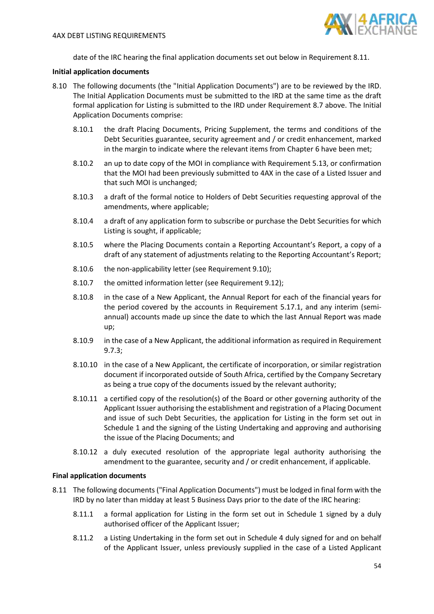

date of the IRC hearing the final application documents set out below in Requirement [8.11.](#page-53-1)

### **Initial application documents**

- <span id="page-53-0"></span>8.10 The following documents (the "Initial Application Documents") are to be reviewed by the IRD. The Initial Application Documents must be submitted to the IRD at the same time as the draft formal application for Listing is submitted to the IRD under Requirement [8.7](#page-52-0) above. The Initial Application Documents comprise:
	- 8.10.1 the draft Placing Documents, Pricing Supplement, the terms and conditions of the Debt Securities guarantee, security agreement and / or credit enhancement, marked in the margin to indicate where the relevant items from Chapter 6 have been met;
	- 8.10.2 an up to date copy of the MOI in compliance with Requiremen[t 5.13,](#page-33-0) or confirmation that the MOI had been previously submitted to 4AX in the case of a Listed Issuer and that such MOI is unchanged;
	- 8.10.3 a draft of the formal notice to Holders of Debt Securities requesting approval of the amendments, where applicable;
	- 8.10.4 a draft of any application form to subscribe or purchase the Debt Securities for which Listing is sought, if applicable;
	- 8.10.5 where the Placing Documents contain a Reporting Accountant's Report, a copy of a draft of any statement of adjustments relating to the Reporting Accountant's Report;
	- 8.10.6 the non-applicability letter (see Requirement [9.10\)](#page-57-0);
	- 8.10.7 the omitted information letter (see Requirement [9.12\)](#page-57-1);
	- 8.10.8 in the case of a New Applicant, the Annual Report for each of the financial years for the period covered by the accounts in Requirement [5.17.1,](#page-33-1) and any interim (semiannual) accounts made up since the date to which the last Annual Report was made up;
	- 8.10.9 in the case of a New Applicant, the additional information as required in Requirement [9.7.3;](#page-56-0)
	- 8.10.10 in the case of a New Applicant, the certificate of incorporation, or similar registration document if incorporated outside of South Africa, certified by the Company Secretary as being a true copy of the documents issued by the relevant authority;
	- 8.10.11 a certified copy of the resolution(s) of the Board or other governing authority of the Applicant Issuer authorising the establishment and registration of a Placing Document and issue of such Debt Securities, the application for Listing in the form set out in Schedule 1 and the signing of the Listing Undertaking and approving and authorising the issue of the Placing Documents; and
	- 8.10.12 a duly executed resolution of the appropriate legal authority authorising the amendment to the guarantee, security and / or credit enhancement, if applicable.

### **Final application documents**

- <span id="page-53-1"></span>8.11 The following documents ("Final Application Documents") must be lodged in final form with the IRD by no later than midday at least 5 Business Days prior to the date of the IRC hearing:
	- 8.11.1 a formal application for Listing in the form set out in Schedule 1 signed by a duly authorised officer of the Applicant Issuer;
	- 8.11.2 a Listing Undertaking in the form set out in Schedule 4 duly signed for and on behalf of the Applicant Issuer, unless previously supplied in the case of a Listed Applicant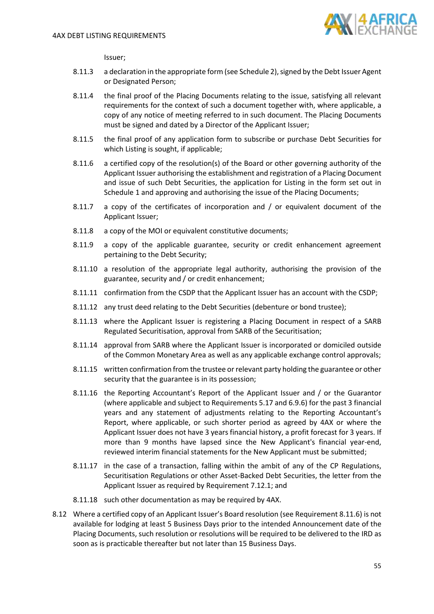

Issuer;

- 8.11.3 a declaration in the appropriate form (see Schedule 2), signed by the Debt Issuer Agent or Designated Person;
- 8.11.4 the final proof of the Placing Documents relating to the issue, satisfying all relevant requirements for the context of such a document together with, where applicable, a copy of any notice of meeting referred to in such document. The Placing Documents must be signed and dated by a Director of the Applicant Issuer;
- 8.11.5 the final proof of any application form to subscribe or purchase Debt Securities for which Listing is sought, if applicable;
- <span id="page-54-0"></span>8.11.6 a certified copy of the resolution(s) of the Board or other governing authority of the Applicant Issuer authorising the establishment and registration of a Placing Document and issue of such Debt Securities, the application for Listing in the form set out in Schedule 1 and approving and authorising the issue of the Placing Documents;
- 8.11.7 a copy of the certificates of incorporation and / or equivalent document of the Applicant Issuer;
- 8.11.8 a copy of the MOI or equivalent constitutive documents;
- 8.11.9 a copy of the applicable guarantee, security or credit enhancement agreement pertaining to the Debt Security;
- 8.11.10 a resolution of the appropriate legal authority, authorising the provision of the guarantee, security and / or credit enhancement;
- 8.11.11 confirmation from the CSDP that the Applicant Issuer has an account with the CSDP;
- 8.11.12 any trust deed relating to the Debt Securities (debenture or bond trustee);
- 8.11.13 where the Applicant Issuer is registering a Placing Document in respect of a SARB Regulated Securitisation, approval from SARB of the Securitisation;
- 8.11.14 approval from SARB where the Applicant Issuer is incorporated or domiciled outside of the Common Monetary Area as well as any applicable exchange control approvals;
- 8.11.15 written confirmation from the trustee or relevant party holding the guarantee or other security that the guarantee is in its possession;
- 8.11.16 the Reporting Accountant's Report of the Applicant Issuer and / or the Guarantor (where applicable and subject to Requirement[s 5.17](#page-33-2) and [6.9.6\)](#page-41-2) for the past 3 financial years and any statement of adjustments relating to the Reporting Accountant's Report, where applicable, or such shorter period as agreed by 4AX or where the Applicant Issuer does not have 3 years financial history, a profit forecast for 3 years. If more than 9 months have lapsed since the New Applicant's financial year-end, reviewed interim financial statements for the New Applicant must be submitted;
- 8.11.17 in the case of a transaction, falling within the ambit of any of the CP Regulations, Securitisation Regulations or other Asset-Backed Debt Securities, the letter from the Applicant Issuer as required by Requirement [7.12.1;](#page-51-2) and
- 8.11.18 such other documentation as may be required by 4AX.
- 8.12 Where a certified copy of an Applicant Issuer's Board resolution (see Requirement [8.11.6\)](#page-54-0) is not available for lodging at least 5 Business Days prior to the intended Announcement date of the Placing Documents, such resolution or resolutions will be required to be delivered to the IRD as soon as is practicable thereafter but not later than 15 Business Days.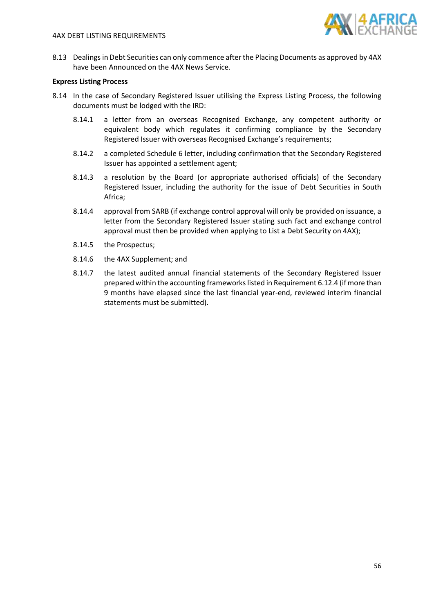## 4AX DEBT LISTING REQUIREMENTS



8.13 Dealings in Debt Securities can only commence after the Placing Documents as approved by 4AX have been Announced on the 4AX News Service.

## **Express Listing Process**

- 8.14 In the case of Secondary Registered Issuer utilising the Express Listing Process, the following documents must be lodged with the IRD:
	- 8.14.1 a letter from an overseas Recognised Exchange, any competent authority or equivalent body which regulates it confirming compliance by the Secondary Registered Issuer with overseas Recognised Exchange's requirements;
	- 8.14.2 a completed Schedule 6 letter, including confirmation that the Secondary Registered Issuer has appointed a settlement agent;
	- 8.14.3 a resolution by the Board (or appropriate authorised officials) of the Secondary Registered Issuer, including the authority for the issue of Debt Securities in South Africa;
	- 8.14.4 approval from SARB (if exchange control approval will only be provided on issuance, a letter from the Secondary Registered Issuer stating such fact and exchange control approval must then be provided when applying to List a Debt Security on 4AX);
	- 8.14.5 the Prospectus;
	- 8.14.6 the 4AX Supplement; and
	- 8.14.7 the latest audited annual financial statements of the Secondary Registered Issuer prepared within the accounting frameworks listed in Requirement [6.12.4](#page-46-0) (if more than 9 months have elapsed since the last financial year-end, reviewed interim financial statements must be submitted).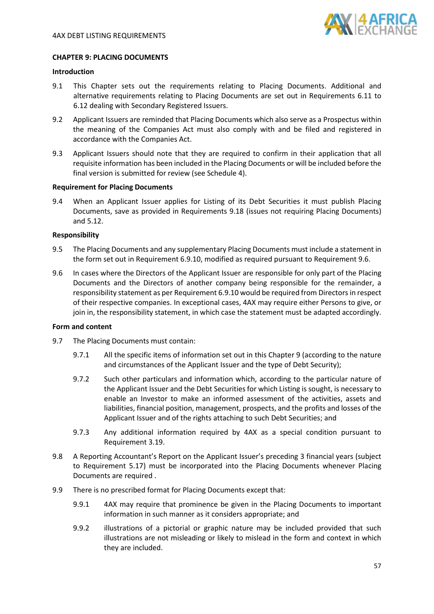

## **CHAPTER 9: PLACING DOCUMENTS**

## **Introduction**

- 9.1 This Chapter sets out the requirements relating to Placing Documents. Additional and alternative requirements relating to Placing Documents are set out in Requirements [6.11](#page-45-0) to [6.12](#page-45-1) dealing with Secondary Registered Issuers.
- 9.2 Applicant Issuers are reminded that Placing Documents which also serve as a Prospectus within the meaning of the Companies Act must also comply with and be filed and registered in accordance with the Companies Act.
- 9.3 Applicant Issuers should note that they are required to confirm in their application that all requisite information has been included in the Placing Documents or will be included before the final version is submitted for review (see Schedule 4).

## **Requirement for Placing Documents**

9.4 When an Applicant Issuer applies for Listing of its Debt Securities it must publish Placing Documents, save as provided in Requirements [9.18](#page-58-0) (issues not requiring Placing Documents) an[d 5.12.](#page-33-3)

### **Responsibility**

- <span id="page-56-4"></span>9.5 The Placing Documents and any supplementary Placing Documents must include a statement in the form set out in Requirement [6.9.10,](#page-41-1) modified as required pursuant to Requirement [9.6.](#page-56-1)
- <span id="page-56-1"></span>9.6 In cases where the Directors of the Applicant Issuer are responsible for only part of the Placing Documents and the Directors of another company being responsible for the remainder, a responsibility statement as per Requirement [6.9.10](#page-41-1) would be required from Directorsin respect of their respective companies. In exceptional cases, 4AX may require either Persons to give, or join in, the responsibility statement, in which case the statement must be adapted accordingly.

### **Form and content**

- <span id="page-56-3"></span><span id="page-56-2"></span>9.7 The Placing Documents must contain:
	- 9.7.1 All the specific items of information set out in this Chapter 9 (according to the nature and circumstances of the Applicant Issuer and the type of Debt Security);
	- 9.7.2 Such other particulars and information which, according to the particular nature of the Applicant Issuer and the Debt Securities for which Listing is sought, is necessary to enable an Investor to make an informed assessment of the activities, assets and liabilities, financial position, management, prospects, and the profits and losses of the Applicant Issuer and of the rights attaching to such Debt Securities; and
	- 9.7.3 Any additional information required by 4AX as a special condition pursuant to Requirement [3.19.](#page-23-0)
- <span id="page-56-0"></span>9.8 A Reporting Accountant's Report on the Applicant Issuer's preceding 3 financial years (subject to Requirement [5.17\)](#page-33-2) must be incorporated into the Placing Documents whenever Placing Documents are required .
- 9.9 There is no prescribed format for Placing Documents except that:
	- 9.9.1 4AX may require that prominence be given in the Placing Documents to important information in such manner as it considers appropriate; and
	- 9.9.2 illustrations of a pictorial or graphic nature may be included provided that such illustrations are not misleading or likely to mislead in the form and context in which they are included.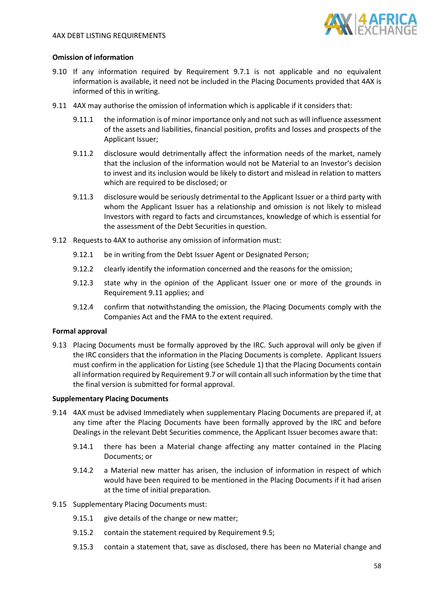

## **Omission of information**

- <span id="page-57-0"></span>9.10 If any information required by Requirement [9.7.1](#page-56-2) is not applicable and no equivalent information is available, it need not be included in the Placing Documents provided that 4AX is informed of this in writing.
- <span id="page-57-2"></span>9.11 4AX may authorise the omission of information which is applicable if it considers that:
	- 9.11.1 the information is of minor importance only and not such as will influence assessment of the assets and liabilities, financial position, profits and losses and prospects of the Applicant Issuer;
	- 9.11.2 disclosure would detrimentally affect the information needs of the market, namely that the inclusion of the information would not be Material to an Investor's decision to invest and its inclusion would be likely to distort and mislead in relation to matters which are required to be disclosed; or
	- 9.11.3 disclosure would be seriously detrimental to the Applicant Issuer or a third party with whom the Applicant Issuer has a relationship and omission is not likely to mislead Investors with regard to facts and circumstances, knowledge of which is essential for the assessment of the Debt Securities in question.
- <span id="page-57-1"></span>9.12 Requests to 4AX to authorise any omission of information must:
	- 9.12.1 be in writing from the Debt Issuer Agent or Designated Person;
	- 9.12.2 clearly identify the information concerned and the reasons for the omission;
	- 9.12.3 state why in the opinion of the Applicant Issuer one or more of the grounds in Requirement [9.11](#page-57-2) applies; and
	- 9.12.4 confirm that notwithstanding the omission, the Placing Documents comply with the Companies Act and the FMA to the extent required.

### **Formal approval**

9.13 Placing Documents must be formally approved by the IRC. Such approval will only be given if the IRC considers that the information in the Placing Documents is complete. Applicant Issuers must confirm in the application for Listing (see Schedule 1) that the Placing Documents contain all information required by Requirement [9.7](#page-56-3) or will contain all such information by the time that the final version is submitted for formal approval.

### **Supplementary Placing Documents**

- 9.14 4AX must be advised Immediately when supplementary Placing Documents are prepared if, at any time after the Placing Documents have been formally approved by the IRC and before Dealings in the relevant Debt Securities commence, the Applicant Issuer becomes aware that:
	- 9.14.1 there has been a Material change affecting any matter contained in the Placing Documents; or
	- 9.14.2 a Material new matter has arisen, the inclusion of information in respect of which would have been required to be mentioned in the Placing Documents if it had arisen at the time of initial preparation.
- 9.15 Supplementary Placing Documents must:
	- 9.15.1 give details of the change or new matter;
	- 9.15.2 contain the statement required by Requirement [9.5;](#page-56-4)
	- 9.15.3 contain a statement that, save as disclosed, there has been no Material change and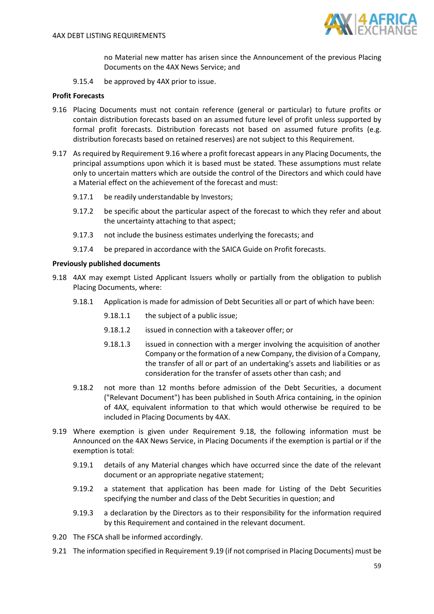

no Material new matter has arisen since the Announcement of the previous Placing Documents on the 4AX News Service; and

9.15.4 be approved by 4AX prior to issue.

## **Profit Forecasts**

- <span id="page-58-1"></span>9.16 Placing Documents must not contain reference (general or particular) to future profits or contain distribution forecasts based on an assumed future level of profit unless supported by formal profit forecasts. Distribution forecasts not based on assumed future profits (e.g. distribution forecasts based on retained reserves) are not subject to this Requirement.
- 9.17 As required by Requirement [9.16](#page-58-1) where a profit forecast appears in any Placing Documents, the principal assumptions upon which it is based must be stated. These assumptions must relate only to uncertain matters which are outside the control of the Directors and which could have a Material effect on the achievement of the forecast and must:
	- 9.17.1 be readily understandable by Investors;
	- 9.17.2 be specific about the particular aspect of the forecast to which they refer and about the uncertainty attaching to that aspect;
	- 9.17.3 not include the business estimates underlying the forecasts; and
	- 9.17.4 be prepared in accordance with the SAICA Guide on Profit forecasts.

### **Previously published documents**

- <span id="page-58-0"></span>9.18 4AX may exempt Listed Applicant Issuers wholly or partially from the obligation to publish Placing Documents, where:
	- 9.18.1 Application is made for admission of Debt Securities all or part of which have been:
		- 9.18.1.1 the subject of a public issue;
		- 9.18.1.2 issued in connection with a takeover offer; or
		- 9.18.1.3 issued in connection with a merger involving the acquisition of another Company or the formation of a new Company, the division of a Company, the transfer of all or part of an undertaking's assets and liabilities or as consideration for the transfer of assets other than cash; and
	- 9.18.2 not more than 12 months before admission of the Debt Securities, a document ("Relevant Document") has been published in South Africa containing, in the opinion of 4AX, equivalent information to that which would otherwise be required to be included in Placing Documents by 4AX.
- <span id="page-58-2"></span>9.19 Where exemption is given under Requirement [9.18,](#page-58-0) the following information must be Announced on the 4AX News Service, in Placing Documents if the exemption is partial or if the exemption is total:
	- 9.19.1 details of any Material changes which have occurred since the date of the relevant document or an appropriate negative statement;
	- 9.19.2 a statement that application has been made for Listing of the Debt Securities specifying the number and class of the Debt Securities in question; and
	- 9.19.3 a declaration by the Directors as to their responsibility for the information required by this Requirement and contained in the relevant document.
- 9.20 The FSCA shall be informed accordingly.
- 9.21 The information specified in Requirement [9.19](#page-58-2) (if not comprised in Placing Documents) must be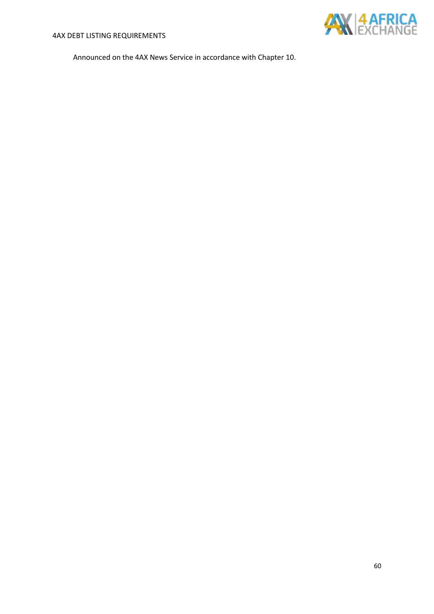

Announced on the 4AX News Service in accordance with Chapter 10.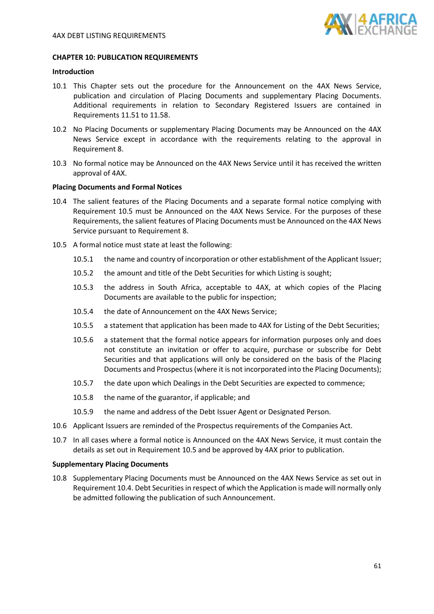

### **CHAPTER 10: PUBLICATION REQUIREMENTS**

### **Introduction**

- 10.1 This Chapter sets out the procedure for the Announcement on the 4AX News Service, publication and circulation of Placing Documents and supplementary Placing Documents. Additional requirements in relation to Secondary Registered Issuers are contained in Requirements [11.51](#page-71-0) t[o 11.58.](#page-71-1)
- 10.2 No Placing Documents or supplementary Placing Documents may be Announced on the 4AX News Service except in accordance with the requirements relating to the approval in Requirement [8.](#page-52-1)
- 10.3 No formal notice may be Announced on the 4AX News Service until it has received the written approval of 4AX.

### **Placing Documents and Formal Notices**

- <span id="page-60-1"></span>10.4 The salient features of the Placing Documents and a separate formal notice complying with Requirement [10.5](#page-60-0) must be Announced on the 4AX News Service. For the purposes of these Requirements, the salient features of Placing Documents must be Announced on the 4AX News Service pursuant to Requirement [8.](#page-52-1)
- <span id="page-60-0"></span>10.5 A formal notice must state at least the following:
	- 10.5.1 the name and country of incorporation or other establishment of the Applicant Issuer;
	- 10.5.2 the amount and title of the Debt Securities for which Listing is sought;
	- 10.5.3 the address in South Africa, acceptable to 4AX, at which copies of the Placing Documents are available to the public for inspection;
	- 10.5.4 the date of Announcement on the 4AX News Service;
	- 10.5.5 a statement that application has been made to 4AX for Listing of the Debt Securities;
	- 10.5.6 a statement that the formal notice appears for information purposes only and does not constitute an invitation or offer to acquire, purchase or subscribe for Debt Securities and that applications will only be considered on the basis of the Placing Documents and Prospectus(where it is not incorporated into the Placing Documents);
	- 10.5.7 the date upon which Dealings in the Debt Securities are expected to commence;
	- 10.5.8 the name of the guarantor, if applicable; and
	- 10.5.9 the name and address of the Debt Issuer Agent or Designated Person.
- 10.6 Applicant Issuers are reminded of the Prospectus requirements of the Companies Act.
- 10.7 In all cases where a formal notice is Announced on the 4AX News Service, it must contain the details as set out in Requirement [10.5](#page-60-0) and be approved by 4AX prior to publication.

#### **Supplementary Placing Documents**

10.8 Supplementary Placing Documents must be Announced on the 4AX News Service as set out in Requirement [10.4.](#page-60-1) Debt Securities in respect of which the Application is made will normally only be admitted following the publication of such Announcement.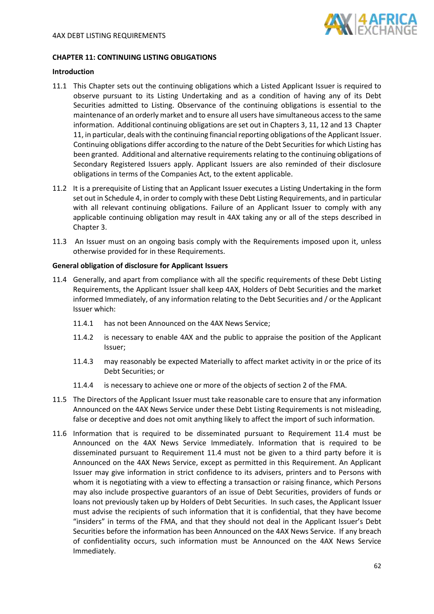

## **CHAPTER 11: CONTINUING LISTING OBLIGATIONS**

### **Introduction**

- 11.1 This Chapter sets out the continuing obligations which a Listed Applicant Issuer is required to observe pursuant to its Listing Undertaking and as a condition of having any of its Debt Securities admitted to Listing. Observance of the continuing obligations is essential to the maintenance of an orderly market and to ensure all users have simultaneous access to the same information. Additional continuing obligations are set out in Chapters 3, 11, 12 and 13 Chapter 11, in particular, deals with the continuing financial reporting obligations of the Applicant Issuer. Continuing obligations differ according to the nature of the Debt Securities for which Listing has been granted. Additional and alternative requirements relating to the continuing obligations of Secondary Registered Issuers apply. Applicant Issuers are also reminded of their disclosure obligations in terms of the Companies Act, to the extent applicable.
- 11.2 It is a prerequisite of Listing that an Applicant Issuer executes a Listing Undertaking in the form set out in Schedule 4, in order to comply with these Debt Listing Requirements, and in particular with all relevant continuing obligations. Failure of an Applicant Issuer to comply with any applicable continuing obligation may result in 4AX taking any or all of the steps described in Chapter 3.
- 11.3 An Issuer must on an ongoing basis comply with the Requirements imposed upon it, unless otherwise provided for in these Requirements.

### **General obligation of disclosure for Applicant Issuers**

- <span id="page-61-0"></span>11.4 Generally, and apart from compliance with all the specific requirements of these Debt Listing Requirements, the Applicant Issuer shall keep 4AX, Holders of Debt Securities and the market informed Immediately, of any information relating to the Debt Securities and / or the Applicant Issuer which:
	- 11.4.1 has not been Announced on the 4AX News Service;
	- 11.4.2 is necessary to enable 4AX and the public to appraise the position of the Applicant Issuer;
	- 11.4.3 may reasonably be expected Materially to affect market activity in or the price of its Debt Securities; or
	- 11.4.4 is necessary to achieve one or more of the objects of section 2 of the FMA.
- 11.5 The Directors of the Applicant Issuer must take reasonable care to ensure that any information Announced on the 4AX News Service under these Debt Listing Requirements is not misleading, false or deceptive and does not omit anything likely to affect the import of such information.
- 11.6 Information that is required to be disseminated pursuant to Requirement [11.4](#page-61-0) must be Announced on the 4AX News Service Immediately. Information that is required to be disseminated pursuant to Requirement [11.4](#page-61-0) must not be given to a third party before it is Announced on the 4AX News Service, except as permitted in this Requirement. An Applicant Issuer may give information in strict confidence to its advisers, printers and to Persons with whom it is negotiating with a view to effecting a transaction or raising finance, which Persons may also include prospective guarantors of an issue of Debt Securities, providers of funds or loans not previously taken up by Holders of Debt Securities. In such cases, the Applicant Issuer must advise the recipients of such information that it is confidential, that they have become "insiders" in terms of the FMA, and that they should not deal in the Applicant Issuer's Debt Securities before the information has been Announced on the 4AX News Service. If any breach of confidentiality occurs, such information must be Announced on the 4AX News Service Immediately.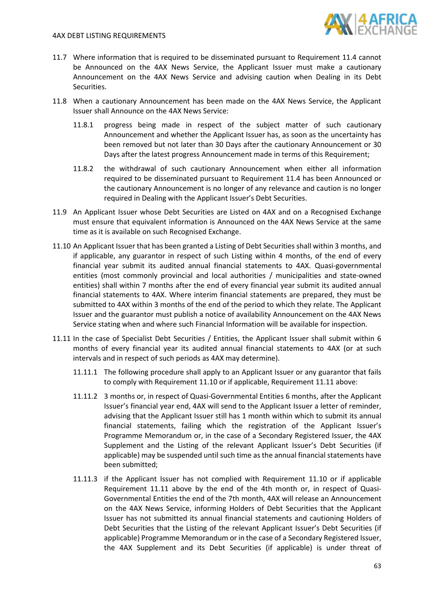### 4AX DEBT LISTING REQUIREMENTS



- 11.7 Where information that is required to be disseminated pursuant to Requirement [11.4](#page-61-0) cannot be Announced on the 4AX News Service, the Applicant Issuer must make a cautionary Announcement on the 4AX News Service and advising caution when Dealing in its Debt Securities.
- 11.8 When a cautionary Announcement has been made on the 4AX News Service, the Applicant Issuer shall Announce on the 4AX News Service:
	- 11.8.1 progress being made in respect of the subject matter of such cautionary Announcement and whether the Applicant Issuer has, as soon as the uncertainty has been removed but not later than 30 Days after the cautionary Announcement or 30 Days after the latest progress Announcement made in terms of this Requirement;
	- 11.8.2 the withdrawal of such cautionary Announcement when either all information required to be disseminated pursuant to Requirement [11.4](#page-61-0) has been Announced or the cautionary Announcement is no longer of any relevance and caution is no longer required in Dealing with the Applicant Issuer's Debt Securities.
- <span id="page-62-2"></span>11.9 An Applicant Issuer whose Debt Securities are Listed on 4AX and on a Recognised Exchange must ensure that equivalent information is Announced on the 4AX News Service at the same time as it is available on such Recognised Exchange.
- <span id="page-62-0"></span>11.10 An Applicant Issuer that has been granted a Listing of Debt Securities shall within 3 months, and if applicable, any guarantor in respect of such Listing within 4 months, of the end of every financial year submit its audited annual financial statements to 4AX. Quasi-governmental entities (most commonly provincial and local authorities / municipalities and state-owned entities) shall within 7 months after the end of every financial year submit its audited annual financial statements to 4AX. Where interim financial statements are prepared, they must be submitted to 4AX within 3 months of the end of the period to which they relate. The Applicant Issuer and the guarantor must publish a notice of availability Announcement on the 4AX News Service stating when and where such Financial Information will be available for inspection.
- <span id="page-62-1"></span>11.11 In the case of Specialist Debt Securities / Entities, the Applicant Issuer shall submit within 6 months of every financial year its audited annual financial statements to 4AX (or at such intervals and in respect of such periods as 4AX may determine).
	- 11.11.1 The following procedure shall apply to an Applicant Issuer or any guarantor that fails to comply with Requirement [11.10](#page-62-0) or if applicable, Requirement [11.11](#page-62-1) above:
	- 11.11.2 3 months or, in respect of Quasi-Governmental Entities 6 months, after the Applicant Issuer's financial year end, 4AX will send to the Applicant Issuer a letter of reminder, advising that the Applicant Issuer still has 1 month within which to submit its annual financial statements, failing which the registration of the Applicant Issuer's Programme Memorandum or, in the case of a Secondary Registered Issuer, the 4AX Supplement and the Listing of the relevant Applicant Issuer's Debt Securities (if applicable) may be suspended until such time as the annual financial statements have been submitted;
	- 11.11.3 if the Applicant Issuer has not complied with Requirement [11.10](#page-62-0) or if applicable Requirement [11.11](#page-62-1) above by the end of the 4th month or, in respect of Quasi-Governmental Entities the end of the 7th month, 4AX will release an Announcement on the 4AX News Service, informing Holders of Debt Securities that the Applicant Issuer has not submitted its annual financial statements and cautioning Holders of Debt Securities that the Listing of the relevant Applicant Issuer's Debt Securities (if applicable) Programme Memorandum or in the case of a Secondary Registered Issuer, the 4AX Supplement and its Debt Securities (if applicable) is under threat of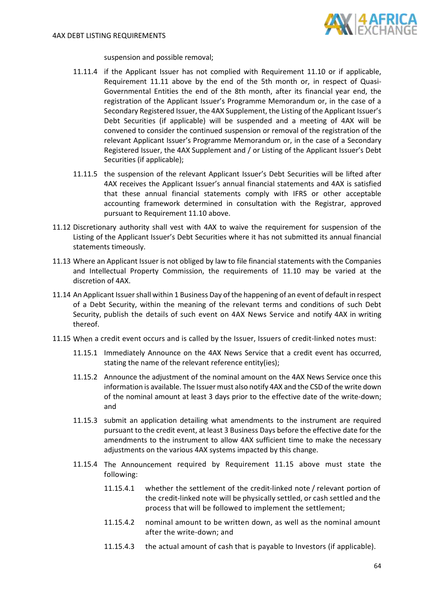

suspension and possible removal;

- 11.11.4 if the Applicant Issuer has not complied with Requirement [11.10](#page-62-0) or if applicable, Requirement [11.11](#page-62-1) above by the end of the 5th month or, in respect of Quasi-Governmental Entities the end of the 8th month, after its financial year end, the registration of the Applicant Issuer's Programme Memorandum or, in the case of a Secondary Registered Issuer, the 4AX Supplement, the Listing of the Applicant Issuer's Debt Securities (if applicable) will be suspended and a meeting of 4AX will be convened to consider the continued suspension or removal of the registration of the relevant Applicant Issuer's Programme Memorandum or, in the case of a Secondary Registered Issuer, the 4AX Supplement and / or Listing of the Applicant Issuer's Debt Securities (if applicable);
- 11.11.5 the suspension of the relevant Applicant Issuer's Debt Securities will be lifted after 4AX receives the Applicant Issuer's annual financial statements and 4AX is satisfied that these annual financial statements comply with IFRS or other acceptable accounting framework determined in consultation with the Registrar, approved pursuant to Requiremen[t 11.10](#page-62-0) above.
- 11.12 Discretionary authority shall vest with 4AX to waive the requirement for suspension of the Listing of the Applicant Issuer's Debt Securities where it has not submitted its annual financial statements timeously.
- 11.13 Where an Applicant Issuer is not obliged by law to file financial statements with the Companies and Intellectual Property Commission, the requirements of 11.10 may be varied at the discretion of 4AX.
- <span id="page-63-1"></span>11.14 An Applicant Issuer shall within 1 Business Day of the happening of an event of default in respect of a Debt Security, within the meaning of the relevant terms and conditions of such Debt Security, publish the details of such event on 4AX News Service and notify 4AX in writing thereof.
- <span id="page-63-0"></span>11.15 When a credit event occurs and is called by the Issuer, Issuers of credit-linked notes must:
	- 11.15.1 Immediately Announce on the 4AX News Service that a credit event has occurred, stating the name of the relevant reference entity(ies);
	- 11.15.2 Announce the adjustment of the nominal amount on the 4AX News Service once this information is available. The Issuer must also notify 4AX and the CSD of the write down of the nominal amount at least 3 days prior to the effective date of the write-down; and
	- 11.15.3 submit an application detailing what amendments to the instrument are required pursuant to the credit event, at least 3 Business Days before the effective date for the amendments to the instrument to allow 4AX sufficient time to make the necessary adjustments on the various 4AX systems impacted by this change.
	- 11.15.4 The Announcement required by Requirement [11.15](#page-63-0) above must state the following:
		- 11.15.4.1 whether the settlement of the credit-linked note / relevant portion of the credit-linked note will be physically settled, or cash settled and the process that will be followed to implement the settlement;
		- 11.15.4.2 nominal amount to be written down, as well as the nominal amount after the write-down; and
		- 11.15.4.3 the actual amount of cash that is payable to Investors (if applicable).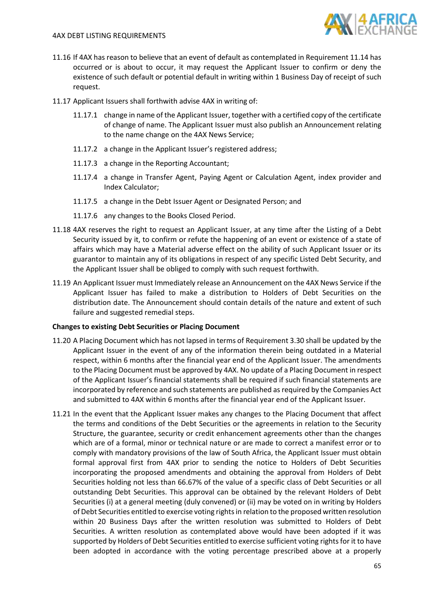

- 11.16 If 4AX has reason to believe that an event of default as contemplated in Requiremen[t 11.14](#page-63-1) has occurred or is about to occur, it may request the Applicant Issuer to confirm or deny the existence of such default or potential default in writing within 1 Business Day of receipt of such request.
- 11.17 Applicant Issuers shall forthwith advise 4AX in writing of:
	- 11.17.1 change in name of the Applicant Issuer, together with a certified copy of the certificate of change of name. The Applicant Issuer must also publish an Announcement relating to the name change on the 4AX News Service;
	- 11.17.2 a change in the Applicant Issuer's registered address;
	- 11.17.3 a change in the Reporting Accountant;
	- 11.17.4 a change in Transfer Agent, Paying Agent or Calculation Agent, index provider and Index Calculator;
	- 11.17.5 a change in the Debt Issuer Agent or Designated Person; and
	- 11.17.6 any changes to the Books Closed Period.
- 11.18 4AX reserves the right to request an Applicant Issuer, at any time after the Listing of a Debt Security issued by it, to confirm or refute the happening of an event or existence of a state of affairs which may have a Material adverse effect on the ability of such Applicant Issuer or its guarantor to maintain any of its obligations in respect of any specific Listed Debt Security, and the Applicant Issuer shall be obliged to comply with such request forthwith.
- 11.19 An Applicant Issuer must Immediately release an Announcement on the 4AX News Service if the Applicant Issuer has failed to make a distribution to Holders of Debt Securities on the distribution date. The Announcement should contain details of the nature and extent of such failure and suggested remedial steps.

# **Changes to existing Debt Securities or Placing Document**

- 11.20 A Placing Document which has not lapsed in terms of Requirement [3.30](#page-25-0) shall be updated by the Applicant Issuer in the event of any of the information therein being outdated in a Material respect, within 6 months after the financial year end of the Applicant Issuer. The amendments to the Placing Document must be approved by 4AX. No update of a Placing Document in respect of the Applicant Issuer's financial statements shall be required if such financial statements are incorporated by reference and such statements are published as required by the Companies Act and submitted to 4AX within 6 months after the financial year end of the Applicant Issuer.
- <span id="page-64-0"></span>11.21 In the event that the Applicant Issuer makes any changes to the Placing Document that affect the terms and conditions of the Debt Securities or the agreements in relation to the Security Structure, the guarantee, security or credit enhancement agreements other than the changes which are of a formal, minor or technical nature or are made to correct a manifest error or to comply with mandatory provisions of the law of South Africa, the Applicant Issuer must obtain formal approval first from 4AX prior to sending the notice to Holders of Debt Securities incorporating the proposed amendments and obtaining the approval from Holders of Debt Securities holding not less than 66.67% of the value of a specific class of Debt Securities or all outstanding Debt Securities. This approval can be obtained by the relevant Holders of Debt Securities (i) at a general meeting (duly convened) or (ii) may be voted on in writing by Holders of Debt Securities entitled to exercise voting rights in relation to the proposed written resolution within 20 Business Days after the written resolution was submitted to Holders of Debt Securities. A written resolution as contemplated above would have been adopted if it was supported by Holders of Debt Securities entitled to exercise sufficient voting rights for it to have been adopted in accordance with the voting percentage prescribed above at a properly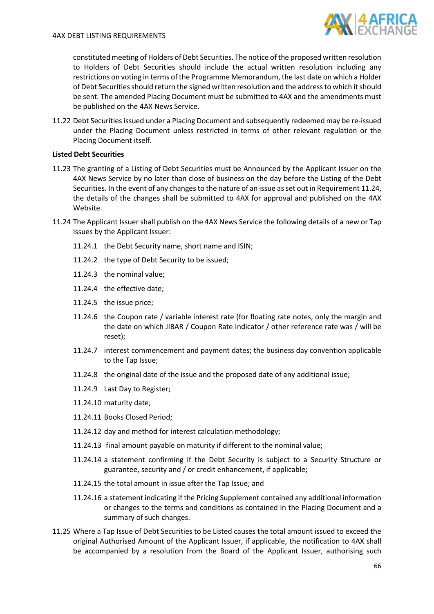

constituted meeting of Holders of Debt Securities. The notice of the proposed written resolution to Holders of Debt Securities should include the actual written resolution including any restrictions on voting in terms of the Programme Memorandum, the last date on which a Holder of Debt Securities should return the signed written resolution and the address to which it should be sent. The amended Placing Document must be submitted to 4AX and the amendments must be published on the 4AX News Service.

11.22 Debt Securities issued under a Placing Document and subsequently redeemed may be re-issued under the Placing Document unless restricted in terms of other relevant regulation or the Placing Document itself.

# **Listed Debt Securities**

- 11.23 The granting of a Listing of Debt Securities must be Announced by the Applicant Issuer on the 4AX News Service by no later than close of business on the day before the Listing of the Debt Securities. In the event of any changes to the nature of an issue as set out in Requirement [11.24,](#page-65-0) the details of the changes shall be submitted to 4AX for approval and published on the 4AX Website.
- <span id="page-65-0"></span>11.24 The Applicant Issuer shall publish on the 4AX News Service the following details of a new or Tap Issues by the Applicant Issuer:
	- 11.24.1 the Debt Security name, short name and ISIN;
	- 11.24.2 the type of Debt Security to be issued;
	- 11.24.3 the nominal value;
	- 11.24.4 the effective date;
	- 11.24.5 the issue price;
	- 11.24.6 the Coupon rate / variable interest rate (for floating rate notes, only the margin and the date on which JIBAR / Coupon Rate Indicator / other reference rate was / will be reset);
	- 11.24.7 interest commencement and payment dates; the business day convention applicable to the Tap Issue;
	- 11.24.8 the original date of the issue and the proposed date of any additional issue;
	- 11.24.9 Last Day to Register;
	- 11.24.10 maturity date;
	- 11.24.11 Books Closed Period;
	- 11.24.12 day and method for interest calculation methodology;
	- 11.24.13 final amount payable on maturity if different to the nominal value;
	- 11.24.14 a statement confirming if the Debt Security is subject to a Security Structure or guarantee, security and / or credit enhancement, if applicable;
	- 11.24.15 the total amount in issue after the Tap Issue; and
	- 11.24.16 a statement indicating if the Pricing Supplement contained any additional information or changes to the terms and conditions as contained in the Placing Document and a summary of such changes.
- 11.25 Where a Tap Issue of Debt Securities to be Listed causes the total amount issued to exceed the original Authorised Amount of the Applicant Issuer, if applicable, the notification to 4AX shall be accompanied by a resolution from the Board of the Applicant Issuer, authorising such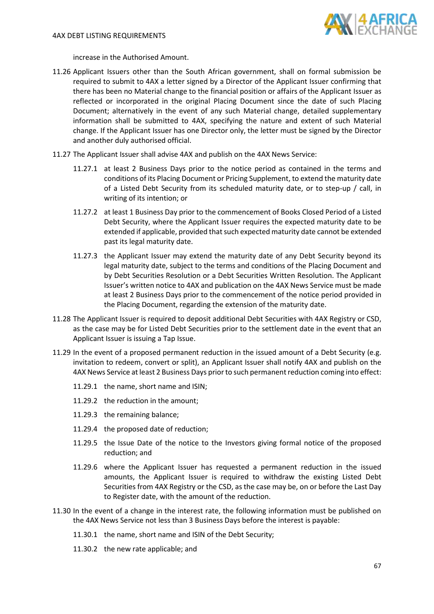

increase in the Authorised Amount.

- 11.26 Applicant Issuers other than the South African government, shall on formal submission be required to submit to 4AX a letter signed by a Director of the Applicant Issuer confirming that there has been no Material change to the financial position or affairs of the Applicant Issuer as reflected or incorporated in the original Placing Document since the date of such Placing Document; alternatively in the event of any such Material change, detailed supplementary information shall be submitted to 4AX, specifying the nature and extent of such Material change. If the Applicant Issuer has one Director only, the letter must be signed by the Director and another duly authorised official.
- 11.27 The Applicant Issuer shall advise 4AX and publish on the 4AX News Service:
	- 11.27.1 at least 2 Business Days prior to the notice period as contained in the terms and conditions of its Placing Document or Pricing Supplement, to extend the maturity date of a Listed Debt Security from its scheduled maturity date, or to step-up / call, in writing of its intention; or
	- 11.27.2 at least 1 Business Day prior to the commencement of Books Closed Period of a Listed Debt Security, where the Applicant Issuer requires the expected maturity date to be extended if applicable, provided that such expected maturity date cannot be extended past its legal maturity date.
	- 11.27.3 the Applicant Issuer may extend the maturity date of any Debt Security beyond its legal maturity date, subject to the terms and conditions of the Placing Document and by Debt Securities Resolution or a Debt Securities Written Resolution. The Applicant Issuer's written notice to 4AX and publication on the 4AX News Service must be made at least 2 Business Days prior to the commencement of the notice period provided in the Placing Document, regarding the extension of the maturity date.
- 11.28 The Applicant Issuer is required to deposit additional Debt Securities with 4AX Registry or CSD, as the case may be for Listed Debt Securities prior to the settlement date in the event that an Applicant Issuer is issuing a Tap Issue.
- 11.29 In the event of a proposed permanent reduction in the issued amount of a Debt Security (e.g. invitation to redeem, convert or split), an Applicant Issuer shall notify 4AX and publish on the 4AX News Service at least 2 Business Days prior to such permanent reduction coming into effect:
	- 11.29.1 the name, short name and ISIN;
	- 11.29.2 the reduction in the amount;
	- 11.29.3 the remaining balance;
	- 11.29.4 the proposed date of reduction;
	- 11.29.5 the Issue Date of the notice to the Investors giving formal notice of the proposed reduction; and
	- 11.29.6 where the Applicant Issuer has requested a permanent reduction in the issued amounts, the Applicant Issuer is required to withdraw the existing Listed Debt Securities from 4AX Registry or the CSD, as the case may be, on or before the Last Day to Register date, with the amount of the reduction.
- 11.30 In the event of a change in the interest rate, the following information must be published on the 4AX News Service not less than 3 Business Days before the interest is payable:
	- 11.30.1 the name, short name and ISIN of the Debt Security;
	- 11.30.2 the new rate applicable; and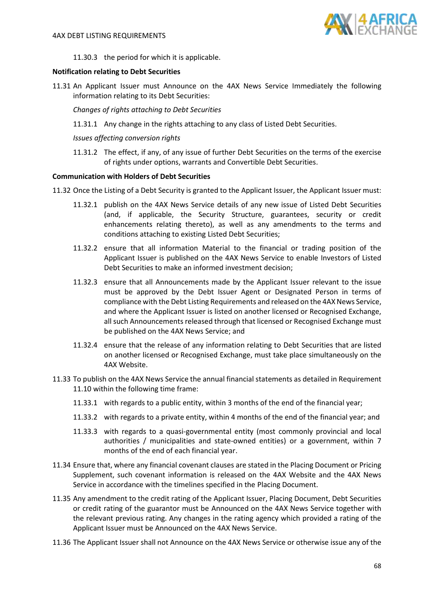

11.30.3 the period for which it is applicable.

## **Notification relating to Debt Securities**

11.31 An Applicant Issuer must Announce on the 4AX News Service Immediately the following information relating to its Debt Securities:

*Changes of rights attaching to Debt Securities*

11.31.1 Any change in the rights attaching to any class of Listed Debt Securities.

## *Issues affecting conversion rights*

11.31.2 The effect, if any, of any issue of further Debt Securities on the terms of the exercise of rights under options, warrants and Convertible Debt Securities.

### **Communication with Holders of Debt Securities**

- 11.32 Once the Listing of a Debt Security is granted to the Applicant Issuer, the Applicant Issuer must:
	- 11.32.1 publish on the 4AX News Service details of any new issue of Listed Debt Securities (and, if applicable, the Security Structure, guarantees, security or credit enhancements relating thereto), as well as any amendments to the terms and conditions attaching to existing Listed Debt Securities;
	- 11.32.2 ensure that all information Material to the financial or trading position of the Applicant Issuer is published on the 4AX News Service to enable Investors of Listed Debt Securities to make an informed investment decision;
	- 11.32.3 ensure that all Announcements made by the Applicant Issuer relevant to the issue must be approved by the Debt Issuer Agent or Designated Person in terms of compliance with the Debt Listing Requirements and released on the 4AX News Service, and where the Applicant Issuer is listed on another licensed or Recognised Exchange, all such Announcements released through that licensed or Recognised Exchange must be published on the 4AX News Service; and
	- 11.32.4 ensure that the release of any information relating to Debt Securities that are listed on another licensed or Recognised Exchange, must take place simultaneously on the 4AX Website.
- 11.33 To publish on the 4AX News Service the annual financial statements as detailed in Requirement [11.10](#page-62-0) within the following time frame:
	- 11.33.1 with regards to a public entity, within 3 months of the end of the financial year;
	- 11.33.2 with regards to a private entity, within 4 months of the end of the financial year; and
	- 11.33.3 with regards to a quasi-governmental entity (most commonly provincial and local authorities / municipalities and state-owned entities) or a government, within 7 months of the end of each financial year.
- 11.34 Ensure that, where any financial covenant clauses are stated in the Placing Document or Pricing Supplement, such covenant information is released on the 4AX Website and the 4AX News Service in accordance with the timelines specified in the Placing Document.
- 11.35 Any amendment to the credit rating of the Applicant Issuer, Placing Document, Debt Securities or credit rating of the guarantor must be Announced on the 4AX News Service together with the relevant previous rating. Any changes in the rating agency which provided a rating of the Applicant Issuer must be Announced on the 4AX News Service.
- 11.36 The Applicant Issuer shall not Announce on the 4AX News Service or otherwise issue any of the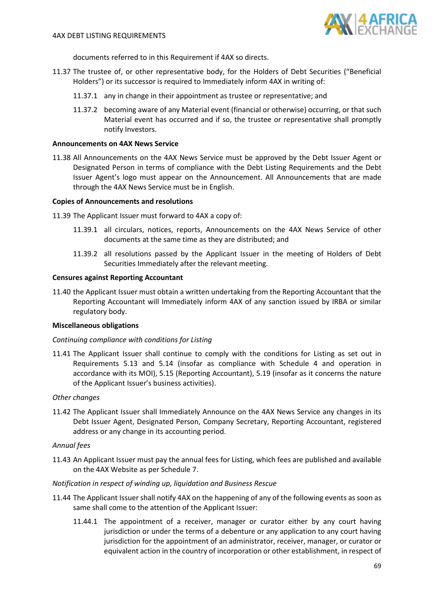

documents referred to in this Requirement if 4AX so directs.

- 11.37 The trustee of, or other representative body, for the Holders of Debt Securities ("Beneficial Holders") or its successor is required to Immediately inform 4AX in writing of:
	- 11.37.1 any in change in their appointment as trustee or representative; and
	- 11.37.2 becoming aware of any Material event (financial or otherwise) occurring, or that such Material event has occurred and if so, the trustee or representative shall promptly notify Investors.

### **Announcements on 4AX News Service**

11.38 All Announcements on the 4AX News Service must be approved by the Debt Issuer Agent or Designated Person in terms of compliance with the Debt Listing Requirements and the Debt Issuer Agent's logo must appear on the Announcement. All Announcements that are made through the 4AX News Service must be in English.

### **Copies of Announcements and resolutions**

- 11.39 The Applicant Issuer must forward to 4AX a copy of:
	- 11.39.1 all circulars, notices, reports, Announcements on the 4AX News Service of other documents at the same time as they are distributed; and
	- 11.39.2 all resolutions passed by the Applicant Issuer in the meeting of Holders of Debt Securities Immediately after the relevant meeting.

#### **Censures against Reporting Accountant**

11.40 the Applicant Issuer must obtain a written undertaking from the Reporting Accountant that the Reporting Accountant will Immediately inform 4AX of any sanction issued by IRBA or similar regulatory body.

### **Miscellaneous obligations**

### *Continuing compliance with conditions for Listing*

11.41 The Applicant Issuer shall continue to comply with the conditions for Listing as set out in Requirements [5.13](#page-33-0) and [5.14](#page-33-4) (insofar as compliance with Schedule 4 and operation in accordance with its MOI), [5.15](#page-33-5) (Reporting Accountant), [5.19](#page-34-0) (insofar as it concerns the nature of the Applicant Issuer's business activities).

### *Other changes*

11.42 The Applicant Issuer shall Immediately Announce on the 4AX News Service any changes in its Debt Issuer Agent, Designated Person, Company Secretary, Reporting Accountant, registered address or any change in its accounting period.

# *Annual fees*

11.43 An Applicant Issuer must pay the annual fees for Listing, which fees are published and available on the 4AX Website as per Schedule 7.

### *Notification in respect of winding up, liquidation and Business Rescue*

- 11.44 The Applicant Issuer shall notify 4AX on the happening of any of the following events as soon as same shall come to the attention of the Applicant Issuer:
	- 11.44.1 The appointment of a receiver, manager or curator either by any court having jurisdiction or under the terms of a debenture or any application to any court having jurisdiction for the appointment of an administrator, receiver, manager, or curator or equivalent action in the country of incorporation or other establishment, in respect of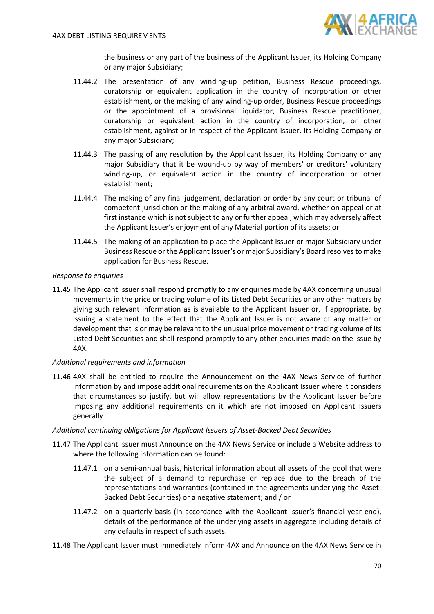

the business or any part of the business of the Applicant Issuer, its Holding Company or any major Subsidiary;

- 11.44.2 The presentation of any winding-up petition, Business Rescue proceedings, curatorship or equivalent application in the country of incorporation or other establishment, or the making of any winding-up order, Business Rescue proceedings or the appointment of a provisional liquidator, Business Rescue practitioner, curatorship or equivalent action in the country of incorporation, or other establishment, against or in respect of the Applicant Issuer, its Holding Company or any major Subsidiary;
- 11.44.3 The passing of any resolution by the Applicant Issuer, its Holding Company or any major Subsidiary that it be wound-up by way of members' or creditors' voluntary winding-up, or equivalent action in the country of incorporation or other establishment;
- 11.44.4 The making of any final judgement, declaration or order by any court or tribunal of competent jurisdiction or the making of any arbitral award, whether on appeal or at first instance which is not subject to any or further appeal, which may adversely affect the Applicant Issuer's enjoyment of any Material portion of its assets; or
- 11.44.5 The making of an application to place the Applicant Issuer or major Subsidiary under Business Rescue or the Applicant Issuer's or major Subsidiary's Board resolves to make application for Business Rescue.

## *Response to enquiries*

11.45 The Applicant Issuer shall respond promptly to any enquiries made by 4AX concerning unusual movements in the price or trading volume of its Listed Debt Securities or any other matters by giving such relevant information as is available to the Applicant Issuer or, if appropriate, by issuing a statement to the effect that the Applicant Issuer is not aware of any matter or development that is or may be relevant to the unusual price movement or trading volume of its Listed Debt Securities and shall respond promptly to any other enquiries made on the issue by 4AX.

# *Additional requirements and information*

11.46 4AX shall be entitled to require the Announcement on the 4AX News Service of further information by and impose additional requirements on the Applicant Issuer where it considers that circumstances so justify, but will allow representations by the Applicant Issuer before imposing any additional requirements on it which are not imposed on Applicant Issuers generally.

### *Additional continuing obligations for Applicant Issuers of Asset-Backed Debt Securities*

- 11.47 The Applicant Issuer must Announce on the 4AX News Service or include a Website address to where the following information can be found:
	- 11.47.1 on a semi-annual basis, historical information about all assets of the pool that were the subject of a demand to repurchase or replace due to the breach of the representations and warranties (contained in the agreements underlying the Asset-Backed Debt Securities) or a negative statement; and / or
	- 11.47.2 on a quarterly basis (in accordance with the Applicant Issuer's financial year end), details of the performance of the underlying assets in aggregate including details of any defaults in respect of such assets.
- 11.48 The Applicant Issuer must Immediately inform 4AX and Announce on the 4AX News Service in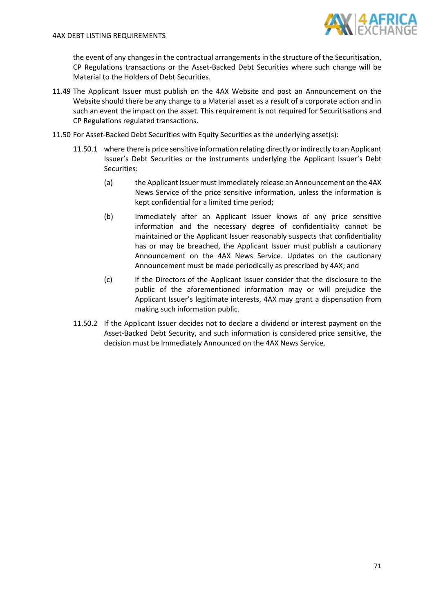

the event of any changes in the contractual arrangements in the structure of the Securitisation, CP Regulations transactions or the Asset-Backed Debt Securities where such change will be Material to the Holders of Debt Securities.

- 11.49 The Applicant Issuer must publish on the 4AX Website and post an Announcement on the Website should there be any change to a Material asset as a result of a corporate action and in such an event the impact on the asset. This requirement is not required for Securitisations and CP Regulations regulated transactions.
- 11.50 For Asset-Backed Debt Securities with Equity Securities as the underlying asset(s):
	- 11.50.1 where there is price sensitive information relating directly or indirectly to an Applicant Issuer's Debt Securities or the instruments underlying the Applicant Issuer's Debt Securities:
		- (a) the Applicant Issuer must Immediately release an Announcement on the 4AX News Service of the price sensitive information, unless the information is kept confidential for a limited time period;
		- (b) Immediately after an Applicant Issuer knows of any price sensitive information and the necessary degree of confidentiality cannot be maintained or the Applicant Issuer reasonably suspects that confidentiality has or may be breached, the Applicant Issuer must publish a cautionary Announcement on the 4AX News Service. Updates on the cautionary Announcement must be made periodically as prescribed by 4AX; and
		- (c) if the Directors of the Applicant Issuer consider that the disclosure to the public of the aforementioned information may or will prejudice the Applicant Issuer's legitimate interests, 4AX may grant a dispensation from making such information public.
	- 11.50.2 If the Applicant Issuer decides not to declare a dividend or interest payment on the Asset-Backed Debt Security, and such information is considered price sensitive, the decision must be Immediately Announced on the 4AX News Service.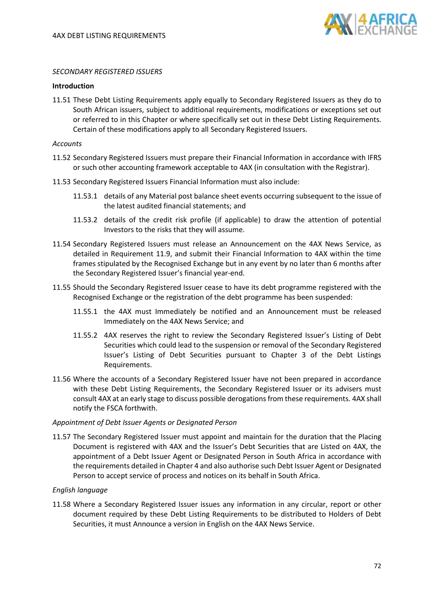

### *SECONDARY REGISTERED ISSUERS*

### **Introduction**

<span id="page-71-0"></span>11.51 These Debt Listing Requirements apply equally to Secondary Registered Issuers as they do to South African issuers, subject to additional requirements, modifications or exceptions set out or referred to in this Chapter or where specifically set out in these Debt Listing Requirements. Certain of these modifications apply to all Secondary Registered Issuers.

*Accounts*

- 11.52 Secondary Registered Issuers must prepare their Financial Information in accordance with IFRS or such other accounting framework acceptable to 4AX (in consultation with the Registrar).
- 11.53 Secondary Registered Issuers Financial Information must also include:
	- 11.53.1 details of any Material post balance sheet events occurring subsequent to the issue of the latest audited financial statements; and
	- 11.53.2 details of the credit risk profile (if applicable) to draw the attention of potential Investors to the risks that they will assume.
- 11.54 Secondary Registered Issuers must release an Announcement on the 4AX News Service, as detailed in Requirement [11.9,](#page-62-2) and submit their Financial Information to 4AX within the time frames stipulated by the Recognised Exchange but in any event by no later than 6 months after the Secondary Registered Issuer's financial year-end.
- 11.55 Should the Secondary Registered Issuer cease to have its debt programme registered with the Recognised Exchange or the registration of the debt programme has been suspended:
	- 11.55.1 the 4AX must Immediately be notified and an Announcement must be released Immediately on the 4AX News Service; and
	- 11.55.2 4AX reserves the right to review the Secondary Registered Issuer's Listing of Debt Securities which could lead to the suspension or removal of the Secondary Registered Issuer's Listing of Debt Securities pursuant to Chapter 3 of the Debt Listings Requirements.
- 11.56 Where the accounts of a Secondary Registered Issuer have not been prepared in accordance with these Debt Listing Requirements, the Secondary Registered Issuer or its advisers must consult 4AX at an early stage to discuss possible derogations from these requirements. 4AX shall notify the FSCA forthwith.

#### *Appointment of Debt Issuer Agents or Designated Person*

11.57 The Secondary Registered Issuer must appoint and maintain for the duration that the Placing Document is registered with 4AX and the Issuer's Debt Securities that are Listed on 4AX, the appointment of a Debt Issuer Agent or Designated Person in South Africa in accordance with the requirements detailed in Chapter 4 and also authorise such Debt Issuer Agent or Designated Person to accept service of process and notices on its behalf in South Africa.

### *English language*

<span id="page-71-1"></span>11.58 Where a Secondary Registered Issuer issues any information in any circular, report or other document required by these Debt Listing Requirements to be distributed to Holders of Debt Securities, it must Announce a version in English on the 4AX News Service.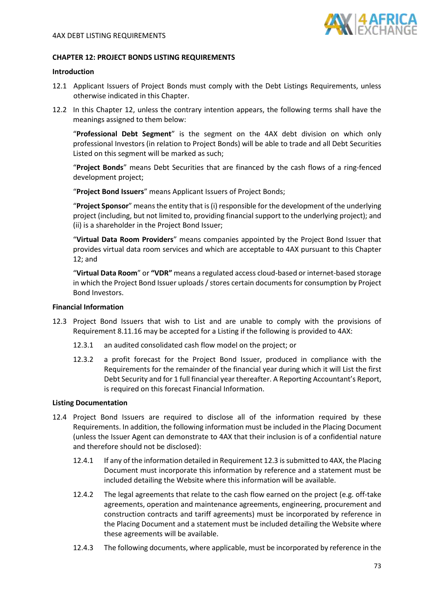

## **CHAPTER 12: PROJECT BONDS LISTING REQUIREMENTS**

## **Introduction**

- 12.1 Applicant Issuers of Project Bonds must comply with the Debt Listings Requirements, unless otherwise indicated in this Chapter.
- 12.2 In this Chapter 12, unless the contrary intention appears, the following terms shall have the meanings assigned to them below:

"**Professional Debt Segment**" is the segment on the 4AX debt division on which only professional Investors (in relation to Project Bonds) will be able to trade and all Debt Securities Listed on this segment will be marked as such;

"**Project Bonds**" means Debt Securities that are financed by the cash flows of a ring-fenced development project;

"**Project Bond Issuers**" means Applicant Issuers of Project Bonds;

"**Project Sponsor**" means the entity that is (i) responsible for the development of the underlying project (including, but not limited to, providing financial support to the underlying project); and (ii) is a shareholder in the Project Bond Issuer;

"**Virtual Data Room Providers**" means companies appointed by the Project Bond Issuer that provides virtual data room services and which are acceptable to 4AX pursuant to this Chapter 12; and

"**Virtual Data Room**" or **"VDR"** means a regulated access cloud-based or internet-based storage in which the Project Bond Issuer uploads / stores certain documents for consumption by Project Bond Investors.

#### **Financial Information**

- <span id="page-72-0"></span>12.3 Project Bond Issuers that wish to List and are unable to comply with the provisions of Requiremen[t 8.11.16](#page-54-0) may be accepted for a Listing if the following is provided to 4AX:
	- 12.3.1 an audited consolidated cash flow model on the project; or
	- 12.3.2 a profit forecast for the Project Bond Issuer, produced in compliance with the Requirements for the remainder of the financial year during which it will List the first Debt Security and for 1 full financial year thereafter. A Reporting Accountant's Report, is required on this forecast Financial Information.

#### **Listing Documentation**

- <span id="page-72-2"></span><span id="page-72-1"></span>12.4 Project Bond Issuers are required to disclose all of the information required by these Requirements. In addition, the following information must be included in the Placing Document (unless the Issuer Agent can demonstrate to 4AX that their inclusion is of a confidential nature and therefore should not be disclosed):
	- 12.4.1 If any of the information detailed in Requirement [12.3](#page-72-0) is submitted to 4AX, the Placing Document must incorporate this information by reference and a statement must be included detailing the Website where this information will be available.
	- 12.4.2 The legal agreements that relate to the cash flow earned on the project (e.g. off-take agreements, operation and maintenance agreements, engineering, procurement and construction contracts and tariff agreements) must be incorporated by reference in the Placing Document and a statement must be included detailing the Website where these agreements will be available.
	- 12.4.3 The following documents, where applicable, must be incorporated by reference in the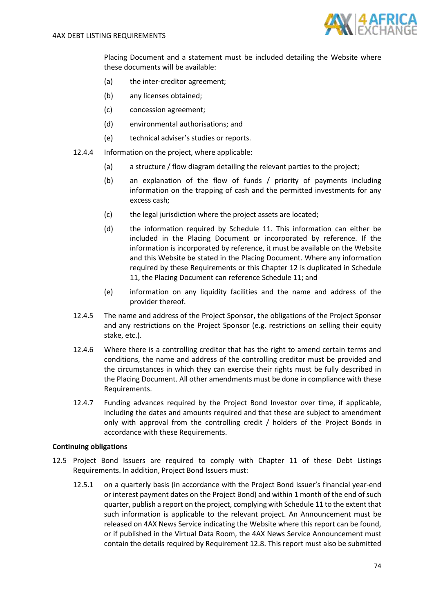

Placing Document and a statement must be included detailing the Website where these documents will be available:

- (a) the inter-creditor agreement;
- (b) any licenses obtained;
- (c) concession agreement;
- (d) environmental authorisations; and
- (e) technical adviser's studies or reports.
- <span id="page-73-0"></span>12.4.4 Information on the project, where applicable:
	- (a) a structure / flow diagram detailing the relevant parties to the project;
	- (b) an explanation of the flow of funds / priority of payments including information on the trapping of cash and the permitted investments for any excess cash;
	- (c) the legal jurisdiction where the project assets are located;
	- (d) the information required by Schedule 11. This information can either be included in the Placing Document or incorporated by reference. If the information is incorporated by reference, it must be available on the Website and this Website be stated in the Placing Document. Where any information required by these Requirements or this Chapter 12 is duplicated in Schedule 11, the Placing Document can reference Schedule 11; and
	- (e) information on any liquidity facilities and the name and address of the provider thereof.
- 12.4.5 The name and address of the Project Sponsor, the obligations of the Project Sponsor and any restrictions on the Project Sponsor (e.g. restrictions on selling their equity stake, etc.).
- 12.4.6 Where there is a controlling creditor that has the right to amend certain terms and conditions, the name and address of the controlling creditor must be provided and the circumstances in which they can exercise their rights must be fully described in the Placing Document. All other amendments must be done in compliance with these Requirements.
- 12.4.7 Funding advances required by the Project Bond Investor over time, if applicable, including the dates and amounts required and that these are subject to amendment only with approval from the controlling credit / holders of the Project Bonds in accordance with these Requirements.

## **Continuing obligations**

- <span id="page-73-1"></span>12.5 Project Bond Issuers are required to comply with Chapter 11 of these Debt Listings Requirements. In addition, Project Bond Issuers must:
	- 12.5.1 on a quarterly basis (in accordance with the Project Bond Issuer's financial year-end or interest payment dates on the Project Bond) and within 1 month of the end of such quarter, publish a report on the project, complying with Schedule 11 to the extent that such information is applicable to the relevant project. An Announcement must be released on 4AX News Service indicating the Website where this report can be found, or if published in the Virtual Data Room, the 4AX News Service Announcement must contain the details required by Requirement [12.8.](#page-74-0) This report must also be submitted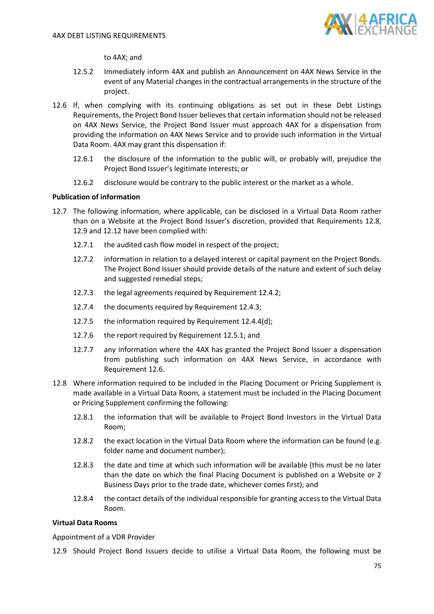

to 4AX; and

- 12.5.2 Immediately inform 4AX and publish an Announcement on 4AX News Service in the event of any Material changes in the contractual arrangements in the structure of the project.
- <span id="page-74-2"></span>12.6 If, when complying with its continuing obligations as set out in these Debt Listings Requirements, the Project Bond Issuer believes that certain information should not be released on 4AX News Service, the Project Bond Issuer must approach 4AX for a dispensation from providing the information on 4AX News Service and to provide such information in the Virtual Data Room. 4AX may grant this dispensation if:
	- 12.6.1 the disclosure of the information to the public will, or probably will, prejudice the Project Bond Issuer's legitimate interests; or
	- 12.6.2 disclosure would be contrary to the public interest or the market as a whole.

## **Publication of information**

- 12.7 The following information, where applicable, can be disclosed in a Virtual Data Room rather than on a Website at the Project Bond Issuer's discretion, provided that Requirements [12.8,](#page-74-0) [12.9](#page-74-1) an[d 12.12](#page-76-0) have been complied with:
	- 12.7.1 the audited cash flow model in respect of the project;
	- 12.7.2 information in relation to a delayed interest or capital payment on the Project Bonds. The Project Bond Issuer should provide details of the nature and extent of such delay and suggested remedial steps;
	- 12.7.3 the legal agreements required by Requirement [12.4.2;](#page-72-1)
	- 12.7.4 the documents required by Requirement [12.4.3;](#page-72-2)
	- 12.7.5 the information required by Requirement [12.4.4\(](#page-73-0)d);
	- 12.7.6 the report required by Requiremen[t 12.5.1;](#page-73-1) and
	- 12.7.7 any information where the 4AX has granted the Project Bond Issuer a dispensation from publishing such information on 4AX News Service, in accordance with Requirement [12.6.](#page-74-2)
- <span id="page-74-0"></span>12.8 Where information required to be included in the Placing Document or Pricing Supplement is made available in a Virtual Data Room, a statement must be included in the Placing Document or Pricing Supplement confirming the following:
	- 12.8.1 the information that will be available to Project Bond Investors in the Virtual Data Room;
	- 12.8.2 the exact location in the Virtual Data Room where the information can be found (e.g. folder name and document number);
	- 12.8.3 the date and time at which such information will be available (this must be no later than the date on which the final Placing Document is published on a Website or 2 Business Days prior to the trade date, whichever comes first); and
	- 12.8.4 the contact details of the individual responsible for granting access to the Virtual Data Room.

# **Virtual Data Rooms**

Appointment of a VDR Provider

<span id="page-74-1"></span>12.9 Should Project Bond Issuers decide to utilise a Virtual Data Room, the following must be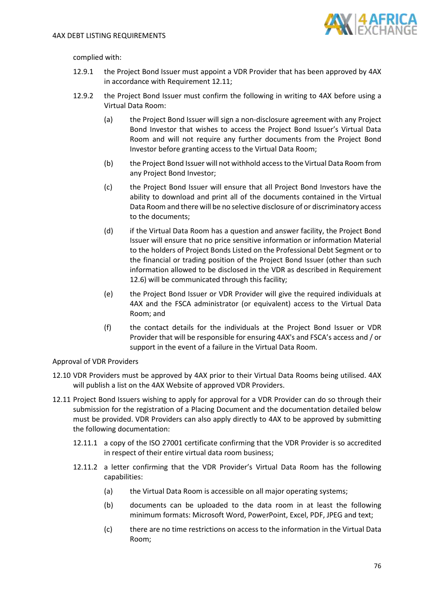

complied with:

- 12.9.1 the Project Bond Issuer must appoint a VDR Provider that has been approved by 4AX in accordance with Requirement [12.11;](#page-75-0)
- 12.9.2 the Project Bond Issuer must confirm the following in writing to 4AX before using a Virtual Data Room:
	- (a) the Project Bond Issuer will sign a non-disclosure agreement with any Project Bond Investor that wishes to access the Project Bond Issuer's Virtual Data Room and will not require any further documents from the Project Bond Investor before granting access to the Virtual Data Room;
	- (b) the Project Bond Issuer will not withhold access to the Virtual Data Room from any Project Bond Investor;
	- (c) the Project Bond Issuer will ensure that all Project Bond Investors have the ability to download and print all of the documents contained in the Virtual Data Room and there will be no selective disclosure of or discriminatory access to the documents;
	- (d) if the Virtual Data Room has a question and answer facility, the Project Bond Issuer will ensure that no price sensitive information or information Material to the holders of Project Bonds Listed on the Professional Debt Segment or to the financial or trading position of the Project Bond Issuer (other than such information allowed to be disclosed in the VDR as described in Requirement [12.6\)](#page-74-2) will be communicated through this facility;
	- (e) the Project Bond Issuer or VDR Provider will give the required individuals at 4AX and the FSCA administrator (or equivalent) access to the Virtual Data Room; and
	- (f) the contact details for the individuals at the Project Bond Issuer or VDR Provider that will be responsible for ensuring 4AX's and FSCA's access and / or support in the event of a failure in the Virtual Data Room.

Approval of VDR Providers

- 12.10 VDR Providers must be approved by 4AX prior to their Virtual Data Rooms being utilised. 4AX will publish a list on the 4AX Website of approved VDR Providers.
- <span id="page-75-0"></span>12.11 Project Bond Issuers wishing to apply for approval for a VDR Provider can do so through their submission for the registration of a Placing Document and the documentation detailed below must be provided. VDR Providers can also apply directly to 4AX to be approved by submitting the following documentation:
	- 12.11.1 a copy of the ISO 27001 certificate confirming that the VDR Provider is so accredited in respect of their entire virtual data room business;
	- 12.11.2 a letter confirming that the VDR Provider's Virtual Data Room has the following capabilities:
		- (a) the Virtual Data Room is accessible on all major operating systems;
		- (b) documents can be uploaded to the data room in at least the following minimum formats: Microsoft Word, PowerPoint, Excel, PDF, JPEG and text;
		- (c) there are no time restrictions on access to the information in the Virtual Data Room;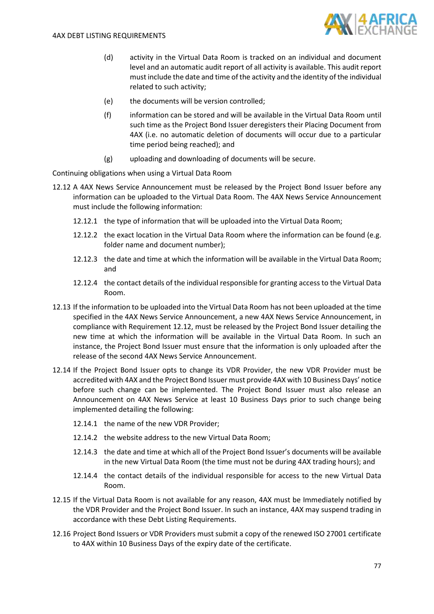

- (d) activity in the Virtual Data Room is tracked on an individual and document level and an automatic audit report of all activity is available. This audit report must include the date and time of the activity and the identity of the individual related to such activity;
- (e) the documents will be version controlled;
- (f) information can be stored and will be available in the Virtual Data Room until such time as the Project Bond Issuer deregisters their Placing Document from 4AX (i.e. no automatic deletion of documents will occur due to a particular time period being reached); and
- (g) uploading and downloading of documents will be secure.

Continuing obligations when using a Virtual Data Room

- <span id="page-76-0"></span>12.12 A 4AX News Service Announcement must be released by the Project Bond Issuer before any information can be uploaded to the Virtual Data Room. The 4AX News Service Announcement must include the following information:
	- 12.12.1 the type of information that will be uploaded into the Virtual Data Room;
	- 12.12.2 the exact location in the Virtual Data Room where the information can be found (e.g. folder name and document number);
	- 12.12.3 the date and time at which the information will be available in the Virtual Data Room; and
	- 12.12.4 the contact details of the individual responsible for granting access to the Virtual Data Room.
- 12.13 If the information to be uploaded into the Virtual Data Room has not been uploaded at the time specified in the 4AX News Service Announcement, a new 4AX News Service Announcement, in compliance with Requirement [12.12,](#page-76-0) must be released by the Project Bond Issuer detailing the new time at which the information will be available in the Virtual Data Room. In such an instance, the Project Bond Issuer must ensure that the information is only uploaded after the release of the second 4AX News Service Announcement.
- 12.14 If the Project Bond Issuer opts to change its VDR Provider, the new VDR Provider must be accredited with 4AX and the Project Bond Issuer must provide 4AX with 10 Business Days' notice before such change can be implemented. The Project Bond Issuer must also release an Announcement on 4AX News Service at least 10 Business Days prior to such change being implemented detailing the following:
	- 12.14.1 the name of the new VDR Provider;
	- 12.14.2 the website address to the new Virtual Data Room;
	- 12.14.3 the date and time at which all of the Project Bond Issuer's documents will be available in the new Virtual Data Room (the time must not be during 4AX trading hours); and
	- 12.14.4 the contact details of the individual responsible for access to the new Virtual Data Room.
- 12.15 If the Virtual Data Room is not available for any reason, 4AX must be Immediately notified by the VDR Provider and the Project Bond Issuer. In such an instance, 4AX may suspend trading in accordance with these Debt Listing Requirements.
- 12.16 Project Bond Issuers or VDR Providers must submit a copy of the renewed ISO 27001 certificate to 4AX within 10 Business Days of the expiry date of the certificate.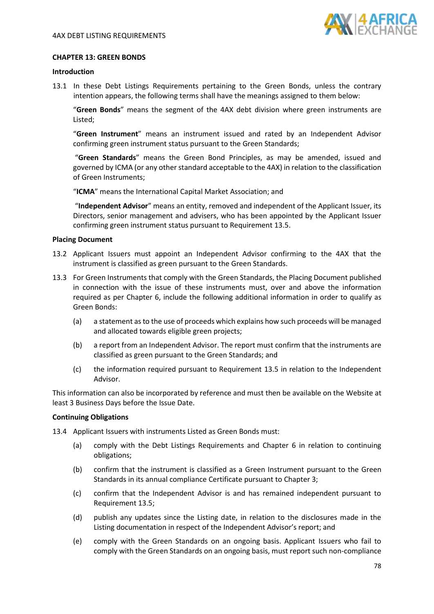

## **CHAPTER 13: GREEN BONDS**

#### **Introduction**

13.1 In these Debt Listings Requirements pertaining to the Green Bonds, unless the contrary intention appears, the following terms shall have the meanings assigned to them below:

"**Green Bonds**" means the segment of the 4AX debt division where green instruments are Listed;

"**Green Instrument**" means an instrument issued and rated by an Independent Advisor confirming green instrument status pursuant to the Green Standards;

"**Green Standards**" means the Green Bond Principles, as may be amended, issued and governed by ICMA (or any other standard acceptable to the 4AX) in relation to the classification of Green Instruments;

"**ICMA**" means the International Capital Market Association; and

"**Independent Advisor**" means an entity, removed and independent of the Applicant Issuer, its Directors, senior management and advisers, who has been appointed by the Applicant Issuer confirming green instrument status pursuant to Requiremen[t 13.5.](#page-78-0)

## **Placing Document**

- 13.2 Applicant Issuers must appoint an Independent Advisor confirming to the 4AX that the instrument is classified as green pursuant to the Green Standards.
- 13.3 For Green Instruments that comply with the Green Standards, the Placing Document published in connection with the issue of these instruments must, over and above the information required as per Chapter 6, include the following additional information in order to qualify as Green Bonds:
	- (a) a statement as to the use of proceeds which explains how such proceeds will be managed and allocated towards eligible green projects;
	- (b) a report from an Independent Advisor. The report must confirm that the instruments are classified as green pursuant to the Green Standards; and
	- (c) the information required pursuant to Requirement [13.5](#page-78-0) in relation to the Independent Advisor.

This information can also be incorporated by reference and must then be available on the Website at least 3 Business Days before the Issue Date.

#### **Continuing Obligations**

13.4 Applicant Issuers with instruments Listed as Green Bonds must:

- (a) comply with the Debt Listings Requirements and Chapter 6 in relation to continuing obligations;
- (b) confirm that the instrument is classified as a Green Instrument pursuant to the Green Standards in its annual compliance Certificate pursuant to Chapter 3;
- (c) confirm that the Independent Advisor is and has remained independent pursuant to Requirement [13.5;](#page-78-0)
- (d) publish any updates since the Listing date, in relation to the disclosures made in the Listing documentation in respect of the Independent Advisor's report; and
- (e) comply with the Green Standards on an ongoing basis. Applicant Issuers who fail to comply with the Green Standards on an ongoing basis, must report such non-compliance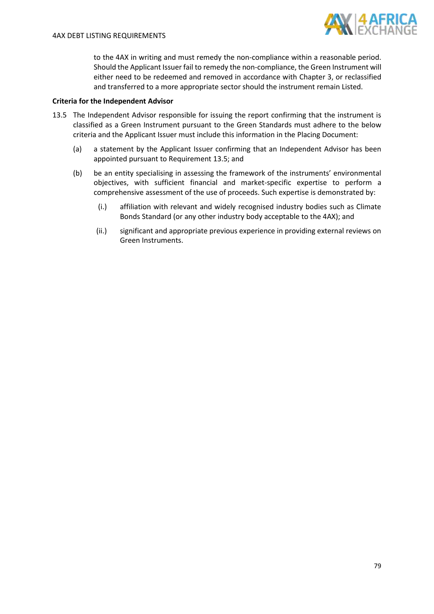

to the 4AX in writing and must remedy the non-compliance within a reasonable period. Should the Applicant Issuer fail to remedy the non-compliance, the Green Instrument will either need to be redeemed and removed in accordance with Chapter 3, or reclassified and transferred to a more appropriate sector should the instrument remain Listed.

# **Criteria for the Independent Advisor**

- <span id="page-78-0"></span>13.5 The Independent Advisor responsible for issuing the report confirming that the instrument is classified as a Green Instrument pursuant to the Green Standards must adhere to the below criteria and the Applicant Issuer must include this information in the Placing Document:
	- (a) a statement by the Applicant Issuer confirming that an Independent Advisor has been appointed pursuant to Requirement [13.5;](#page-78-0) and
	- (b) be an entity specialising in assessing the framework of the instruments' environmental objectives, with sufficient financial and market-specific expertise to perform a comprehensive assessment of the use of proceeds. Such expertise is demonstrated by:
		- (i.) affiliation with relevant and widely recognised industry bodies such as Climate Bonds Standard (or any other industry body acceptable to the 4AX); and
		- (ii.) significant and appropriate previous experience in providing external reviews on Green Instruments.